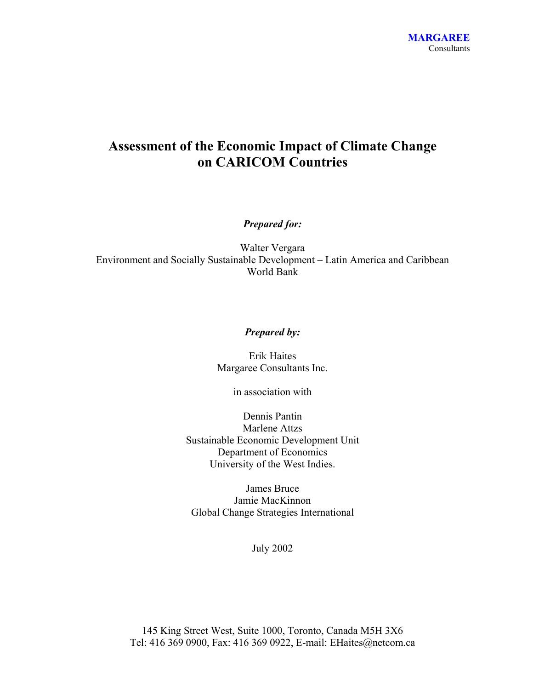## **Assessment of the Economic Impact of Climate Change on CARICOM Countries**

*Prepared for:* 

Walter Vergara Environment and Socially Sustainable Development – Latin America and Caribbean World Bank

#### *Prepared by:*

Erik Haites Margaree Consultants Inc.

in association with

Dennis Pantin Marlene Attzs Sustainable Economic Development Unit Department of Economics University of the West Indies.

James Bruce Jamie MacKinnon Global Change Strategies International

July 2002

145 King Street West, Suite 1000, Toronto, Canada M5H 3X6 Tel: 416 369 0900, Fax: 416 369 0922, E-mail: EHaites@netcom.ca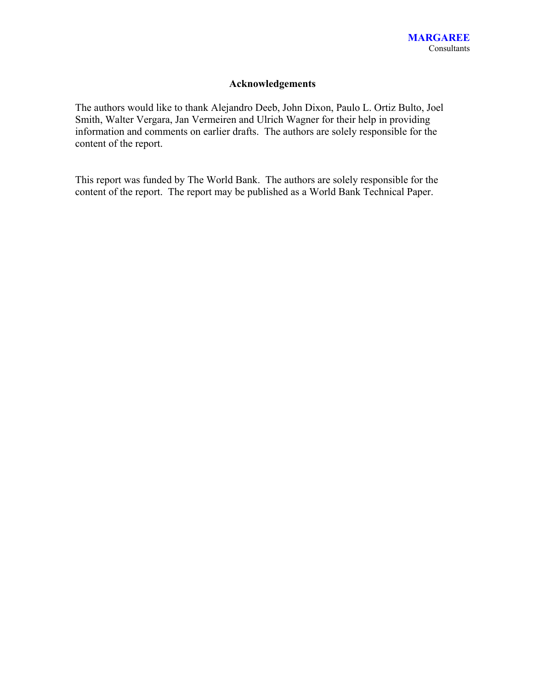### **Acknowledgements**

The authors would like to thank Alejandro Deeb, John Dixon, Paulo L. Ortiz Bulto, Joel Smith, Walter Vergara, Jan Vermeiren and Ulrich Wagner for their help in providing information and comments on earlier drafts. The authors are solely responsible for the content of the report.

This report was funded by The World Bank. The authors are solely responsible for the content of the report. The report may be published as a World Bank Technical Paper.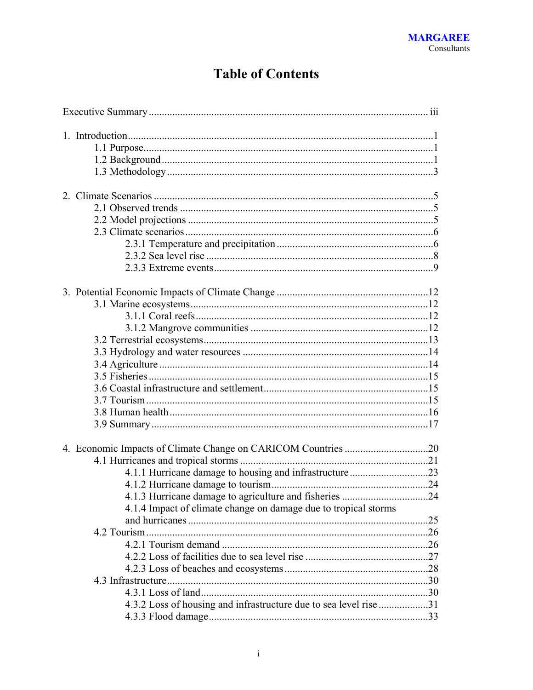# **Table of Contents**

| 4.1.4 Impact of climate change on damage due to tropical storms<br>4.3.2 Loss of housing and infrastructure due to sea level rise 31 |  |
|--------------------------------------------------------------------------------------------------------------------------------------|--|
|                                                                                                                                      |  |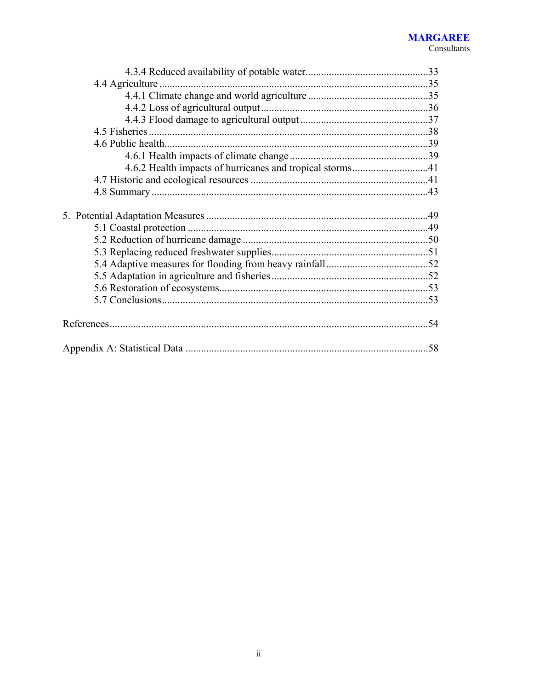#### **MARGAREE** Consultants

| .58 |
|-----|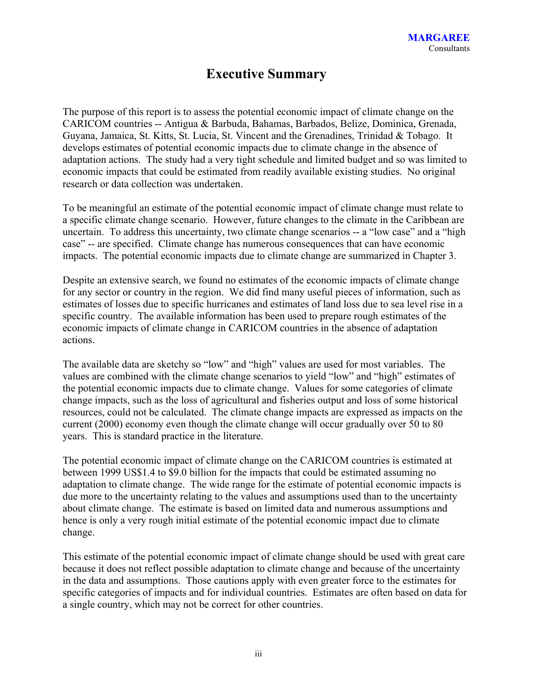## **Executive Summary**

The purpose of this report is to assess the potential economic impact of climate change on the CARICOM countries -- Antigua & Barbuda, Bahamas, Barbados, Belize, Dominica, Grenada, Guyana, Jamaica, St. Kitts, St. Lucia, St. Vincent and the Grenadines, Trinidad & Tobago. It develops estimates of potential economic impacts due to climate change in the absence of adaptation actions. The study had a very tight schedule and limited budget and so was limited to economic impacts that could be estimated from readily available existing studies. No original research or data collection was undertaken.

To be meaningful an estimate of the potential economic impact of climate change must relate to a specific climate change scenario. However, future changes to the climate in the Caribbean are uncertain. To address this uncertainty, two climate change scenarios -- a "low case" and a "high case" -- are specified. Climate change has numerous consequences that can have economic impacts. The potential economic impacts due to climate change are summarized in Chapter 3.

Despite an extensive search, we found no estimates of the economic impacts of climate change for any sector or country in the region. We did find many useful pieces of information, such as estimates of losses due to specific hurricanes and estimates of land loss due to sea level rise in a specific country. The available information has been used to prepare rough estimates of the economic impacts of climate change in CARICOM countries in the absence of adaptation actions.

The available data are sketchy so "low" and "high" values are used for most variables. The values are combined with the climate change scenarios to yield "low" and "high" estimates of the potential economic impacts due to climate change. Values for some categories of climate change impacts, such as the loss of agricultural and fisheries output and loss of some historical resources, could not be calculated. The climate change impacts are expressed as impacts on the current (2000) economy even though the climate change will occur gradually over 50 to 80 years. This is standard practice in the literature.

The potential economic impact of climate change on the CARICOM countries is estimated at between 1999 US\$1.4 to \$9.0 billion for the impacts that could be estimated assuming no adaptation to climate change. The wide range for the estimate of potential economic impacts is due more to the uncertainty relating to the values and assumptions used than to the uncertainty about climate change. The estimate is based on limited data and numerous assumptions and hence is only a very rough initial estimate of the potential economic impact due to climate change.

This estimate of the potential economic impact of climate change should be used with great care because it does not reflect possible adaptation to climate change and because of the uncertainty in the data and assumptions. Those cautions apply with even greater force to the estimates for specific categories of impacts and for individual countries. Estimates are often based on data for a single country, which may not be correct for other countries.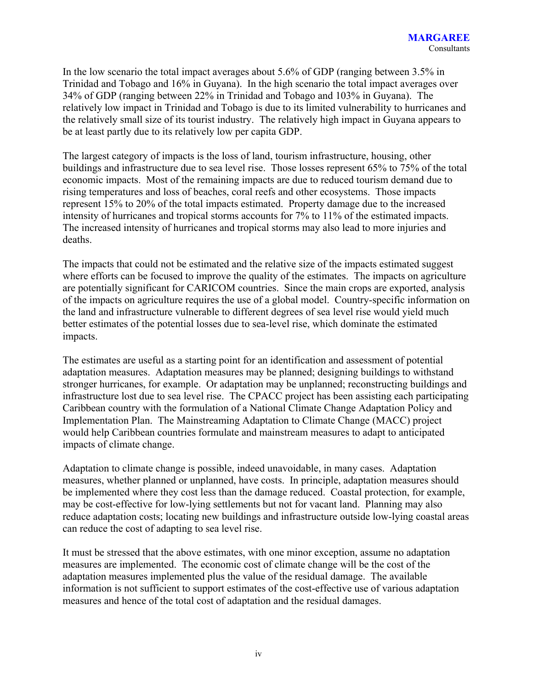In the low scenario the total impact averages about 5.6% of GDP (ranging between 3.5% in Trinidad and Tobago and 16% in Guyana). In the high scenario the total impact averages over 34% of GDP (ranging between 22% in Trinidad and Tobago and 103% in Guyana). The relatively low impact in Trinidad and Tobago is due to its limited vulnerability to hurricanes and the relatively small size of its tourist industry. The relatively high impact in Guyana appears to be at least partly due to its relatively low per capita GDP.

The largest category of impacts is the loss of land, tourism infrastructure, housing, other buildings and infrastructure due to sea level rise. Those losses represent 65% to 75% of the total economic impacts. Most of the remaining impacts are due to reduced tourism demand due to rising temperatures and loss of beaches, coral reefs and other ecosystems. Those impacts represent 15% to 20% of the total impacts estimated. Property damage due to the increased intensity of hurricanes and tropical storms accounts for 7% to 11% of the estimated impacts. The increased intensity of hurricanes and tropical storms may also lead to more injuries and deaths.

The impacts that could not be estimated and the relative size of the impacts estimated suggest where efforts can be focused to improve the quality of the estimates. The impacts on agriculture are potentially significant for CARICOM countries. Since the main crops are exported, analysis of the impacts on agriculture requires the use of a global model. Country-specific information on the land and infrastructure vulnerable to different degrees of sea level rise would yield much better estimates of the potential losses due to sea-level rise, which dominate the estimated impacts.

The estimates are useful as a starting point for an identification and assessment of potential adaptation measures. Adaptation measures may be planned; designing buildings to withstand stronger hurricanes, for example. Or adaptation may be unplanned; reconstructing buildings and infrastructure lost due to sea level rise. The CPACC project has been assisting each participating Caribbean country with the formulation of a National Climate Change Adaptation Policy and Implementation Plan. The Mainstreaming Adaptation to Climate Change (MACC) project would help Caribbean countries formulate and mainstream measures to adapt to anticipated impacts of climate change.

Adaptation to climate change is possible, indeed unavoidable, in many cases. Adaptation measures, whether planned or unplanned, have costs. In principle, adaptation measures should be implemented where they cost less than the damage reduced. Coastal protection, for example, may be cost-effective for low-lying settlements but not for vacant land. Planning may also reduce adaptation costs; locating new buildings and infrastructure outside low-lying coastal areas can reduce the cost of adapting to sea level rise.

It must be stressed that the above estimates, with one minor exception, assume no adaptation measures are implemented. The economic cost of climate change will be the cost of the adaptation measures implemented plus the value of the residual damage. The available information is not sufficient to support estimates of the cost-effective use of various adaptation measures and hence of the total cost of adaptation and the residual damages.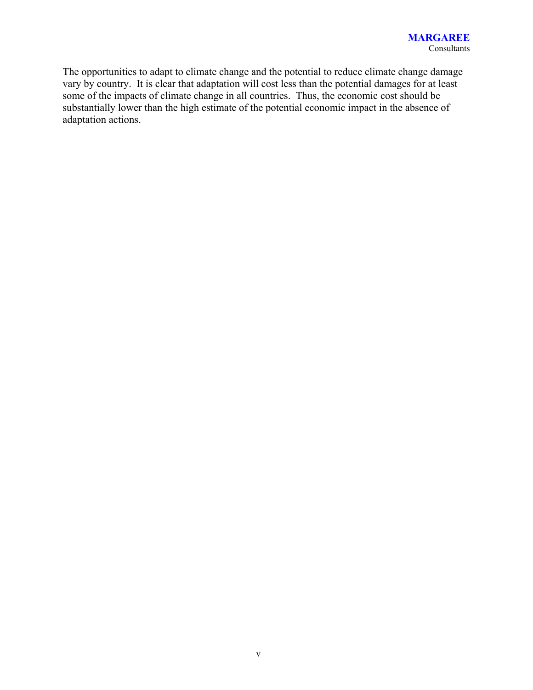The opportunities to adapt to climate change and the potential to reduce climate change damage vary by country. It is clear that adaptation will cost less than the potential damages for at least some of the impacts of climate change in all countries. Thus, the economic cost should be substantially lower than the high estimate of the potential economic impact in the absence of adaptation actions.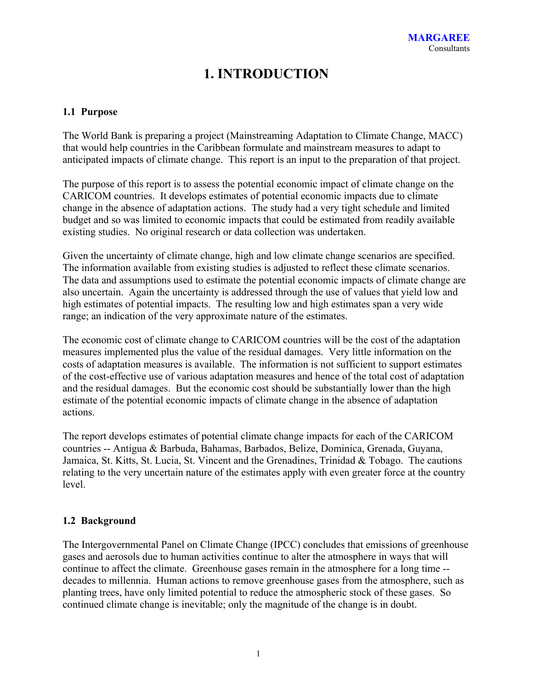# **1. INTRODUCTION**

### **1.1 Purpose**

The World Bank is preparing a project (Mainstreaming Adaptation to Climate Change, MACC) that would help countries in the Caribbean formulate and mainstream measures to adapt to anticipated impacts of climate change. This report is an input to the preparation of that project.

The purpose of this report is to assess the potential economic impact of climate change on the CARICOM countries. It develops estimates of potential economic impacts due to climate change in the absence of adaptation actions. The study had a very tight schedule and limited budget and so was limited to economic impacts that could be estimated from readily available existing studies. No original research or data collection was undertaken.

Given the uncertainty of climate change, high and low climate change scenarios are specified. The information available from existing studies is adjusted to reflect these climate scenarios. The data and assumptions used to estimate the potential economic impacts of climate change are also uncertain. Again the uncertainty is addressed through the use of values that yield low and high estimates of potential impacts. The resulting low and high estimates span a very wide range; an indication of the very approximate nature of the estimates.

The economic cost of climate change to CARICOM countries will be the cost of the adaptation measures implemented plus the value of the residual damages. Very little information on the costs of adaptation measures is available. The information is not sufficient to support estimates of the cost-effective use of various adaptation measures and hence of the total cost of adaptation and the residual damages. But the economic cost should be substantially lower than the high estimate of the potential economic impacts of climate change in the absence of adaptation actions.

The report develops estimates of potential climate change impacts for each of the CARICOM countries -- Antigua & Barbuda, Bahamas, Barbados, Belize, Dominica, Grenada, Guyana, Jamaica, St. Kitts, St. Lucia, St. Vincent and the Grenadines, Trinidad & Tobago. The cautions relating to the very uncertain nature of the estimates apply with even greater force at the country level.

#### **1.2 Background**

The Intergovernmental Panel on Climate Change (IPCC) concludes that emissions of greenhouse gases and aerosols due to human activities continue to alter the atmosphere in ways that will continue to affect the climate. Greenhouse gases remain in the atmosphere for a long time - decades to millennia. Human actions to remove greenhouse gases from the atmosphere, such as planting trees, have only limited potential to reduce the atmospheric stock of these gases. So continued climate change is inevitable; only the magnitude of the change is in doubt.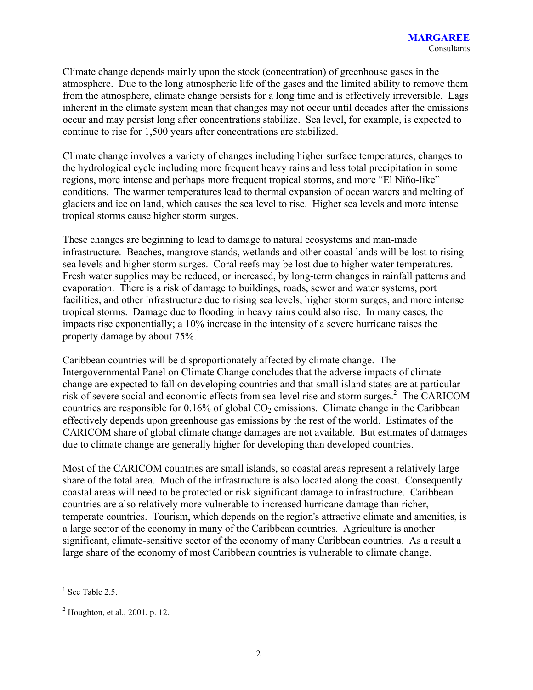Climate change depends mainly upon the stock (concentration) of greenhouse gases in the atmosphere. Due to the long atmospheric life of the gases and the limited ability to remove them from the atmosphere, climate change persists for a long time and is effectively irreversible. Lags inherent in the climate system mean that changes may not occur until decades after the emissions occur and may persist long after concentrations stabilize. Sea level, for example, is expected to continue to rise for 1,500 years after concentrations are stabilized.

Climate change involves a variety of changes including higher surface temperatures, changes to the hydrological cycle including more frequent heavy rains and less total precipitation in some regions, more intense and perhaps more frequent tropical storms, and more "El Niño-like" conditions. The warmer temperatures lead to thermal expansion of ocean waters and melting of glaciers and ice on land, which causes the sea level to rise. Higher sea levels and more intense tropical storms cause higher storm surges.

These changes are beginning to lead to damage to natural ecosystems and man-made infrastructure. Beaches, mangrove stands, wetlands and other coastal lands will be lost to rising sea levels and higher storm surges. Coral reefs may be lost due to higher water temperatures. Fresh water supplies may be reduced, or increased, by long-term changes in rainfall patterns and evaporation. There is a risk of damage to buildings, roads, sewer and water systems, port facilities, and other infrastructure due to rising sea levels, higher storm surges, and more intense tropical storms. Damage due to flooding in heavy rains could also rise. In many cases, the impacts rise exponentially; a 10% increase in the intensity of a severe hurricane raises the property damage by about 75%.<sup>1</sup>

Caribbean countries will be disproportionately affected by climate change. The Intergovernmental Panel on Climate Change concludes that the adverse impacts of climate change are expected to fall on developing countries and that small island states are at particular risk of severe social and economic effects from sea-level rise and storm surges.<sup>2</sup> The CARICOM countries are responsible for  $0.16\%$  of global  $CO<sub>2</sub>$  emissions. Climate change in the Caribbean effectively depends upon greenhouse gas emissions by the rest of the world. Estimates of the CARICOM share of global climate change damages are not available. But estimates of damages due to climate change are generally higher for developing than developed countries.

Most of the CARICOM countries are small islands, so coastal areas represent a relatively large share of the total area. Much of the infrastructure is also located along the coast. Consequently coastal areas will need to be protected or risk significant damage to infrastructure. Caribbean countries are also relatively more vulnerable to increased hurricane damage than richer, temperate countries. Tourism, which depends on the region's attractive climate and amenities, is a large sector of the economy in many of the Caribbean countries. Agriculture is another significant, climate-sensitive sector of the economy of many Caribbean countries. As a result a large share of the economy of most Caribbean countries is vulnerable to climate change.

 $\overline{a}$  $<sup>1</sup>$  See Table 2.5.</sup>

 $2^{2}$  Houghton, et al., 2001, p. 12.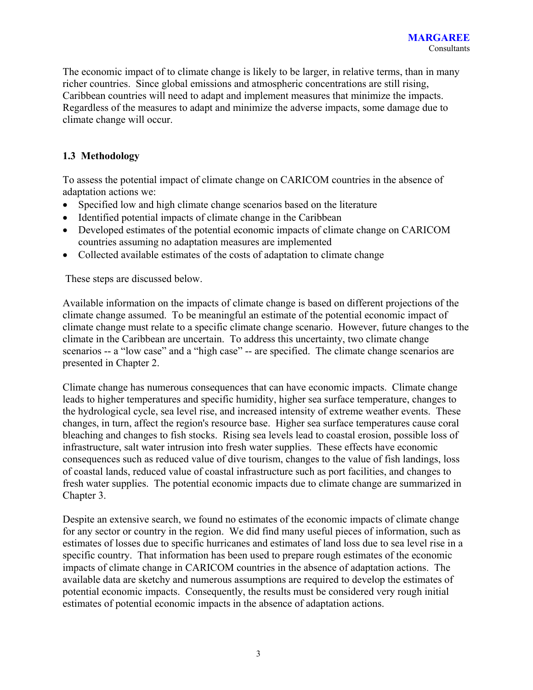The economic impact of to climate change is likely to be larger, in relative terms, than in many richer countries. Since global emissions and atmospheric concentrations are still rising, Caribbean countries will need to adapt and implement measures that minimize the impacts. Regardless of the measures to adapt and minimize the adverse impacts, some damage due to climate change will occur.

## **1.3 Methodology**

To assess the potential impact of climate change on CARICOM countries in the absence of adaptation actions we:

- Specified low and high climate change scenarios based on the literature
- Identified potential impacts of climate change in the Caribbean
- Developed estimates of the potential economic impacts of climate change on CARICOM countries assuming no adaptation measures are implemented
- Collected available estimates of the costs of adaptation to climate change

These steps are discussed below.

Available information on the impacts of climate change is based on different projections of the climate change assumed. To be meaningful an estimate of the potential economic impact of climate change must relate to a specific climate change scenario. However, future changes to the climate in the Caribbean are uncertain. To address this uncertainty, two climate change scenarios -- a "low case" and a "high case" -- are specified. The climate change scenarios are presented in Chapter 2.

Climate change has numerous consequences that can have economic impacts. Climate change leads to higher temperatures and specific humidity, higher sea surface temperature, changes to the hydrological cycle, sea level rise, and increased intensity of extreme weather events. These changes, in turn, affect the region's resource base. Higher sea surface temperatures cause coral bleaching and changes to fish stocks. Rising sea levels lead to coastal erosion, possible loss of infrastructure, salt water intrusion into fresh water supplies. These effects have economic consequences such as reduced value of dive tourism, changes to the value of fish landings, loss of coastal lands, reduced value of coastal infrastructure such as port facilities, and changes to fresh water supplies. The potential economic impacts due to climate change are summarized in Chapter 3.

Despite an extensive search, we found no estimates of the economic impacts of climate change for any sector or country in the region. We did find many useful pieces of information, such as estimates of losses due to specific hurricanes and estimates of land loss due to sea level rise in a specific country. That information has been used to prepare rough estimates of the economic impacts of climate change in CARICOM countries in the absence of adaptation actions. The available data are sketchy and numerous assumptions are required to develop the estimates of potential economic impacts. Consequently, the results must be considered very rough initial estimates of potential economic impacts in the absence of adaptation actions.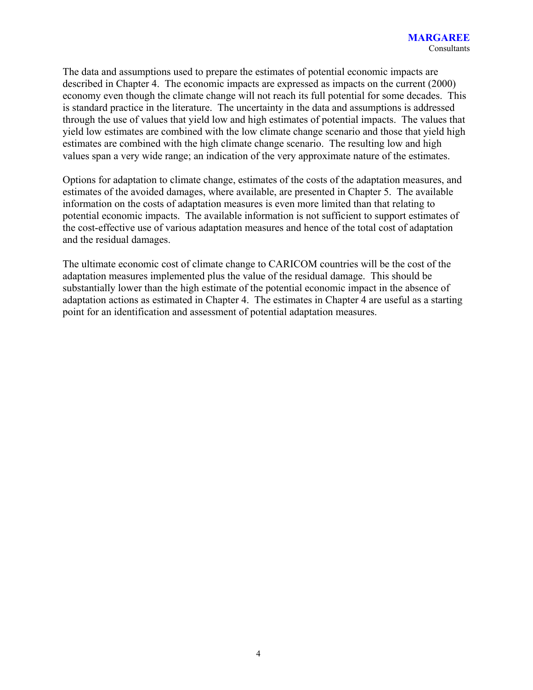The data and assumptions used to prepare the estimates of potential economic impacts are described in Chapter 4. The economic impacts are expressed as impacts on the current (2000) economy even though the climate change will not reach its full potential for some decades. This is standard practice in the literature. The uncertainty in the data and assumptions is addressed through the use of values that yield low and high estimates of potential impacts. The values that yield low estimates are combined with the low climate change scenario and those that yield high estimates are combined with the high climate change scenario. The resulting low and high values span a very wide range; an indication of the very approximate nature of the estimates.

Options for adaptation to climate change, estimates of the costs of the adaptation measures, and estimates of the avoided damages, where available, are presented in Chapter 5. The available information on the costs of adaptation measures is even more limited than that relating to potential economic impacts. The available information is not sufficient to support estimates of the cost-effective use of various adaptation measures and hence of the total cost of adaptation and the residual damages.

The ultimate economic cost of climate change to CARICOM countries will be the cost of the adaptation measures implemented plus the value of the residual damage. This should be substantially lower than the high estimate of the potential economic impact in the absence of adaptation actions as estimated in Chapter 4. The estimates in Chapter 4 are useful as a starting point for an identification and assessment of potential adaptation measures.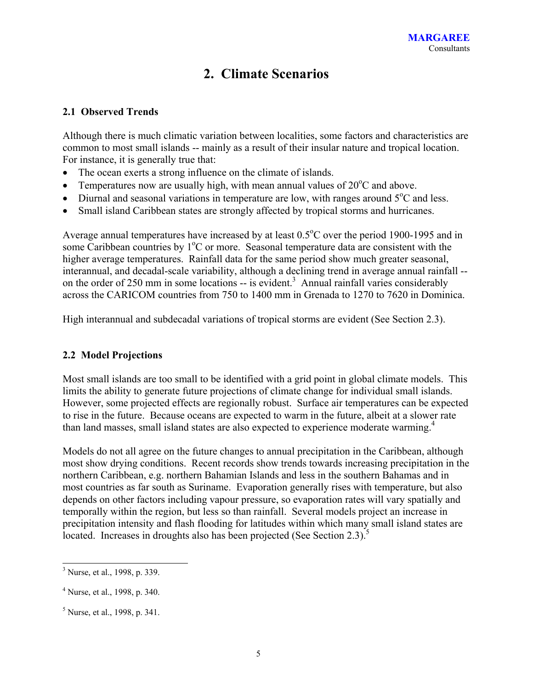## **2. Climate Scenarios**

### **2.1 Observed Trends**

Although there is much climatic variation between localities, some factors and characteristics are common to most small islands -- mainly as a result of their insular nature and tropical location. For instance, it is generally true that:

- The ocean exerts a strong influence on the climate of islands.
- Temperatures now are usually high, with mean annual values of  $20^{\circ}$ C and above.
- Diurnal and seasonal variations in temperature are low, with ranges around  $5^{\circ}$ C and less.
- Small island Caribbean states are strongly affected by tropical storms and hurricanes.

Average annual temperatures have increased by at least  $0.5^{\circ}$ C over the period 1900-1995 and in some Caribbean countries by 1°C or more. Seasonal temperature data are consistent with the higher average temperatures. Rainfall data for the same period show much greater seasonal, interannual, and decadal-scale variability, although a declining trend in average annual rainfall - on the order of 250 mm in some locations  $-$  is evident.<sup>3</sup> Annual rainfall varies considerably across the CARICOM countries from 750 to 1400 mm in Grenada to 1270 to 7620 in Dominica.

High interannual and subdecadal variations of tropical storms are evident (See Section 2.3).

## **2.2 Model Projections**

Most small islands are too small to be identified with a grid point in global climate models. This limits the ability to generate future projections of climate change for individual small islands. However, some projected effects are regionally robust. Surface air temperatures can be expected to rise in the future. Because oceans are expected to warm in the future, albeit at a slower rate than land masses, small island states are also expected to experience moderate warming.<sup>4</sup>

Models do not all agree on the future changes to annual precipitation in the Caribbean, although most show drying conditions. Recent records show trends towards increasing precipitation in the northern Caribbean, e.g. northern Bahamian Islands and less in the southern Bahamas and in most countries as far south as Suriname. Evaporation generally rises with temperature, but also depends on other factors including vapour pressure, so evaporation rates will vary spatially and temporally within the region, but less so than rainfall. Several models project an increase in precipitation intensity and flash flooding for latitudes within which many small island states are located. Increases in droughts also has been projected (See Section 2.3).<sup>5</sup>

<sup>&</sup>lt;sup>3</sup> Nurse, et al., 1998, p. 339.

<sup>&</sup>lt;sup>4</sup> Nurse, et al., 1998, p. 340.

<sup>&</sup>lt;sup>5</sup> Nurse, et al., 1998, p. 341.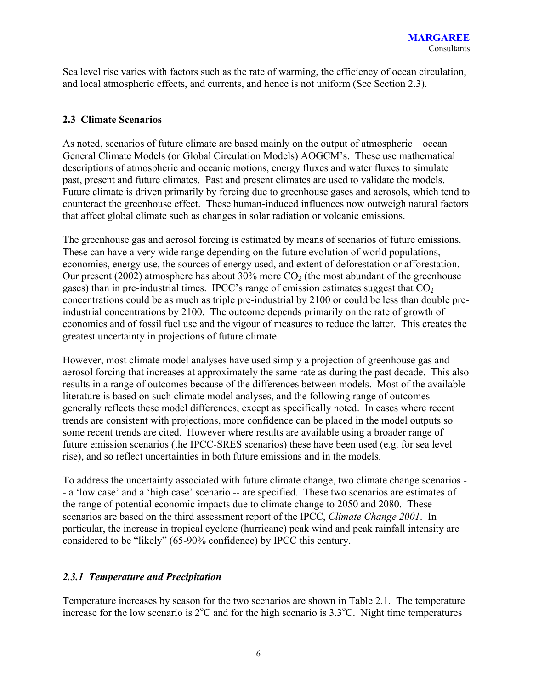Sea level rise varies with factors such as the rate of warming, the efficiency of ocean circulation, and local atmospheric effects, and currents, and hence is not uniform (See Section 2.3).

### **2.3 Climate Scenarios**

As noted, scenarios of future climate are based mainly on the output of atmospheric – ocean General Climate Models (or Global Circulation Models) AOGCM's. These use mathematical descriptions of atmospheric and oceanic motions, energy fluxes and water fluxes to simulate past, present and future climates. Past and present climates are used to validate the models. Future climate is driven primarily by forcing due to greenhouse gases and aerosols, which tend to counteract the greenhouse effect. These human-induced influences now outweigh natural factors that affect global climate such as changes in solar radiation or volcanic emissions.

The greenhouse gas and aerosol forcing is estimated by means of scenarios of future emissions. These can have a very wide range depending on the future evolution of world populations, economies, energy use, the sources of energy used, and extent of deforestation or afforestation. Our present (2002) atmosphere has about 30% more  $CO<sub>2</sub>$  (the most abundant of the greenhouse gases) than in pre-industrial times. IPCC's range of emission estimates suggest that  $CO<sub>2</sub>$ concentrations could be as much as triple pre-industrial by 2100 or could be less than double preindustrial concentrations by 2100. The outcome depends primarily on the rate of growth of economies and of fossil fuel use and the vigour of measures to reduce the latter. This creates the greatest uncertainty in projections of future climate.

However, most climate model analyses have used simply a projection of greenhouse gas and aerosol forcing that increases at approximately the same rate as during the past decade. This also results in a range of outcomes because of the differences between models. Most of the available literature is based on such climate model analyses, and the following range of outcomes generally reflects these model differences, except as specifically noted. In cases where recent trends are consistent with projections, more confidence can be placed in the model outputs so some recent trends are cited. However where results are available using a broader range of future emission scenarios (the IPCC-SRES scenarios) these have been used (e.g. for sea level rise), and so reflect uncertainties in both future emissions and in the models.

To address the uncertainty associated with future climate change, two climate change scenarios - - a 'low case' and a 'high case' scenario -- are specified. These two scenarios are estimates of the range of potential economic impacts due to climate change to 2050 and 2080. These scenarios are based on the third assessment report of the IPCC, *Climate Change 2001*. In particular, the increase in tropical cyclone (hurricane) peak wind and peak rainfall intensity are considered to be "likely" (65-90% confidence) by IPCC this century.

## *2.3.1 Temperature and Precipitation*

Temperature increases by season for the two scenarios are shown in Table 2.1. The temperature increase for the low scenario is  $2^{\circ}$ C and for the high scenario is  $3.3^{\circ}$ C. Night time temperatures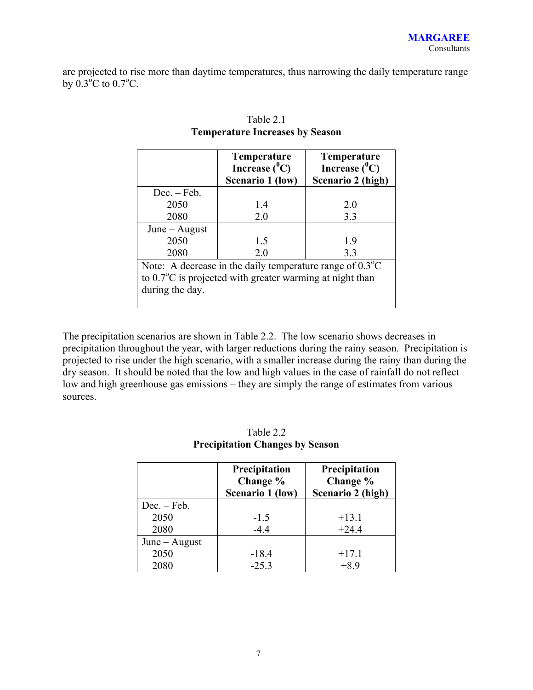are projected to rise more than daytime temperatures, thus narrowing the daily temperature range by  $0.3\degree C$  to  $0.7\degree C$ .

|                 | <b>Temperature</b><br>Increase $(^0C)$<br>Scenario 1 (low)                                                                               | <b>Temperature</b><br>Increase $(^0C)$<br>Scenario 2 (high) |
|-----------------|------------------------------------------------------------------------------------------------------------------------------------------|-------------------------------------------------------------|
| $Dec. - Feb.$   |                                                                                                                                          |                                                             |
| 2050            | 1.4                                                                                                                                      | 2.0                                                         |
| 2080            | 2.0                                                                                                                                      | 3.3                                                         |
| $June - August$ |                                                                                                                                          |                                                             |
| 2050            | 1.5                                                                                                                                      | 1.9                                                         |
| 2080            | 2.0                                                                                                                                      | 3.3                                                         |
| during the day. | Note: A decrease in the daily temperature range of $0.3^{\circ}$ C<br>to $0.7^{\circ}$ C is projected with greater warming at night than |                                                             |

## Table 2.1 **Temperature Increases by Season**

The precipitation scenarios are shown in Table 2.2. The low scenario shows decreases in precipitation throughout the year, with larger reductions during the rainy season. Precipitation is projected to rise under the high scenario, with a smaller increase during the rainy than during the dry season. It should be noted that the low and high values in the case of rainfall do not reflect low and high greenhouse gas emissions – they are simply the range of estimates from various sources.

|                 | Precipitation<br>Change %<br>Scenario 1 (low) | Precipitation<br>Change %<br>Scenario 2 (high) |
|-----------------|-----------------------------------------------|------------------------------------------------|
| $Dec. - Feb.$   |                                               |                                                |
| 2050            | $-1.5$                                        | $+13.1$                                        |
| 2080            | $-4.4$                                        | $+24.4$                                        |
| $June - August$ |                                               |                                                |
| 2050            | $-18.4$                                       | $+17.1$                                        |
| 2080            | $-25.3$                                       | $+8.9$                                         |

## Table 2.2 **Precipitation Changes by Season**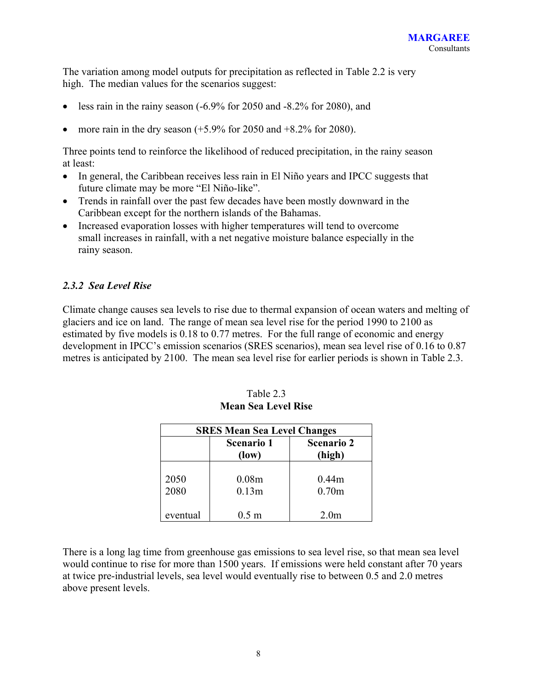The variation among model outputs for precipitation as reflected in Table 2.2 is very high. The median values for the scenarios suggest:

- less rain in the rainy season (-6.9% for 2050 and -8.2% for 2080), and
- more rain in the dry season  $(+5.9\%$  for 2050 and  $+8.2\%$  for 2080).

Three points tend to reinforce the likelihood of reduced precipitation, in the rainy season at least:

- In general, the Caribbean receives less rain in El Niño years and IPCC suggests that future climate may be more "El Niño-like".
- Trends in rainfall over the past few decades have been mostly downward in the Caribbean except for the northern islands of the Bahamas.
- Increased evaporation losses with higher temperatures will tend to overcome small increases in rainfall, with a net negative moisture balance especially in the rainy season.

### *2.3.2 Sea Level Rise*

Climate change causes sea levels to rise due to thermal expansion of ocean waters and melting of glaciers and ice on land. The range of mean sea level rise for the period 1990 to 2100 as estimated by five models is 0.18 to 0.77 metres. For the full range of economic and energy development in IPCC's emission scenarios (SRES scenarios), mean sea level rise of 0.16 to 0.87 metres is anticipated by 2100. The mean sea level rise for earlier periods is shown in Table 2.3.

| <b>SRES Mean Sea Level Changes</b> |                             |                   |  |  |  |  |
|------------------------------------|-----------------------------|-------------------|--|--|--|--|
|                                    | <b>Scenario 2</b><br>(high) |                   |  |  |  |  |
|                                    |                             |                   |  |  |  |  |
| 2050                               | 0.08 <sub>m</sub>           | 0.44 <sub>m</sub> |  |  |  |  |
| 2080                               | 0.13 <sub>m</sub>           | 0.70 <sub>m</sub> |  |  |  |  |
|                                    |                             |                   |  |  |  |  |
| eventual                           | $0.5 \text{ m}$             | 2.0 <sub>m</sub>  |  |  |  |  |

Table 2.3 **Mean Sea Level Rise**

There is a long lag time from greenhouse gas emissions to sea level rise, so that mean sea level would continue to rise for more than 1500 years. If emissions were held constant after 70 years at twice pre-industrial levels, sea level would eventually rise to between 0.5 and 2.0 metres above present levels.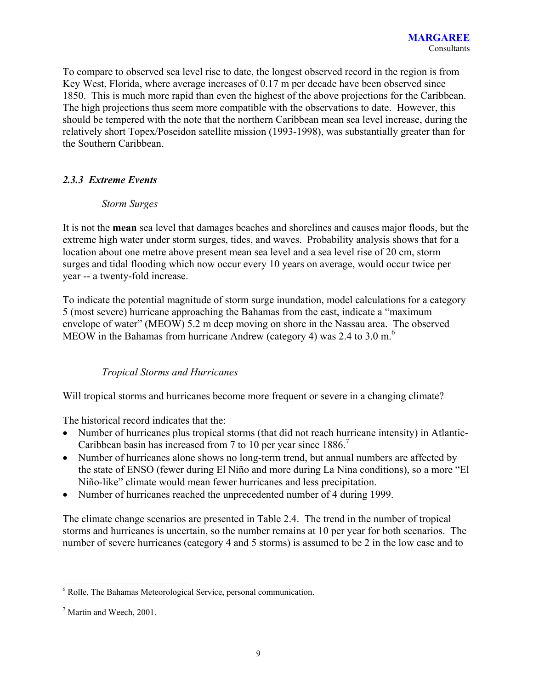To compare to observed sea level rise to date, the longest observed record in the region is from Key West, Florida, where average increases of 0.17 m per decade have been observed since 1850. This is much more rapid than even the highest of the above projections for the Caribbean. The high projections thus seem more compatible with the observations to date. However, this should be tempered with the note that the northern Caribbean mean sea level increase, during the relatively short Topex/Poseidon satellite mission (1993-1998), was substantially greater than for the Southern Caribbean.

## *2.3.3 Extreme Events*

### *Storm Surges*

It is not the **mean** sea level that damages beaches and shorelines and causes major floods, but the extreme high water under storm surges, tides, and waves. Probability analysis shows that for a location about one metre above present mean sea level and a sea level rise of 20 cm, storm surges and tidal flooding which now occur every 10 years on average, would occur twice per year -- a twenty-fold increase.

To indicate the potential magnitude of storm surge inundation, model calculations for a category 5 (most severe) hurricane approaching the Bahamas from the east, indicate a "maximum envelope of water" (MEOW) 5.2 m deep moving on shore in the Nassau area. The observed MEOW in the Bahamas from hurricane Andrew (category 4) was  $2.4$  to  $3.0 \text{ m}$ .<sup>6</sup>

## *Tropical Storms and Hurricanes*

Will tropical storms and hurricanes become more frequent or severe in a changing climate?

The historical record indicates that the:

- Number of hurricanes plus tropical storms (that did not reach hurricane intensity) in Atlantic-Caribbean basin has increased from 7 to 10 per year since 1886.<sup>7</sup>
- Number of hurricanes alone shows no long-term trend, but annual numbers are affected by the state of ENSO (fewer during El Niño and more during La Nina conditions), so a more "El Niño-like" climate would mean fewer hurricanes and less precipitation.
- Number of hurricanes reached the unprecedented number of 4 during 1999.

The climate change scenarios are presented in Table 2.4. The trend in the number of tropical storms and hurricanes is uncertain, so the number remains at 10 per year for both scenarios. The number of severe hurricanes (category 4 and 5 storms) is assumed to be 2 in the low case and to

 6 Rolle, The Bahamas Meteorological Service, personal communication.

<sup>&</sup>lt;sup>7</sup> Martin and Weech, 2001.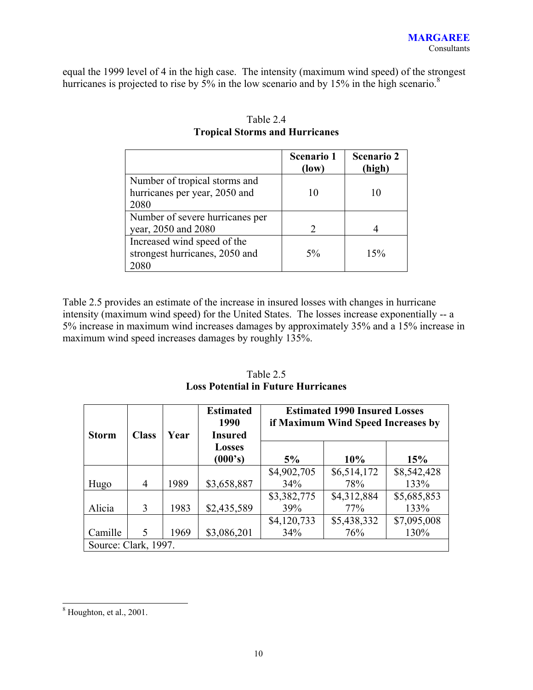equal the 1999 level of 4 in the high case. The intensity (maximum wind speed) of the strongest hurricanes is projected to rise by 5% in the low scenario and by 15% in the high scenario.<sup>8</sup>

|                                                                        | <b>Scenario 1</b><br>(low) | <b>Scenario 2</b><br>(high) |
|------------------------------------------------------------------------|----------------------------|-----------------------------|
| Number of tropical storms and<br>hurricanes per year, 2050 and<br>2080 | 10                         | 10                          |
| Number of severe hurricanes per<br>year, 2050 and 2080                 | $\mathcal{D}$              |                             |
| Increased wind speed of the<br>strongest hurricanes, 2050 and<br>2080  | 5%                         | 15%                         |

## Table 2.4 **Tropical Storms and Hurricanes**

Table 2.5 provides an estimate of the increase in insured losses with changes in hurricane intensity (maximum wind speed) for the United States. The losses increase exponentially -- a 5% increase in maximum wind increases damages by approximately 35% and a 15% increase in maximum wind speed increases damages by roughly 135%.

| <b>Storm</b> | <b>Class</b>         | Year | <b>Estimated</b><br>1990<br><b>Insured</b> | <b>Estimated 1990 Insured Losses</b><br>if Maximum Wind Speed Increases by |             |             |  |  |  |
|--------------|----------------------|------|--------------------------------------------|----------------------------------------------------------------------------|-------------|-------------|--|--|--|
|              |                      |      | <b>Losses</b><br>(000's)                   | 5%                                                                         | 10%         | 15%         |  |  |  |
|              |                      |      |                                            | \$4,902,705                                                                | \$6,514,172 | \$8,542,428 |  |  |  |
| Hugo         | $\overline{4}$       | 1989 | \$3,658,887                                | 34%                                                                        | 78%         | 133%        |  |  |  |
|              |                      |      |                                            | \$3,382,775                                                                | \$4,312,884 | \$5,685,853 |  |  |  |
| Alicia       | 3                    | 1983 | \$2,435,589                                | 39%                                                                        | 77%         | 133%        |  |  |  |
|              |                      |      |                                            | \$4,120,733                                                                | \$5,438,332 | \$7,095,008 |  |  |  |
| Camille      | 5                    | 1969 | \$3,086,201                                | 130%<br>34%<br>76%                                                         |             |             |  |  |  |
|              | Source: Clark, 1997. |      |                                            |                                                                            |             |             |  |  |  |

Table 2.5 **Loss Potential in Future Hurricanes** 

 8 Houghton, et al., 2001.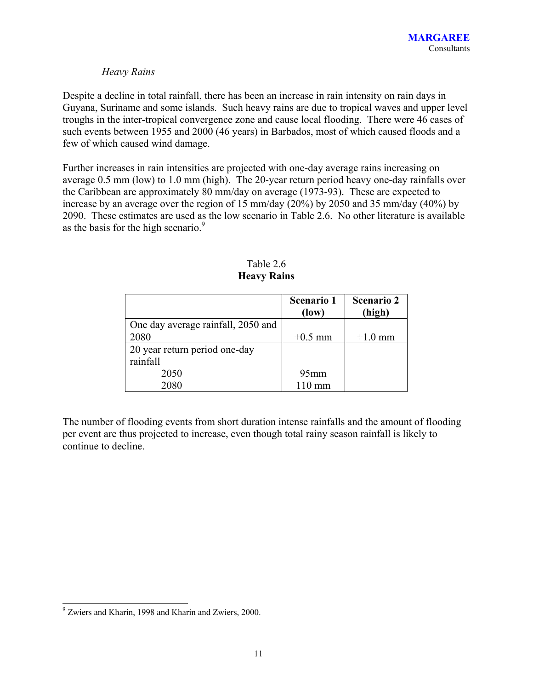### *Heavy Rains*

Despite a decline in total rainfall, there has been an increase in rain intensity on rain days in Guyana, Suriname and some islands. Such heavy rains are due to tropical waves and upper level troughs in the inter-tropical convergence zone and cause local flooding. There were 46 cases of such events between 1955 and 2000 (46 years) in Barbados, most of which caused floods and a few of which caused wind damage.

Further increases in rain intensities are projected with one-day average rains increasing on average 0.5 mm (low) to 1.0 mm (high). The 20-year return period heavy one-day rainfalls over the Caribbean are approximately 80 mm/day on average (1973-93). These are expected to increase by an average over the region of 15 mm/day (20%) by 2050 and 35 mm/day (40%) by 2090. These estimates are used as the low scenario in Table 2.6. No other literature is available as the basis for the high scenario.<sup>9</sup>

|                                    | <b>Scenario 1</b><br>$flow$ | <b>Scenario 2</b><br>(high) |
|------------------------------------|-----------------------------|-----------------------------|
| One day average rainfall, 2050 and |                             |                             |
| 2080                               | $+0.5$ mm                   | $+1.0$ mm                   |
| 20 year return period one-day      |                             |                             |
| rainfall                           |                             |                             |
| 2050                               | $95$ mm                     |                             |
| 2080                               | $110 \text{ mm}$            |                             |

Table 2.6 **Heavy Rains**

The number of flooding events from short duration intense rainfalls and the amount of flooding per event are thus projected to increase, even though total rainy season rainfall is likely to continue to decline.

<sup>&</sup>lt;sup>9</sup> Zwiers and Kharin, 1998 and Kharin and Zwiers, 2000.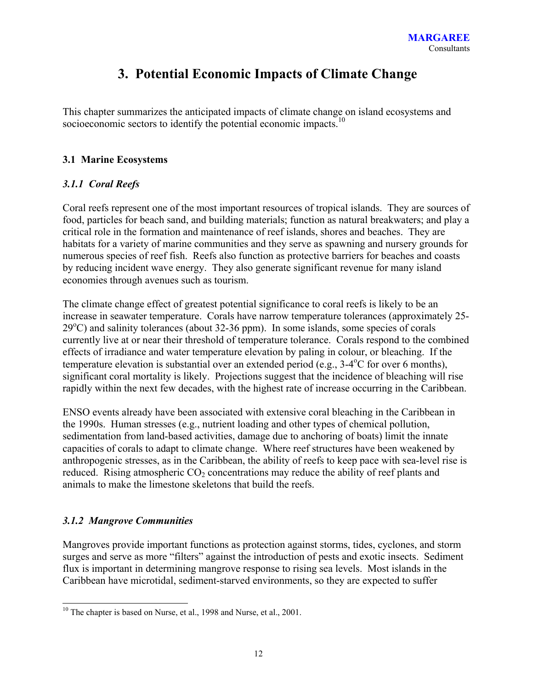## **3. Potential Economic Impacts of Climate Change**

This chapter summarizes the anticipated impacts of climate change on island ecosystems and socioeconomic sectors to identify the potential economic impacts.<sup>10</sup>

### **3.1 Marine Ecosystems**

## *3.1.1 Coral Reefs*

Coral reefs represent one of the most important resources of tropical islands. They are sources of food, particles for beach sand, and building materials; function as natural breakwaters; and play a critical role in the formation and maintenance of reef islands, shores and beaches. They are habitats for a variety of marine communities and they serve as spawning and nursery grounds for numerous species of reef fish. Reefs also function as protective barriers for beaches and coasts by reducing incident wave energy. They also generate significant revenue for many island economies through avenues such as tourism.

The climate change effect of greatest potential significance to coral reefs is likely to be an increase in seawater temperature. Corals have narrow temperature tolerances (approximately 25-  $29^{\circ}$ C) and salinity tolerances (about 32-36 ppm). In some islands, some species of corals currently live at or near their threshold of temperature tolerance. Corals respond to the combined effects of irradiance and water temperature elevation by paling in colour, or bleaching. If the temperature elevation is substantial over an extended period (e.g.,  $3-4$ <sup>o</sup>C for over 6 months), significant coral mortality is likely. Projections suggest that the incidence of bleaching will rise rapidly within the next few decades, with the highest rate of increase occurring in the Caribbean.

ENSO events already have been associated with extensive coral bleaching in the Caribbean in the 1990s. Human stresses (e.g., nutrient loading and other types of chemical pollution, sedimentation from land-based activities, damage due to anchoring of boats) limit the innate capacities of corals to adapt to climate change. Where reef structures have been weakened by anthropogenic stresses, as in the Caribbean, the ability of reefs to keep pace with sea-level rise is reduced. Rising atmospheric  $CO_2$  concentrations may reduce the ability of reef plants and animals to make the limestone skeletons that build the reefs.

## *3.1.2 Mangrove Communities*

 $\overline{a}$ 

Mangroves provide important functions as protection against storms, tides, cyclones, and storm surges and serve as more "filters" against the introduction of pests and exotic insects. Sediment flux is important in determining mangrove response to rising sea levels. Most islands in the Caribbean have microtidal, sediment-starved environments, so they are expected to suffer

 $10$  The chapter is based on Nurse, et al., 1998 and Nurse, et al., 2001.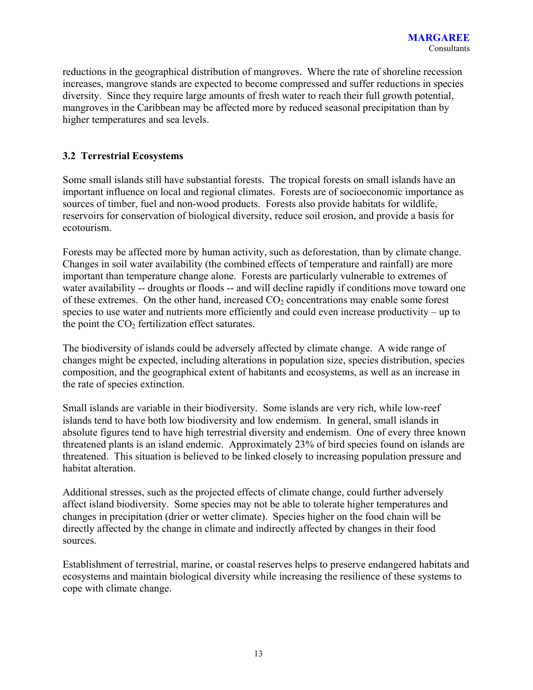reductions in the geographical distribution of mangroves. Where the rate of shoreline recession increases, mangrove stands are expected to become compressed and suffer reductions in species diversity. Since they require large amounts of fresh water to reach their full growth potential, mangroves in the Caribbean may be affected more by reduced seasonal precipitation than by higher temperatures and sea levels.

### **3.2 Terrestrial Ecosystems**

Some small islands still have substantial forests. The tropical forests on small islands have an important influence on local and regional climates. Forests are of socioeconomic importance as sources of timber, fuel and non-wood products. Forests also provide habitats for wildlife, reservoirs for conservation of biological diversity, reduce soil erosion, and provide a basis for ecotourism.

Forests may be affected more by human activity, such as deforestation, than by climate change. Changes in soil water availability (the combined effects of temperature and rainfall) are more important than temperature change alone. Forests are particularly vulnerable to extremes of water availability -- droughts or floods -- and will decline rapidly if conditions move toward one of these extremes. On the other hand, increased  $CO<sub>2</sub>$  concentrations may enable some forest species to use water and nutrients more efficiently and could even increase productivity – up to the point the  $CO<sub>2</sub>$  fertilization effect saturates.

The biodiversity of islands could be adversely affected by climate change. A wide range of changes might be expected, including alterations in population size, species distribution, species composition, and the geographical extent of habitants and ecosystems, as well as an increase in the rate of species extinction.

Small islands are variable in their biodiversity. Some islands are very rich, while low-reef islands tend to have both low biodiversity and low endemism. In general, small islands in absolute figures tend to have high terrestrial diversity and endemism. One of every three known threatened plants is an island endemic. Approximately 23% of bird species found on islands are threatened. This situation is believed to be linked closely to increasing population pressure and habitat alteration.

Additional stresses, such as the projected effects of climate change, could further adversely affect island biodiversity. Some species may not be able to tolerate higher temperatures and changes in precipitation (drier or wetter climate). Species higher on the food chain will be directly affected by the change in climate and indirectly affected by changes in their food sources.

Establishment of terrestrial, marine, or coastal reserves helps to preserve endangered habitats and ecosystems and maintain biological diversity while increasing the resilience of these systems to cope with climate change.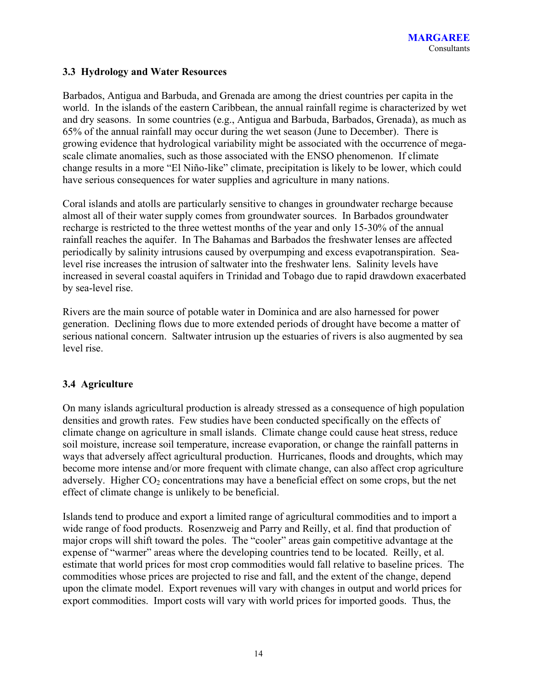#### **3.3 Hydrology and Water Resources**

Barbados, Antigua and Barbuda, and Grenada are among the driest countries per capita in the world. In the islands of the eastern Caribbean, the annual rainfall regime is characterized by wet and dry seasons. In some countries (e.g., Antigua and Barbuda, Barbados, Grenada), as much as 65% of the annual rainfall may occur during the wet season (June to December). There is growing evidence that hydrological variability might be associated with the occurrence of megascale climate anomalies, such as those associated with the ENSO phenomenon. If climate change results in a more "El Niño-like" climate, precipitation is likely to be lower, which could have serious consequences for water supplies and agriculture in many nations.

Coral islands and atolls are particularly sensitive to changes in groundwater recharge because almost all of their water supply comes from groundwater sources. In Barbados groundwater recharge is restricted to the three wettest months of the year and only 15-30% of the annual rainfall reaches the aquifer. In The Bahamas and Barbados the freshwater lenses are affected periodically by salinity intrusions caused by overpumping and excess evapotranspiration. Sealevel rise increases the intrusion of saltwater into the freshwater lens. Salinity levels have increased in several coastal aquifers in Trinidad and Tobago due to rapid drawdown exacerbated by sea-level rise.

Rivers are the main source of potable water in Dominica and are also harnessed for power generation. Declining flows due to more extended periods of drought have become a matter of serious national concern. Saltwater intrusion up the estuaries of rivers is also augmented by sea level rise.

## **3.4 Agriculture**

On many islands agricultural production is already stressed as a consequence of high population densities and growth rates. Few studies have been conducted specifically on the effects of climate change on agriculture in small islands. Climate change could cause heat stress, reduce soil moisture, increase soil temperature, increase evaporation, or change the rainfall patterns in ways that adversely affect agricultural production. Hurricanes, floods and droughts, which may become more intense and/or more frequent with climate change, can also affect crop agriculture adversely. Higher  $CO<sub>2</sub>$  concentrations may have a beneficial effect on some crops, but the net effect of climate change is unlikely to be beneficial.

Islands tend to produce and export a limited range of agricultural commodities and to import a wide range of food products. Rosenzweig and Parry and Reilly, et al. find that production of major crops will shift toward the poles. The "cooler" areas gain competitive advantage at the expense of "warmer" areas where the developing countries tend to be located. Reilly, et al. estimate that world prices for most crop commodities would fall relative to baseline prices. The commodities whose prices are projected to rise and fall, and the extent of the change, depend upon the climate model. Export revenues will vary with changes in output and world prices for export commodities. Import costs will vary with world prices for imported goods. Thus, the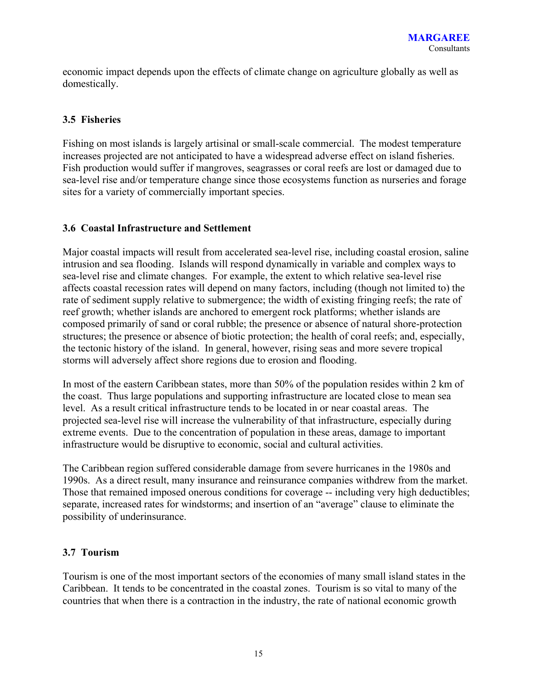economic impact depends upon the effects of climate change on agriculture globally as well as domestically.

## **3.5 Fisheries**

Fishing on most islands is largely artisinal or small-scale commercial. The modest temperature increases projected are not anticipated to have a widespread adverse effect on island fisheries. Fish production would suffer if mangroves, seagrasses or coral reefs are lost or damaged due to sea-level rise and/or temperature change since those ecosystems function as nurseries and forage sites for a variety of commercially important species.

## **3.6 Coastal Infrastructure and Settlement**

Major coastal impacts will result from accelerated sea-level rise, including coastal erosion, saline intrusion and sea flooding. Islands will respond dynamically in variable and complex ways to sea-level rise and climate changes. For example, the extent to which relative sea-level rise affects coastal recession rates will depend on many factors, including (though not limited to) the rate of sediment supply relative to submergence; the width of existing fringing reefs; the rate of reef growth; whether islands are anchored to emergent rock platforms; whether islands are composed primarily of sand or coral rubble; the presence or absence of natural shore-protection structures; the presence or absence of biotic protection; the health of coral reefs; and, especially, the tectonic history of the island. In general, however, rising seas and more severe tropical storms will adversely affect shore regions due to erosion and flooding.

In most of the eastern Caribbean states, more than 50% of the population resides within 2 km of the coast. Thus large populations and supporting infrastructure are located close to mean sea level. As a result critical infrastructure tends to be located in or near coastal areas. The projected sea-level rise will increase the vulnerability of that infrastructure, especially during extreme events. Due to the concentration of population in these areas, damage to important infrastructure would be disruptive to economic, social and cultural activities.

The Caribbean region suffered considerable damage from severe hurricanes in the 1980s and 1990s. As a direct result, many insurance and reinsurance companies withdrew from the market. Those that remained imposed onerous conditions for coverage -- including very high deductibles; separate, increased rates for windstorms; and insertion of an "average" clause to eliminate the possibility of underinsurance.

## **3.7 Tourism**

Tourism is one of the most important sectors of the economies of many small island states in the Caribbean. It tends to be concentrated in the coastal zones. Tourism is so vital to many of the countries that when there is a contraction in the industry, the rate of national economic growth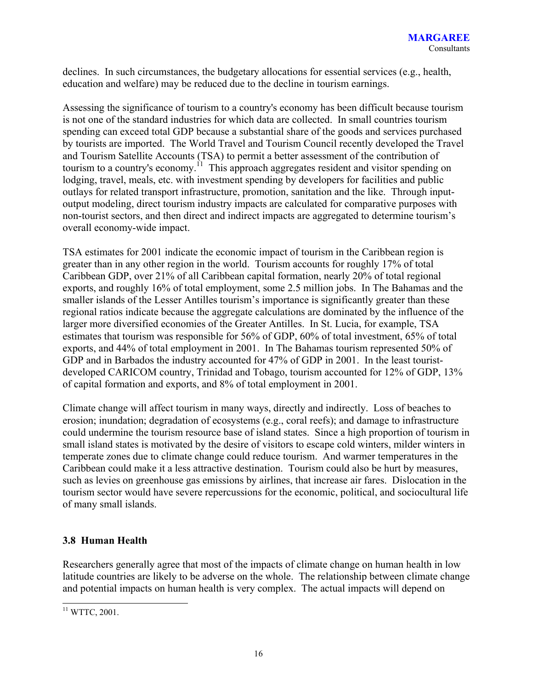declines. In such circumstances, the budgetary allocations for essential services (e.g., health, education and welfare) may be reduced due to the decline in tourism earnings.

Assessing the significance of tourism to a country's economy has been difficult because tourism is not one of the standard industries for which data are collected. In small countries tourism spending can exceed total GDP because a substantial share of the goods and services purchased by tourists are imported. The World Travel and Tourism Council recently developed the Travel and Tourism Satellite Accounts (TSA) to permit a better assessment of the contribution of tourism to a country's economy.<sup>11</sup> This approach aggregates resident and visitor spending on lodging, travel, meals, etc. with investment spending by developers for facilities and public outlays for related transport infrastructure, promotion, sanitation and the like. Through inputoutput modeling, direct tourism industry impacts are calculated for comparative purposes with non-tourist sectors, and then direct and indirect impacts are aggregated to determine tourism's overall economy-wide impact.

TSA estimates for 2001 indicate the economic impact of tourism in the Caribbean region is greater than in any other region in the world. Tourism accounts for roughly 17% of total Caribbean GDP, over 21% of all Caribbean capital formation, nearly 20% of total regional exports, and roughly 16% of total employment, some 2.5 million jobs. In The Bahamas and the smaller islands of the Lesser Antilles tourism's importance is significantly greater than these regional ratios indicate because the aggregate calculations are dominated by the influence of the larger more diversified economies of the Greater Antilles. In St. Lucia, for example, TSA estimates that tourism was responsible for 56% of GDP, 60% of total investment, 65% of total exports, and 44% of total employment in 2001. In The Bahamas tourism represented 50% of GDP and in Barbados the industry accounted for 47% of GDP in 2001. In the least touristdeveloped CARICOM country, Trinidad and Tobago, tourism accounted for 12% of GDP, 13% of capital formation and exports, and 8% of total employment in 2001.

Climate change will affect tourism in many ways, directly and indirectly. Loss of beaches to erosion; inundation; degradation of ecosystems (e.g., coral reefs); and damage to infrastructure could undermine the tourism resource base of island states. Since a high proportion of tourism in small island states is motivated by the desire of visitors to escape cold winters, milder winters in temperate zones due to climate change could reduce tourism. And warmer temperatures in the Caribbean could make it a less attractive destination. Tourism could also be hurt by measures, such as levies on greenhouse gas emissions by airlines, that increase air fares. Dislocation in the tourism sector would have severe repercussions for the economic, political, and sociocultural life of many small islands.

## **3.8 Human Health**

Researchers generally agree that most of the impacts of climate change on human health in low latitude countries are likely to be adverse on the whole. The relationship between climate change and potential impacts on human health is very complex. The actual impacts will depend on

 $\overline{a}$  $11$  WTTC, 2001.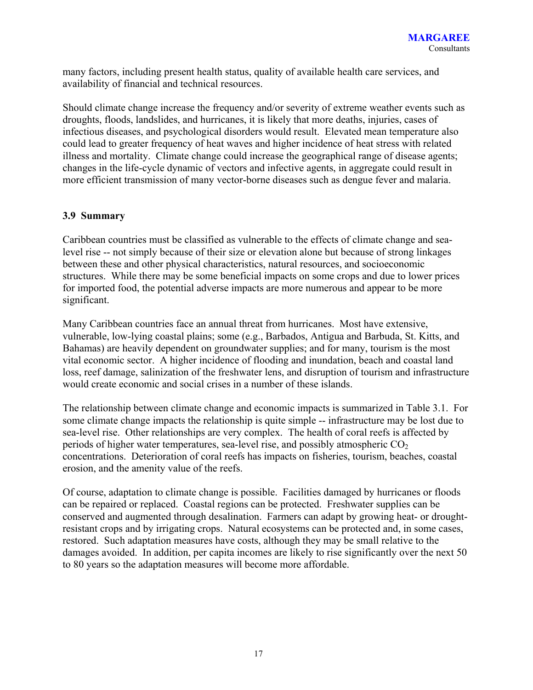many factors, including present health status, quality of available health care services, and availability of financial and technical resources.

Should climate change increase the frequency and/or severity of extreme weather events such as droughts, floods, landslides, and hurricanes, it is likely that more deaths, injuries, cases of infectious diseases, and psychological disorders would result. Elevated mean temperature also could lead to greater frequency of heat waves and higher incidence of heat stress with related illness and mortality. Climate change could increase the geographical range of disease agents; changes in the life-cycle dynamic of vectors and infective agents, in aggregate could result in more efficient transmission of many vector-borne diseases such as dengue fever and malaria.

#### **3.9 Summary**

Caribbean countries must be classified as vulnerable to the effects of climate change and sealevel rise -- not simply because of their size or elevation alone but because of strong linkages between these and other physical characteristics, natural resources, and socioeconomic structures. While there may be some beneficial impacts on some crops and due to lower prices for imported food, the potential adverse impacts are more numerous and appear to be more significant.

Many Caribbean countries face an annual threat from hurricanes. Most have extensive, vulnerable, low-lying coastal plains; some (e.g., Barbados, Antigua and Barbuda, St. Kitts, and Bahamas) are heavily dependent on groundwater supplies; and for many, tourism is the most vital economic sector. A higher incidence of flooding and inundation, beach and coastal land loss, reef damage, salinization of the freshwater lens, and disruption of tourism and infrastructure would create economic and social crises in a number of these islands.

The relationship between climate change and economic impacts is summarized in Table 3.1. For some climate change impacts the relationship is quite simple -- infrastructure may be lost due to sea-level rise. Other relationships are very complex. The health of coral reefs is affected by periods of higher water temperatures, sea-level rise, and possibly atmospheric  $CO<sub>2</sub>$ concentrations. Deterioration of coral reefs has impacts on fisheries, tourism, beaches, coastal erosion, and the amenity value of the reefs.

Of course, adaptation to climate change is possible. Facilities damaged by hurricanes or floods can be repaired or replaced. Coastal regions can be protected. Freshwater supplies can be conserved and augmented through desalination. Farmers can adapt by growing heat- or droughtresistant crops and by irrigating crops. Natural ecosystems can be protected and, in some cases, restored. Such adaptation measures have costs, although they may be small relative to the damages avoided. In addition, per capita incomes are likely to rise significantly over the next 50 to 80 years so the adaptation measures will become more affordable.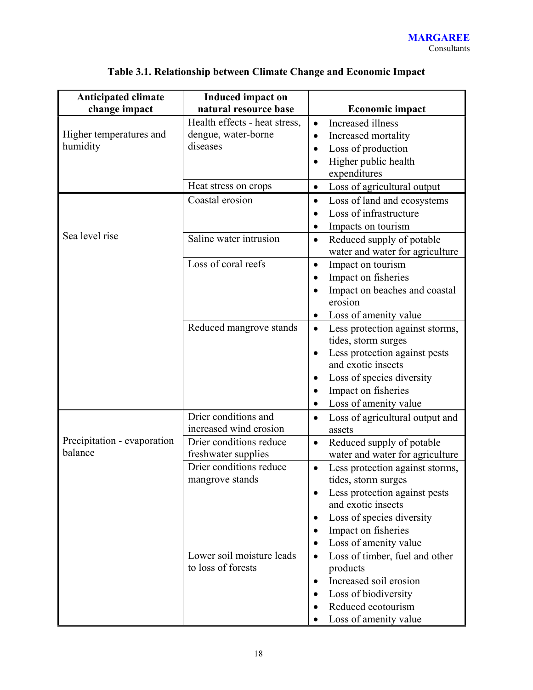| <b>Anticipated climate</b>          | <b>Induced impact on</b><br>natural resource base |                                                                           |
|-------------------------------------|---------------------------------------------------|---------------------------------------------------------------------------|
| change impact                       |                                                   | <b>Economic impact</b>                                                    |
|                                     | Health effects - heat stress,                     | Increased illness<br>$\bullet$                                            |
| Higher temperatures and<br>humidity | dengue, water-borne<br>diseases                   | Increased mortality<br>$\bullet$                                          |
|                                     |                                                   | Loss of production                                                        |
|                                     |                                                   | Higher public health                                                      |
|                                     |                                                   | expenditures                                                              |
|                                     | Heat stress on crops                              | Loss of agricultural output<br>$\bullet$                                  |
|                                     | Coastal erosion                                   | Loss of land and ecosystems<br>$\bullet$                                  |
|                                     |                                                   | Loss of infrastructure<br>$\bullet$                                       |
| Sea level rise                      |                                                   | Impacts on tourism<br>$\bullet$                                           |
|                                     | Saline water intrusion                            | Reduced supply of potable<br>$\bullet$<br>water and water for agriculture |
|                                     | Loss of coral reefs                               | Impact on tourism<br>$\bullet$                                            |
|                                     |                                                   | Impact on fisheries<br>$\bullet$                                          |
|                                     |                                                   | Impact on beaches and coastal<br>$\bullet$                                |
|                                     |                                                   | erosion                                                                   |
|                                     |                                                   | Loss of amenity value<br>٠                                                |
|                                     | Reduced mangrove stands                           | Less protection against storms,<br>$\bullet$                              |
|                                     |                                                   | tides, storm surges                                                       |
|                                     |                                                   | Less protection against pests<br>٠                                        |
|                                     |                                                   | and exotic insects                                                        |
|                                     |                                                   | Loss of species diversity                                                 |
|                                     |                                                   | Impact on fisheries                                                       |
|                                     |                                                   | Loss of amenity value<br>$\bullet$                                        |
|                                     | Drier conditions and                              | Loss of agricultural output and<br>$\bullet$                              |
|                                     | increased wind erosion                            | assets                                                                    |
| Precipitation - evaporation         | Drier conditions reduce                           | Reduced supply of potable<br>$\bullet$                                    |
| balance                             | freshwater supplies                               | water and water for agriculture                                           |
|                                     | Drier conditions reduce                           | Less protection against storms,                                           |
|                                     | mangrove stands                                   | tides, storm surges                                                       |
|                                     |                                                   | Less protection against pests                                             |
|                                     |                                                   | and exotic insects                                                        |
|                                     |                                                   | Loss of species diversity                                                 |
|                                     |                                                   | Impact on fisheries                                                       |
|                                     |                                                   | Loss of amenity value<br>$\bullet$                                        |
|                                     | Lower soil moisture leads                         | Loss of timber, fuel and other<br>$\bullet$                               |
|                                     | to loss of forests                                | products                                                                  |
|                                     |                                                   | Increased soil erosion<br>$\bullet$                                       |
|                                     |                                                   | Loss of biodiversity<br>$\bullet$                                         |
|                                     |                                                   | Reduced ecotourism                                                        |
|                                     |                                                   | Loss of amenity value                                                     |

## **Table 3.1. Relationship between Climate Change and Economic Impact**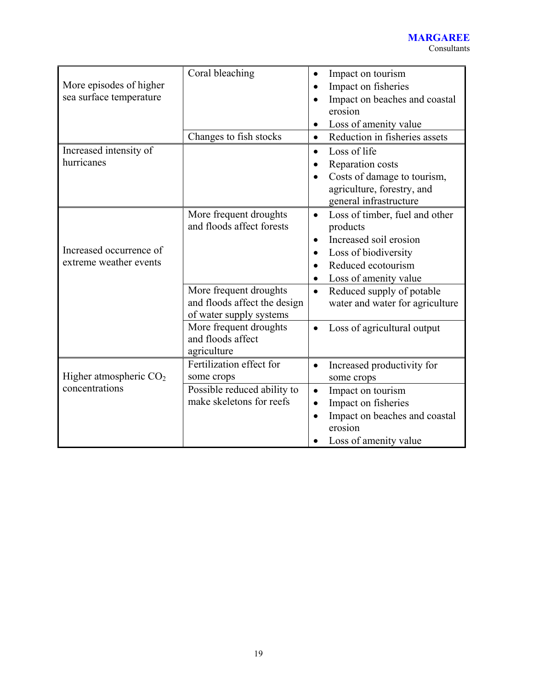| More episodes of higher<br>sea surface temperature | Coral bleaching<br>Changes to fish stocks                                                                                                                          | Impact on tourism<br>Impact on fisheries<br>Impact on beaches and coastal<br>erosion<br>Loss of amenity value<br>$\bullet$<br>Reduction in fisheries assets<br>$\bullet$                                                                                                                                                 |
|----------------------------------------------------|--------------------------------------------------------------------------------------------------------------------------------------------------------------------|--------------------------------------------------------------------------------------------------------------------------------------------------------------------------------------------------------------------------------------------------------------------------------------------------------------------------|
| Increased intensity of<br>hurricanes               |                                                                                                                                                                    | Loss of life<br>$\bullet$<br>Reparation costs<br>Costs of damage to tourism,<br>agriculture, forestry, and<br>general infrastructure                                                                                                                                                                                     |
| Increased occurrence of<br>extreme weather events  | More frequent droughts<br>and floods affect forests<br>More frequent droughts<br>and floods affect the design<br>of water supply systems<br>More frequent droughts | Loss of timber, fuel and other<br>$\bullet$<br>products<br>Increased soil erosion<br>$\bullet$<br>Loss of biodiversity<br>$\bullet$<br>Reduced ecotourism<br>$\bullet$<br>Loss of amenity value<br>$\bullet$<br>Reduced supply of potable<br>$\bullet$<br>water and water for agriculture<br>Loss of agricultural output |
|                                                    | and floods affect<br>agriculture                                                                                                                                   |                                                                                                                                                                                                                                                                                                                          |
| Higher atmospheric $CO2$<br>concentrations         | Fertilization effect for<br>some crops<br>Possible reduced ability to<br>make skeletons for reefs                                                                  | Increased productivity for<br>$\bullet$<br>some crops<br>Impact on tourism<br>$\bullet$<br>Impact on fisheries<br>Impact on beaches and coastal<br>erosion<br>Loss of amenity value                                                                                                                                      |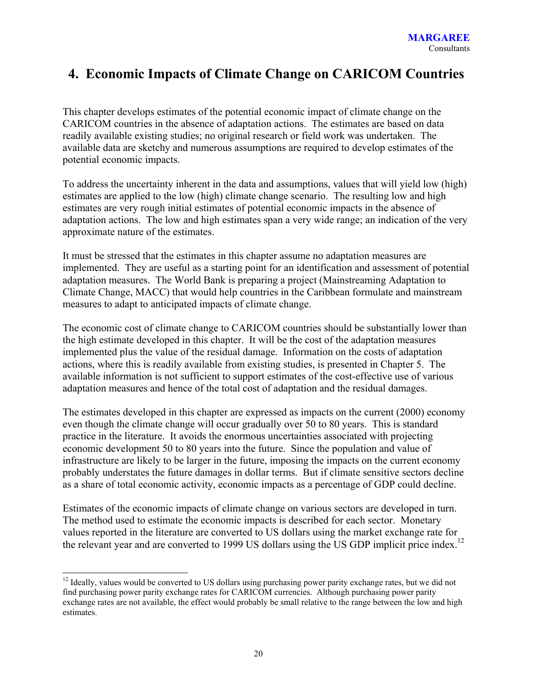## **4. Economic Impacts of Climate Change on CARICOM Countries**

This chapter develops estimates of the potential economic impact of climate change on the CARICOM countries in the absence of adaptation actions. The estimates are based on data readily available existing studies; no original research or field work was undertaken. The available data are sketchy and numerous assumptions are required to develop estimates of the potential economic impacts.

To address the uncertainty inherent in the data and assumptions, values that will yield low (high) estimates are applied to the low (high) climate change scenario. The resulting low and high estimates are very rough initial estimates of potential economic impacts in the absence of adaptation actions. The low and high estimates span a very wide range; an indication of the very approximate nature of the estimates.

It must be stressed that the estimates in this chapter assume no adaptation measures are implemented. They are useful as a starting point for an identification and assessment of potential adaptation measures. The World Bank is preparing a project (Mainstreaming Adaptation to Climate Change, MACC) that would help countries in the Caribbean formulate and mainstream measures to adapt to anticipated impacts of climate change.

The economic cost of climate change to CARICOM countries should be substantially lower than the high estimate developed in this chapter. It will be the cost of the adaptation measures implemented plus the value of the residual damage. Information on the costs of adaptation actions, where this is readily available from existing studies, is presented in Chapter 5. The available information is not sufficient to support estimates of the cost-effective use of various adaptation measures and hence of the total cost of adaptation and the residual damages.

The estimates developed in this chapter are expressed as impacts on the current (2000) economy even though the climate change will occur gradually over 50 to 80 years. This is standard practice in the literature. It avoids the enormous uncertainties associated with projecting economic development 50 to 80 years into the future. Since the population and value of infrastructure are likely to be larger in the future, imposing the impacts on the current economy probably understates the future damages in dollar terms. But if climate sensitive sectors decline as a share of total economic activity, economic impacts as a percentage of GDP could decline.

Estimates of the economic impacts of climate change on various sectors are developed in turn. The method used to estimate the economic impacts is described for each sector. Monetary values reported in the literature are converted to US dollars using the market exchange rate for the relevant year and are converted to 1999 US dollars using the US GDP implicit price index.<sup>12</sup>

<sup>&</sup>lt;sup>12</sup> Ideally, values would be converted to US dollars using purchasing power parity exchange rates, but we did not find purchasing power parity exchange rates for CARICOM currencies. Although purchasing power parity exchange rates are not available, the effect would probably be small relative to the range between the low and high estimates.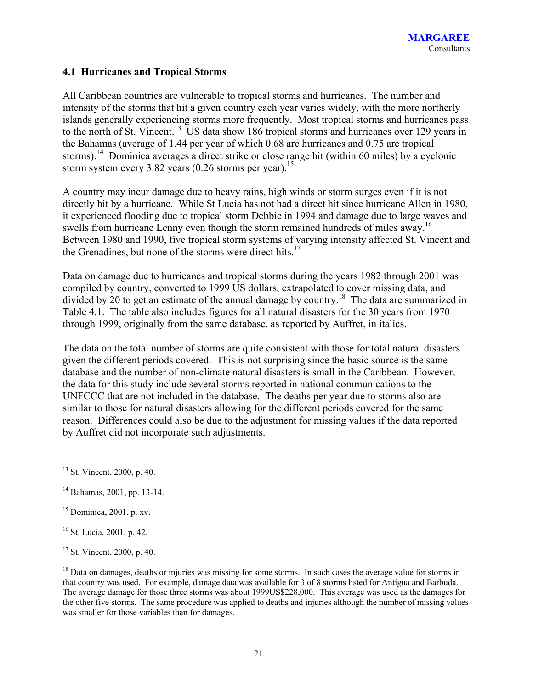### **4.1 Hurricanes and Tropical Storms**

All Caribbean countries are vulnerable to tropical storms and hurricanes. The number and intensity of the storms that hit a given country each year varies widely, with the more northerly islands generally experiencing storms more frequently. Most tropical storms and hurricanes pass to the north of St. Vincent.<sup>13</sup> US data show 186 tropical storms and hurricanes over 129 years in the Bahamas (average of 1.44 per year of which 0.68 are hurricanes and 0.75 are tropical storms).<sup>14</sup> Dominica averages a direct strike or close range hit (within 60 miles) by a cyclonic storm system every 3.82 years  $(0.26$  storms per year).<sup>15</sup>

A country may incur damage due to heavy rains, high winds or storm surges even if it is not directly hit by a hurricane. While St Lucia has not had a direct hit since hurricane Allen in 1980, it experienced flooding due to tropical storm Debbie in 1994 and damage due to large waves and swells from hurricane Lenny even though the storm remained hundreds of miles away.<sup>16</sup> Between 1980 and 1990, five tropical storm systems of varying intensity affected St. Vincent and the Grenadines, but none of the storms were direct hits.<sup>17</sup>

Data on damage due to hurricanes and tropical storms during the years 1982 through 2001 was compiled by country, converted to 1999 US dollars, extrapolated to cover missing data, and divided by 20 to get an estimate of the annual damage by country.<sup>18</sup> The data are summarized in Table 4.1. The table also includes figures for all natural disasters for the 30 years from 1970 through 1999, originally from the same database, as reported by Auffret, in italics.

The data on the total number of storms are quite consistent with those for total natural disasters given the different periods covered. This is not surprising since the basic source is the same database and the number of non-climate natural disasters is small in the Caribbean. However, the data for this study include several storms reported in national communications to the UNFCCC that are not included in the database. The deaths per year due to storms also are similar to those for natural disasters allowing for the different periods covered for the same reason. Differences could also be due to the adjustment for missing values if the data reported by Auffret did not incorporate such adjustments.

 $\overline{a}$ <sup>13</sup> St. Vincent, 2000, p. 40.

<sup>14</sup> Bahamas, 2001, pp. 13-14.

 $15$  Dominica, 2001, p. xv.

<sup>16</sup> St. Lucia, 2001, p. 42.

<sup>17</sup> St. Vincent, 2000, p. 40.

<sup>&</sup>lt;sup>18</sup> Data on damages, deaths or injuries was missing for some storms. In such cases the average value for storms in that country was used. For example, damage data was available for 3 of 8 storms listed for Antigua and Barbuda. The average damage for those three storms was about 1999US\$228,000. This average was used as the damages for the other five storms. The same procedure was applied to deaths and injuries although the number of missing values was smaller for those variables than for damages.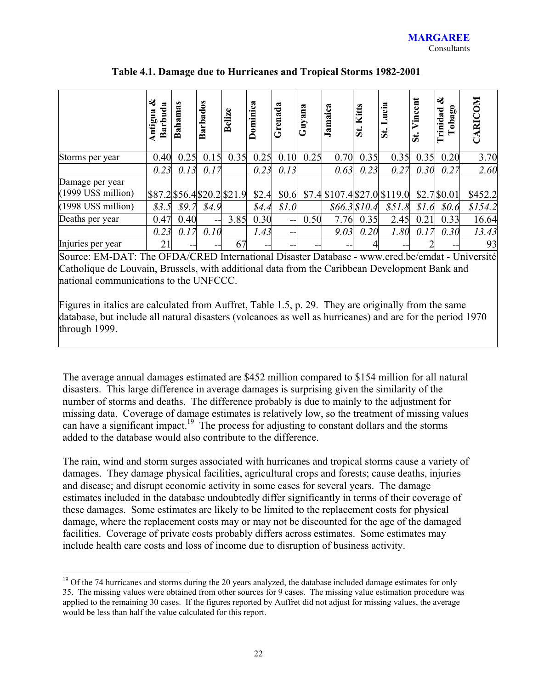|                             | తక<br>ಷ<br>ರ<br>≏<br>Бι<br>āri<br>≃ | as<br>Ba | Barbados | ω<br>$\dot{\mathbf{d}}$<br>≏ | ಷ<br>ominic | -පූ<br>rena | ana<br>Guy | Jamaica                      | Kitts<br>51  | ucia<br>$\mathbf{\ddot{s}}$ | ent<br>ں<br>Vin<br>ご | ಷ<br>0<br>rinidad<br>ă<br>$\ddot{\bullet}$ | <b>RICOM</b>    |
|-----------------------------|-------------------------------------|----------|----------|------------------------------|-------------|-------------|------------|------------------------------|--------------|-----------------------------|----------------------|--------------------------------------------|-----------------|
| Storms per year             | 0.40                                | 0.25     | 0.15     | 0.35                         | 0.25        | 0.10        | 0.25       | 0.70                         | 0.35         | 0.35                        | 0.35                 | 0.20                                       | 3.70            |
|                             | 0.23                                | 0.13     | 0.17     |                              | 0.23        | 0.13        |            | 0.63                         | 0.23         | 0.27                        | 0.30                 | 0.27                                       | 2.60            |
| Damage per year             |                                     |          |          |                              |             |             |            |                              |              |                             |                      |                                            |                 |
| (1999 US\$ million)         |                                     |          |          | \$87.2\$56.4\$20.2\$21.9     | \$2.4       | \$0.6       |            | \$7.4 \$107.4 \$27.0 \$119.0 |              |                             |                      | \$2.7\$0.01                                | \$452.2         |
| $(1998$ US\$ million)       | \$3.5                               | \$9.7    | \$4.9    |                              | \$4.4       | \$1.0       |            |                              | \$66.3\$10.4 | \$51.8                      | \$1.6                | \$0.6                                      | \$154.2         |
| Deaths per year             | 0.47                                | 0.40     | $ -$     | 3.85                         | 0.30        | --          | 0.50       | 7.76                         | 0.35         | 2.45                        | 0.21                 | 0.33                                       | 16.64           |
|                             | 0.23                                | 0.17     | 0.10     |                              | 1.43        | --          |            | 9.03                         | 0.20         | 1.80                        | 0.17                 | 0.30                                       | 13.43           |
| Injuries per year<br>$\sim$ | 21                                  | --       | --       | 67                           | --          |             |            |                              |              |                             |                      | --                                         | 93<br>$\ddotsc$ |

**Table 4.1. Damage due to Hurricanes and Tropical Storms 1982-2001** 

Source: EM-DAT: The OFDA/CRED International Disaster Database - www.cred.be/emdat - Université Catholique de Louvain, Brussels, with additional data from the Caribbean Development Bank and national communications to the UNFCCC.

Figures in italics are calculated from Auffret, Table 1.5, p. 29. They are originally from the same database, but include all natural disasters (volcanoes as well as hurricanes) and are for the period 1970 through 1999.

The average annual damages estimated are \$452 million compared to \$154 million for all natural disasters. This large difference in average damages is surprising given the similarity of the number of storms and deaths. The difference probably is due to mainly to the adjustment for missing data. Coverage of damage estimates is relatively low, so the treatment of missing values can have a significant impact.<sup>19</sup> The process for adjusting to constant dollars and the storms added to the database would also contribute to the difference.

The rain, wind and storm surges associated with hurricanes and tropical storms cause a variety of damages. They damage physical facilities, agricultural crops and forests; cause deaths, injuries and disease; and disrupt economic activity in some cases for several years. The damage estimates included in the database undoubtedly differ significantly in terms of their coverage of these damages. Some estimates are likely to be limited to the replacement costs for physical damage, where the replacement costs may or may not be discounted for the age of the damaged facilities. Coverage of private costs probably differs across estimates. Some estimates may include health care costs and loss of income due to disruption of business activity.

 $19$  Of the 74 hurricanes and storms during the 20 years analyzed, the database included damage estimates for only 35. The missing values were obtained from other sources for 9 cases. The missing value estimation procedure was applied to the remaining 30 cases. If the figures reported by Auffret did not adjust for missing values, the average would be less than half the value calculated for this report.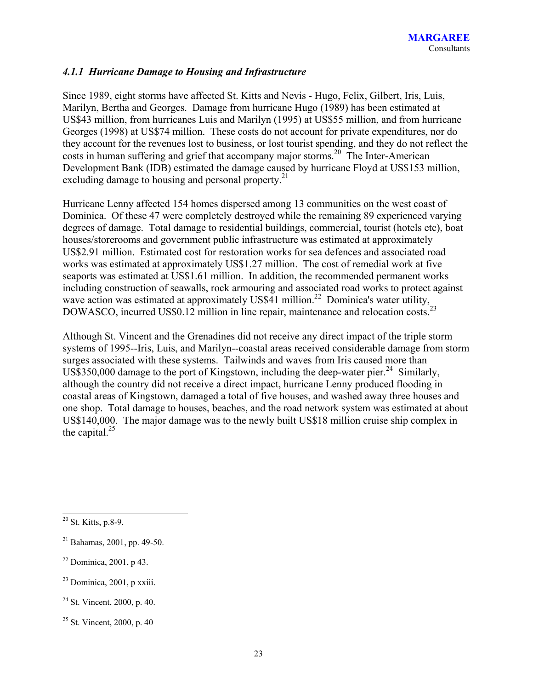### *4.1.1 Hurricane Damage to Housing and Infrastructure*

Since 1989, eight storms have affected St. Kitts and Nevis - Hugo, Felix, Gilbert, Iris, Luis, Marilyn, Bertha and Georges. Damage from hurricane Hugo (1989) has been estimated at US\$43 million, from hurricanes Luis and Marilyn (1995) at US\$55 million, and from hurricane Georges (1998) at US\$74 million. These costs do not account for private expenditures, nor do they account for the revenues lost to business, or lost tourist spending, and they do not reflect the costs in human suffering and grief that accompany major storms.<sup>20</sup> The Inter-American Development Bank (IDB) estimated the damage caused by hurricane Floyd at US\$153 million, excluding damage to housing and personal property.<sup>21</sup>

Hurricane Lenny affected 154 homes dispersed among 13 communities on the west coast of Dominica. Of these 47 were completely destroyed while the remaining 89 experienced varying degrees of damage. Total damage to residential buildings, commercial, tourist (hotels etc), boat houses/storerooms and government public infrastructure was estimated at approximately US\$2.91 million. Estimated cost for restoration works for sea defences and associated road works was estimated at approximately US\$1.27 million. The cost of remedial work at five seaports was estimated at US\$1.61 million. In addition, the recommended permanent works including construction of seawalls, rock armouring and associated road works to protect against metually consultation of scawards, focal million.<sup>22</sup> Dominica's water utility,<br>wave action was estimated at approximately US\$41 million.<sup>22</sup> Dominica's water utility, DOWASCO, incurred US\$0.12 million in line repair, maintenance and relocation costs.<sup>2</sup>

Although St. Vincent and the Grenadines did not receive any direct impact of the triple storm systems of 1995--Iris, Luis, and Marilyn--coastal areas received considerable damage from storm surges associated with these systems. Tailwinds and waves from Iris caused more than US\$350,000 damage to the port of Kingstown, including the deep-water pier.<sup>24</sup> Similarly, although the country did not receive a direct impact, hurricane Lenny produced flooding in coastal areas of Kingstown, damaged a total of five houses, and washed away three houses and one shop. Total damage to houses, beaches, and the road network system was estimated at about US\$140,000. The major damage was to the newly built US\$18 million cruise ship complex in the capital. $25$ 

 $20$  St. Kitts, p.8-9.

 $21$  Bahamas, 2001, pp. 49-50.

 $22$  Dominica, 2001, p 43.

 $23$  Dominica, 2001, p xxiii.

 $24$  St. Vincent, 2000, p. 40.

 $25$  St. Vincent, 2000, p. 40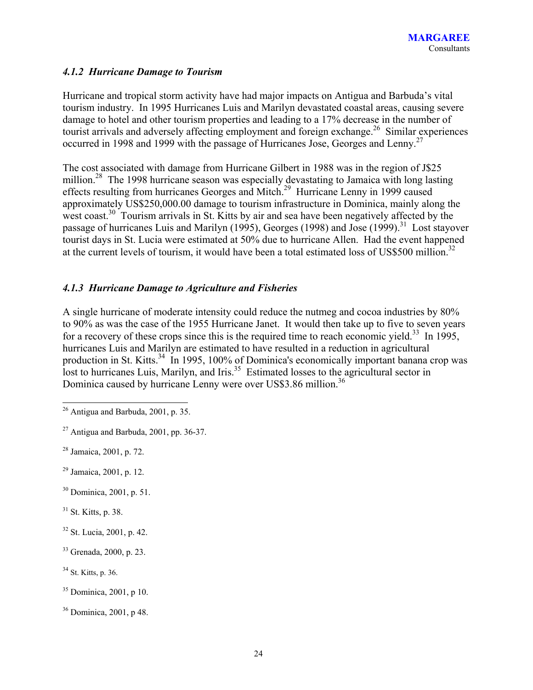### *4.1.2 Hurricane Damage to Tourism*

Hurricane and tropical storm activity have had major impacts on Antigua and Barbuda's vital tourism industry. In 1995 Hurricanes Luis and Marilyn devastated coastal areas, causing severe damage to hotel and other tourism properties and leading to a 17% decrease in the number of tourist arrivals and adversely affecting employment and foreign exchange.<sup>26</sup> Similar experiences occurred in 1998 and 1999 with the passage of Hurricanes Jose, Georges and Lenny.27

The cost associated with damage from Hurricane Gilbert in 1988 was in the region of J\$25 million.<sup>28</sup> The 1998 hurricane season was especially devastating to Jamaica with long lasting effects resulting from hurricanes Georges and Mitch.<sup>29</sup> Hurricane Lenny in 1999 caused approximately US\$250,000.00 damage to tourism infrastructure in Dominica, mainly along the west coast.<sup>30</sup> Tourism arrivals in St. Kitts by air and sea have been negatively affected by the passage of hurricanes Luis and Marilyn (1995), Georges (1998) and Jose (1999).<sup>31</sup> Lost stayover tourist days in St. Lucia were estimated at 50% due to hurricane Allen. Had the event happened at the current levels of tourism, it would have been a total estimated loss of US\$500 million.<sup>32</sup>

### *4.1.3 Hurricane Damage to Agriculture and Fisheries*

A single hurricane of moderate intensity could reduce the nutmeg and cocoa industries by 80% to 90% as was the case of the 1955 Hurricane Janet. It would then take up to five to seven years for a recovery of these crops since this is the required time to reach economic yield.<sup>33</sup> In 1995, hurricanes Luis and Marilyn are estimated to have resulted in a reduction in agricultural production in St. Kitts.<sup>34</sup> In 1995, 100% of Dominica's economically important banana crop was lost to hurricanes Luis, Marilyn, and Iris.<sup>35</sup> Estimated losses to the agricultural sector in Dominica caused by hurricane Lenny were over US\$3.86 million.<sup>36</sup>

- 29 Jamaica, 2001, p. 12.
- 30 Dominica, 2001, p. 51.
- 31 St. Kitts, p. 38.
- 32 St. Lucia, 2001, p. 42.
- 33 Grenada, 2000, p. 23.
- <sup>34</sup> St. Kitts, p. 36.
- $35$  Dominica, 2001, p 10.
- 36 Dominica, 2001, p 48.

 $\overline{a}$  $26$  Antigua and Barbuda, 2001, p. 35.

 $27$  Antigua and Barbuda, 2001, pp. 36-37.

<sup>28</sup> Jamaica, 2001, p. 72.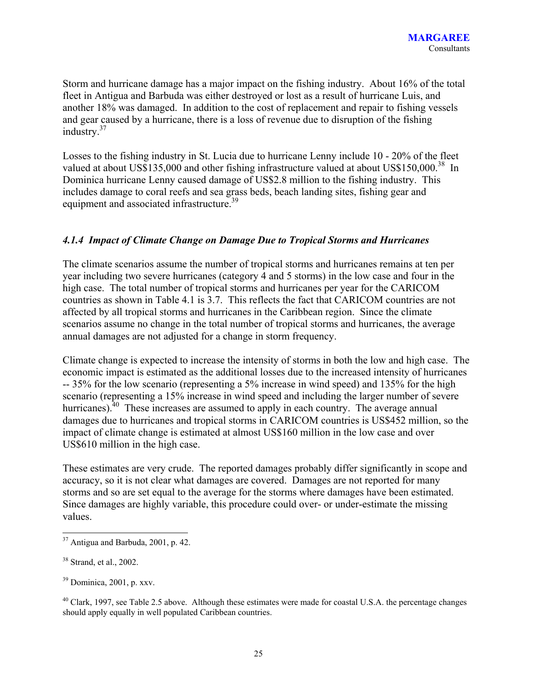Storm and hurricane damage has a major impact on the fishing industry. About 16% of the total fleet in Antigua and Barbuda was either destroyed or lost as a result of hurricane Luis, and another 18% was damaged. In addition to the cost of replacement and repair to fishing vessels and gear caused by a hurricane, there is a loss of revenue due to disruption of the fishing industry. $37$ 

Losses to the fishing industry in St. Lucia due to hurricane Lenny include 10 - 20% of the fleet valued at about US\$135,000 and other fishing infrastructure valued at about US\$150,000.<sup>38</sup> In Dominica hurricane Lenny caused damage of US\$2.8 million to the fishing industry. This includes damage to coral reefs and sea grass beds, beach landing sites, fishing gear and equipment and associated infrastructure.<sup>39</sup>

#### *4.1.4 Impact of Climate Change on Damage Due to Tropical Storms and Hurricanes*

The climate scenarios assume the number of tropical storms and hurricanes remains at ten per year including two severe hurricanes (category 4 and 5 storms) in the low case and four in the high case. The total number of tropical storms and hurricanes per year for the CARICOM countries as shown in Table 4.1 is 3.7. This reflects the fact that CARICOM countries are not affected by all tropical storms and hurricanes in the Caribbean region. Since the climate scenarios assume no change in the total number of tropical storms and hurricanes, the average annual damages are not adjusted for a change in storm frequency.

Climate change is expected to increase the intensity of storms in both the low and high case. The economic impact is estimated as the additional losses due to the increased intensity of hurricanes -- 35% for the low scenario (representing a 5% increase in wind speed) and 135% for the high scenario (representing a 15% increase in wind speed and including the larger number of severe hurricanes).<sup>40</sup> These increases are assumed to apply in each country. The average annual damages due to hurricanes and tropical storms in CARICOM countries is US\$452 million, so the impact of climate change is estimated at almost US\$160 million in the low case and over US\$610 million in the high case.

These estimates are very crude. The reported damages probably differ significantly in scope and accuracy, so it is not clear what damages are covered. Damages are not reported for many storms and so are set equal to the average for the storms where damages have been estimated. Since damages are highly variable, this procedure could over- or under-estimate the missing values.

l  $37$  Antigua and Barbuda, 2001, p. 42.

<sup>&</sup>lt;sup>38</sup> Strand, et al., 2002.

 $39$  Dominica, 2001, p. xxv.

 $^{40}$  Clark, 1997, see Table 2.5 above. Although these estimates were made for coastal U.S.A. the percentage changes should apply equally in well populated Caribbean countries.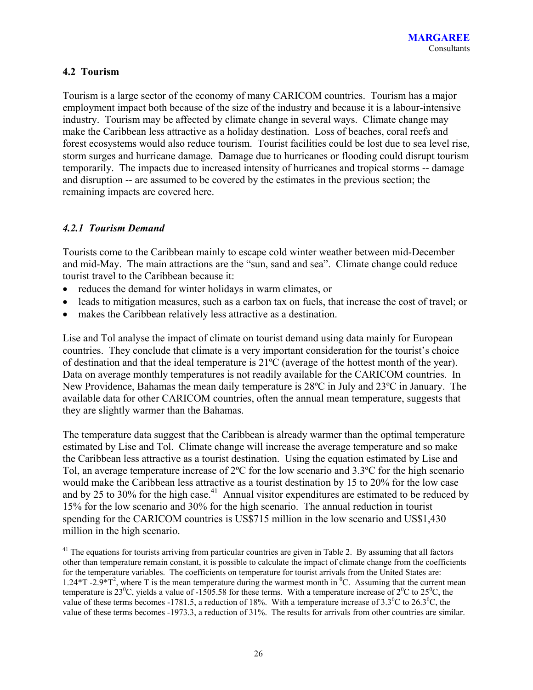### **4.2 Tourism**

Tourism is a large sector of the economy of many CARICOM countries. Tourism has a major employment impact both because of the size of the industry and because it is a labour-intensive industry. Tourism may be affected by climate change in several ways. Climate change may make the Caribbean less attractive as a holiday destination. Loss of beaches, coral reefs and forest ecosystems would also reduce tourism. Tourist facilities could be lost due to sea level rise, storm surges and hurricane damage. Damage due to hurricanes or flooding could disrupt tourism temporarily. The impacts due to increased intensity of hurricanes and tropical storms -- damage and disruption -- are assumed to be covered by the estimates in the previous section; the remaining impacts are covered here.

#### *4.2.1 Tourism Demand*

 $\overline{a}$ 

Tourists come to the Caribbean mainly to escape cold winter weather between mid-December and mid-May. The main attractions are the "sun, sand and sea". Climate change could reduce tourist travel to the Caribbean because it:

- reduces the demand for winter holidays in warm climates, or
- leads to mitigation measures, such as a carbon tax on fuels, that increase the cost of travel; or
- makes the Caribbean relatively less attractive as a destination.

Lise and Tol analyse the impact of climate on tourist demand using data mainly for European countries. They conclude that climate is a very important consideration for the tourist's choice of destination and that the ideal temperature is 21ºC (average of the hottest month of the year). Data on average monthly temperatures is not readily available for the CARICOM countries. In New Providence, Bahamas the mean daily temperature is 28ºC in July and 23ºC in January. The available data for other CARICOM countries, often the annual mean temperature, suggests that they are slightly warmer than the Bahamas.

The temperature data suggest that the Caribbean is already warmer than the optimal temperature estimated by Lise and Tol. Climate change will increase the average temperature and so make the Caribbean less attractive as a tourist destination. Using the equation estimated by Lise and Tol, an average temperature increase of 2ºC for the low scenario and 3.3ºC for the high scenario would make the Caribbean less attractive as a tourist destination by 15 to 20% for the low case and by 25 to 30% for the high case.<sup>41</sup> Annual visitor expenditures are estimated to be reduced by 15% for the low scenario and 30% for the high scenario. The annual reduction in tourist spending for the CARICOM countries is US\$715 million in the low scenario and US\$1,430 million in the high scenario.

 $41$  The equations for tourists arriving from particular countries are given in Table 2. By assuming that all factors other than temperature remain constant, it is possible to calculate the impact of climate change from the coefficients for the temperature variables. The coefficients on temperature for tourist arrivals from the United States are: 1.24\*T -2.9\*T<sup>2</sup>, where T is the mean temperature during the warmest month in <sup>0</sup>C. Assuming that the current mean temperature is 23<sup>0</sup>C, yields a value of -1505.58 for these terms. With a temperature increase of  $2^{0}C$  to 25<sup>0</sup>C, the value of these terms becomes -1781.5, a reduction of 18%. With a temperature increase of  $3.3^{\circ}$ C to  $26.3^{\circ}$ C, the value of these terms becomes -1973.3, a reduction of 31%. The results for arrivals from other countries are similar.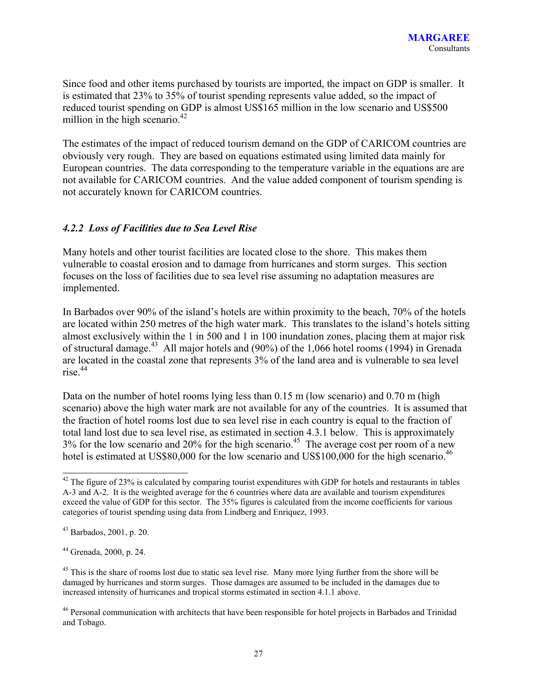Since food and other items purchased by tourists are imported, the impact on GDP is smaller. It is estimated that 23% to 35% of tourist spending represents value added, so the impact of reduced tourist spending on GDP is almost US\$165 million in the low scenario and US\$500 million in the high scenario. $42$ 

The estimates of the impact of reduced tourism demand on the GDP of CARICOM countries are obviously very rough. They are based on equations estimated using limited data mainly for European countries. The data corresponding to the temperature variable in the equations are are not available for CARICOM countries. And the value added component of tourism spending is not accurately known for CARICOM countries.

#### *4.2.2 Loss of Facilities due to Sea Level Rise*

Many hotels and other tourist facilities are located close to the shore. This makes them vulnerable to coastal erosion and to damage from hurricanes and storm surges. This section focuses on the loss of facilities due to sea level rise assuming no adaptation measures are implemented.

In Barbados over 90% of the island's hotels are within proximity to the beach, 70% of the hotels are located within 250 metres of the high water mark. This translates to the island's hotels sitting almost exclusively within the 1 in 500 and 1 in 100 inundation zones, placing them at major risk of structural damage.<sup>43</sup> All major hotels and  $(90\%)$  of the 1,066 hotel rooms (1994) in Grenada are located in the coastal zone that represents 3% of the land area and is vulnerable to sea level  $rise.$ <sup>44</sup>

Data on the number of hotel rooms lying less than 0.15 m (low scenario) and 0.70 m (high scenario) above the high water mark are not available for any of the countries. It is assumed that the fraction of hotel rooms lost due to sea level rise in each country is equal to the fraction of total land lost due to sea level rise, as estimated in section 4.3.1 below. This is approximately  $3\%$  for the low scenario and  $20\%$  for the high scenario.<sup>45</sup> The average cost per room of a new hotel is estimated at US\$80,000 for the low scenario and US\$100,000 for the high scenario.<sup>46</sup>

 $42$  The figure of 23% is calculated by comparing tourist expenditures with GDP for hotels and restaurants in tables A-3 and A-2. It is the weighted average for the 6 countries where data are available and tourism expenditures exceed the value of GDP for this sector. The 35% figures is calculated from the income coefficients for various categories of tourist spending using data from Lindberg and Enriquez, 1993.

<sup>43</sup> Barbados, 2001, p. 20.

<sup>44</sup> Grenada, 2000, p. 24.

<sup>&</sup>lt;sup>45</sup> This is the share of rooms lost due to static sea level rise. Many more lying further from the shore will be damaged by hurricanes and storm surges. Those damages are assumed to be included in the damages due to increased intensity of hurricanes and tropical storms estimated in section 4.1.1 above.

<sup>&</sup>lt;sup>46</sup> Personal communication with architects that have been responsible for hotel projects in Barbados and Trinidad and Tobago.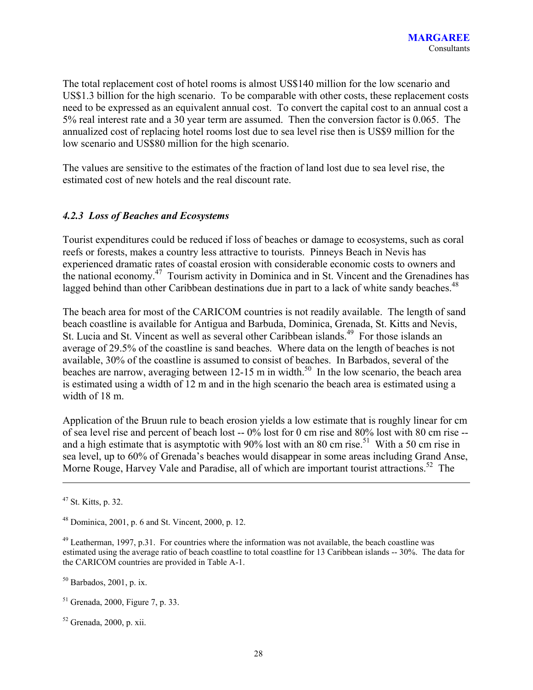The total replacement cost of hotel rooms is almost US\$140 million for the low scenario and US\$1.3 billion for the high scenario. To be comparable with other costs, these replacement costs need to be expressed as an equivalent annual cost. To convert the capital cost to an annual cost a 5% real interest rate and a 30 year term are assumed. Then the conversion factor is 0.065. The annualized cost of replacing hotel rooms lost due to sea level rise then is US\$9 million for the low scenario and US\$80 million for the high scenario.

The values are sensitive to the estimates of the fraction of land lost due to sea level rise, the estimated cost of new hotels and the real discount rate.

### *4.2.3 Loss of Beaches and Ecosystems*

Tourist expenditures could be reduced if loss of beaches or damage to ecosystems, such as coral reefs or forests, makes a country less attractive to tourists. Pinneys Beach in Nevis has experienced dramatic rates of coastal erosion with considerable economic costs to owners and the national economy.47 Tourism activity in Dominica and in St. Vincent and the Grenadines has lagged behind than other Caribbean destinations due in part to a lack of white sandy beaches.<sup>48</sup>

The beach area for most of the CARICOM countries is not readily available. The length of sand beach coastline is available for Antigua and Barbuda, Dominica, Grenada, St. Kitts and Nevis, St. Lucia and St. Vincent as well as several other Caribbean islands.<sup>49</sup> For those islands an average of 29.5% of the coastline is sand beaches. Where data on the length of beaches is not available, 30% of the coastline is assumed to consist of beaches. In Barbados, several of the beaches are narrow, averaging between 12-15 m in width.<sup>50</sup> In the low scenario, the beach area is estimated using a width of 12 m and in the high scenario the beach area is estimated using a width of 18 m.

Application of the Bruun rule to beach erosion yields a low estimate that is roughly linear for cm of sea level rise and percent of beach lost -- 0% lost for 0 cm rise and 80% lost with 80 cm rise - and a high estimate that is asymptotic with 90% lost with an 80 cm rise.<sup>51</sup> With a 50 cm rise in sea level, up to 60% of Grenada's beaches would disappear in some areas including Grand Anse, Morne Rouge, Harvey Vale and Paradise, all of which are important tourist attractions.<sup>52</sup> The

<sup>47</sup> St. Kitts, p. 32.

 $48$  Dominica, 2001, p. 6 and St. Vincent, 2000, p. 12.

<sup>&</sup>lt;sup>49</sup> Leatherman, 1997, p.31. For countries where the information was not available, the beach coastline was estimated using the average ratio of beach coastline to total coastline for 13 Caribbean islands -- 30%. The data for the CARICOM countries are provided in Table A-1.

 $50$  Barbados, 2001, p. ix.

<sup>51</sup> Grenada, 2000, Figure 7, p. 33.

 $52$  Grenada, 2000, p. xii.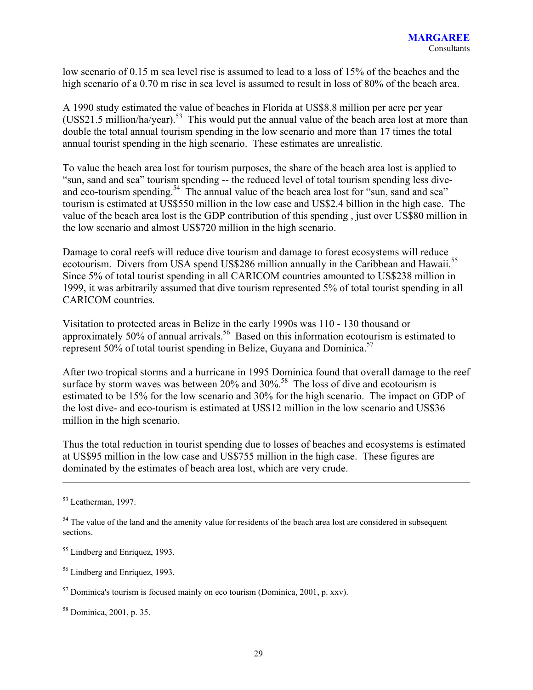low scenario of 0.15 m sea level rise is assumed to lead to a loss of 15% of the beaches and the high scenario of a 0.70 m rise in sea level is assumed to result in loss of 80% of the beach area.

A 1990 study estimated the value of beaches in Florida at US\$8.8 million per acre per year  $(US$21.5 million/ha/year).$ <sup>53</sup> This would put the annual value of the beach area lost at more than double the total annual tourism spending in the low scenario and more than 17 times the total annual tourist spending in the high scenario. These estimates are unrealistic.

To value the beach area lost for tourism purposes, the share of the beach area lost is applied to "sun, sand and sea" tourism spending -- the reduced level of total tourism spending less diveand eco-tourism spending.<sup>54</sup> The annual value of the beach area lost for "sun, sand and sea" tourism is estimated at US\$550 million in the low case and US\$2.4 billion in the high case. The value of the beach area lost is the GDP contribution of this spending , just over US\$80 million in the low scenario and almost US\$720 million in the high scenario.

Damage to coral reefs will reduce dive tourism and damage to forest ecosystems will reduce ecotourism. Divers from USA spend US\$286 million annually in the Caribbean and Hawaii.<sup>55</sup> Since 5% of total tourist spending in all CARICOM countries amounted to US\$238 million in 1999, it was arbitrarily assumed that dive tourism represented 5% of total tourist spending in all CARICOM countries.

Visitation to protected areas in Belize in the early 1990s was 110 - 130 thousand or approximately 50% of annual arrivals.<sup>56</sup> Based on this information ecotourism is estimated to represent 50% of total tourist spending in Belize, Guyana and Dominica.<sup>57</sup>

After two tropical storms and a hurricane in 1995 Dominica found that overall damage to the reef surface by storm waves was between 20% and 30%.<sup>58</sup> The loss of dive and ecotourism is estimated to be 15% for the low scenario and 30% for the high scenario. The impact on GDP of the lost dive- and eco-tourism is estimated at US\$12 million in the low scenario and US\$36 million in the high scenario.

Thus the total reduction in tourist spending due to losses of beaches and ecosystems is estimated at US\$95 million in the low case and US\$755 million in the high case. These figures are dominated by the estimates of beach area lost, which are very crude.

<sup>53</sup> Leatherman, 1997.

<sup>&</sup>lt;sup>54</sup> The value of the land and the amenity value for residents of the beach area lost are considered in subsequent sections.

<sup>55</sup> Lindberg and Enriquez, 1993.

<sup>56</sup> Lindberg and Enriquez, 1993.

 $57$  Dominica's tourism is focused mainly on eco tourism (Dominica, 2001, p. xxv).

<sup>58</sup> Dominica, 2001, p. 35.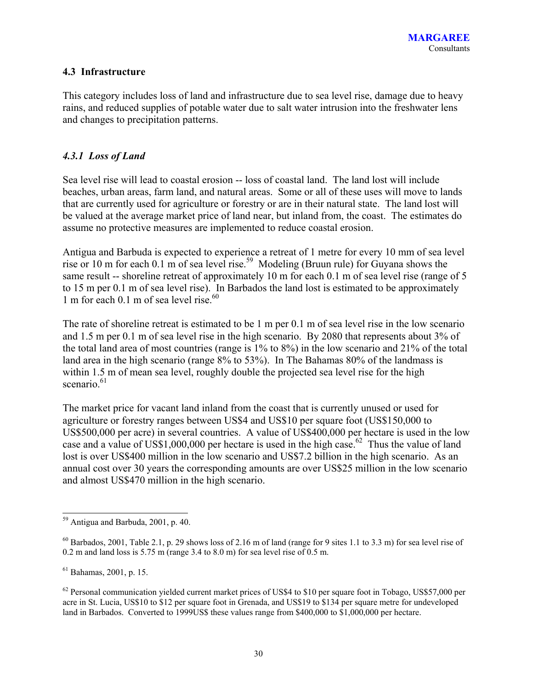## **4.3 Infrastructure**

This category includes loss of land and infrastructure due to sea level rise, damage due to heavy rains, and reduced supplies of potable water due to salt water intrusion into the freshwater lens and changes to precipitation patterns.

### *4.3.1 Loss of Land*

Sea level rise will lead to coastal erosion -- loss of coastal land. The land lost will include beaches, urban areas, farm land, and natural areas. Some or all of these uses will move to lands that are currently used for agriculture or forestry or are in their natural state. The land lost will be valued at the average market price of land near, but inland from, the coast. The estimates do assume no protective measures are implemented to reduce coastal erosion.

Antigua and Barbuda is expected to experience a retreat of 1 metre for every 10 mm of sea level rise or 10 m for each 0.1 m of sea level rise.<sup>59</sup> Modeling (Bruun rule) for Guyana shows the same result -- shoreline retreat of approximately 10 m for each 0.1 m of sea level rise (range of 5 to 15 m per 0.1 m of sea level rise). In Barbados the land lost is estimated to be approximately 1 m for each 0.1 m of sea level rise. $60$ 

The rate of shoreline retreat is estimated to be 1 m per 0.1 m of sea level rise in the low scenario and 1.5 m per 0.1 m of sea level rise in the high scenario. By 2080 that represents about 3% of the total land area of most countries (range is 1% to 8%) in the low scenario and 21% of the total land area in the high scenario (range 8% to 53%). In The Bahamas 80% of the landmass is within 1.5 m of mean sea level, roughly double the projected sea level rise for the high scenario.<sup>61</sup>

The market price for vacant land inland from the coast that is currently unused or used for agriculture or forestry ranges between US\$4 and US\$10 per square foot (US\$150,000 to US\$500,000 per acre) in several countries. A value of US\$400,000 per hectare is used in the low case and a value of US\$1,000,000 per hectare is used in the high case.<sup>62</sup> Thus the value of land lost is over US\$400 million in the low scenario and US\$7.2 billion in the high scenario. As an annual cost over 30 years the corresponding amounts are over US\$25 million in the low scenario and almost US\$470 million in the high scenario.

<sup>&</sup>lt;sup>59</sup> Antigua and Barbuda, 2001, p. 40.

 $^{60}$  Barbados, 2001, Table 2.1, p. 29 shows loss of 2.16 m of land (range for 9 sites 1.1 to 3.3 m) for sea level rise of 0.2 m and land loss is 5.75 m (range 3.4 to 8.0 m) for sea level rise of 0.5 m.

<sup>61</sup> Bahamas, 2001, p. 15.

 $62$  Personal communication yielded current market prices of US\$4 to \$10 per square foot in Tobago, US\$57,000 per acre in St. Lucia, US\$10 to \$12 per square foot in Grenada, and US\$19 to \$134 per square metre for undeveloped land in Barbados. Converted to 1999US\$ these values range from \$400,000 to \$1,000,000 per hectare.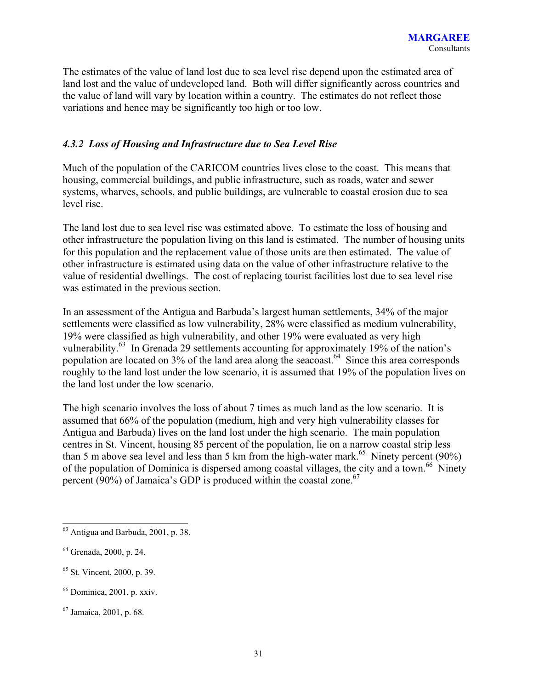The estimates of the value of land lost due to sea level rise depend upon the estimated area of land lost and the value of undeveloped land. Both will differ significantly across countries and the value of land will vary by location within a country. The estimates do not reflect those variations and hence may be significantly too high or too low.

### *4.3.2 Loss of Housing and Infrastructure due to Sea Level Rise*

Much of the population of the CARICOM countries lives close to the coast. This means that housing, commercial buildings, and public infrastructure, such as roads, water and sewer systems, wharves, schools, and public buildings, are vulnerable to coastal erosion due to sea level rise.

The land lost due to sea level rise was estimated above. To estimate the loss of housing and other infrastructure the population living on this land is estimated. The number of housing units for this population and the replacement value of those units are then estimated. The value of other infrastructure is estimated using data on the value of other infrastructure relative to the value of residential dwellings. The cost of replacing tourist facilities lost due to sea level rise was estimated in the previous section.

In an assessment of the Antigua and Barbuda's largest human settlements, 34% of the major settlements were classified as low vulnerability, 28% were classified as medium vulnerability, 19% were classified as high vulnerability, and other 19% were evaluated as very high vulnerability. $63$  In Grenada 29 settlements accounting for approximately 19% of the nation's population are located on  $3\%$  of the land area along the seacoast.<sup>64</sup> Since this area corresponds roughly to the land lost under the low scenario, it is assumed that 19% of the population lives on the land lost under the low scenario.

The high scenario involves the loss of about 7 times as much land as the low scenario. It is assumed that 66% of the population (medium, high and very high vulnerability classes for Antigua and Barbuda) lives on the land lost under the high scenario. The main population centres in St. Vincent, housing 85 percent of the population, lie on a narrow coastal strip less than 5 m above sea level and less than 5 km from the high-water mark.<sup>65</sup> Ninety percent (90%) of the population of Dominica is dispersed among coastal villages, the city and a town.<sup>66</sup> Ninety percent (90%) of Jamaica's GDP is produced within the coastal zone.<sup>67</sup>

- 65 St. Vincent, 2000, p. 39.
- 66 Dominica, 2001, p. xxiv.

 $63$  Antigua and Barbuda, 2001, p. 38.

<sup>64</sup> Grenada, 2000, p. 24.

<sup>67</sup> Jamaica, 2001, p. 68.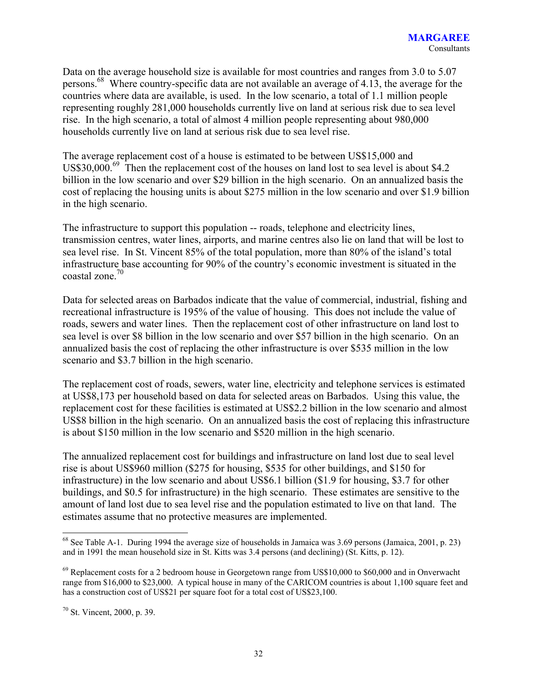Data on the average household size is available for most countries and ranges from 3.0 to 5.07 persons.68 Where country-specific data are not available an average of 4.13, the average for the countries where data are available, is used. In the low scenario, a total of 1.1 million people representing roughly 281,000 households currently live on land at serious risk due to sea level rise. In the high scenario, a total of almost 4 million people representing about 980,000 households currently live on land at serious risk due to sea level rise.

The average replacement cost of a house is estimated to be between US\$15,000 and US\$30,000.<sup>69</sup> Then the replacement cost of the houses on land lost to sea level is about \$4.2 billion in the low scenario and over \$29 billion in the high scenario. On an annualized basis the cost of replacing the housing units is about \$275 million in the low scenario and over \$1.9 billion in the high scenario.

The infrastructure to support this population -- roads, telephone and electricity lines, transmission centres, water lines, airports, and marine centres also lie on land that will be lost to sea level rise. In St. Vincent 85% of the total population, more than 80% of the island's total infrastructure base accounting for 90% of the country's economic investment is situated in the coastal zone.70

Data for selected areas on Barbados indicate that the value of commercial, industrial, fishing and recreational infrastructure is 195% of the value of housing. This does not include the value of roads, sewers and water lines. Then the replacement cost of other infrastructure on land lost to sea level is over \$8 billion in the low scenario and over \$57 billion in the high scenario. On an annualized basis the cost of replacing the other infrastructure is over \$535 million in the low scenario and \$3.7 billion in the high scenario.

The replacement cost of roads, sewers, water line, electricity and telephone services is estimated at US\$8,173 per household based on data for selected areas on Barbados. Using this value, the replacement cost for these facilities is estimated at US\$2.2 billion in the low scenario and almost US\$8 billion in the high scenario. On an annualized basis the cost of replacing this infrastructure is about \$150 million in the low scenario and \$520 million in the high scenario.

The annualized replacement cost for buildings and infrastructure on land lost due to seal level rise is about US\$960 million (\$275 for housing, \$535 for other buildings, and \$150 for infrastructure) in the low scenario and about US\$6.1 billion (\$1.9 for housing, \$3.7 for other buildings, and \$0.5 for infrastructure) in the high scenario. These estimates are sensitive to the amount of land lost due to sea level rise and the population estimated to live on that land. The estimates assume that no protective measures are implemented.

l

 $68$  See Table A-1. During 1994 the average size of households in Jamaica was 3.69 persons (Jamaica, 2001, p. 23) and in 1991 the mean household size in St. Kitts was 3.4 persons (and declining) (St. Kitts, p. 12).

 $69$  Replacement costs for a 2 bedroom house in Georgetown range from US\$10,000 to \$60,000 and in Onverwacht range from \$16,000 to \$23,000. A typical house in many of the CARICOM countries is about 1,100 square feet and has a construction cost of US\$21 per square foot for a total cost of US\$23,100.

<sup>70</sup> St. Vincent, 2000, p. 39.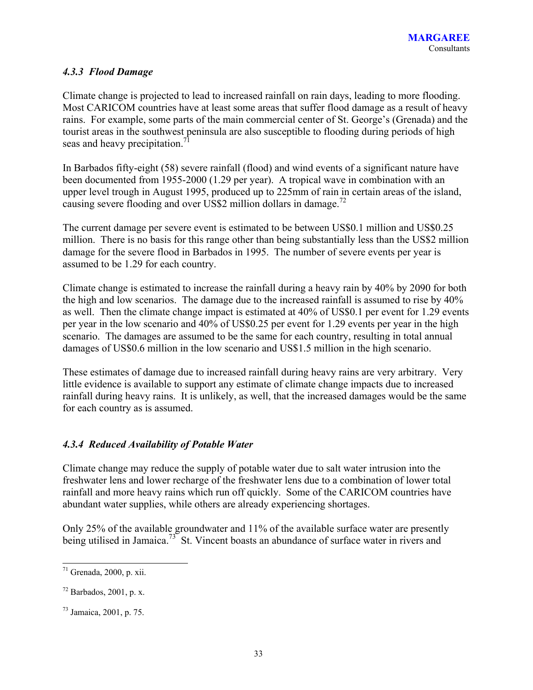## *4.3.3 Flood Damage*

Climate change is projected to lead to increased rainfall on rain days, leading to more flooding. Most CARICOM countries have at least some areas that suffer flood damage as a result of heavy rains. For example, some parts of the main commercial center of St. George's (Grenada) and the tourist areas in the southwest peninsula are also susceptible to flooding during periods of high seas and heavy precipitation.<sup>71</sup>

In Barbados fifty-eight (58) severe rainfall (flood) and wind events of a significant nature have been documented from 1955-2000 (1.29 per year). A tropical wave in combination with an upper level trough in August 1995, produced up to 225mm of rain in certain areas of the island, causing severe flooding and over US\$2 million dollars in damage.<sup>72</sup>

The current damage per severe event is estimated to be between US\$0.1 million and US\$0.25 million. There is no basis for this range other than being substantially less than the US\$2 million damage for the severe flood in Barbados in 1995. The number of severe events per year is assumed to be 1.29 for each country.

Climate change is estimated to increase the rainfall during a heavy rain by 40% by 2090 for both the high and low scenarios. The damage due to the increased rainfall is assumed to rise by 40% as well. Then the climate change impact is estimated at 40% of US\$0.1 per event for 1.29 events per year in the low scenario and 40% of US\$0.25 per event for 1.29 events per year in the high scenario. The damages are assumed to be the same for each country, resulting in total annual damages of US\$0.6 million in the low scenario and US\$1.5 million in the high scenario.

These estimates of damage due to increased rainfall during heavy rains are very arbitrary. Very little evidence is available to support any estimate of climate change impacts due to increased rainfall during heavy rains. It is unlikely, as well, that the increased damages would be the same for each country as is assumed.

## *4.3.4 Reduced Availability of Potable Water*

Climate change may reduce the supply of potable water due to salt water intrusion into the freshwater lens and lower recharge of the freshwater lens due to a combination of lower total rainfall and more heavy rains which run off quickly. Some of the CARICOM countries have abundant water supplies, while others are already experiencing shortages.

Only 25% of the available groundwater and 11% of the available surface water are presently being utilised in Jamaica.<sup>73</sup> St. Vincent boasts an abundance of surface water in rivers and

l  $71$  Grenada, 2000, p. xii.

 $72$  Barbados, 2001, p. x.

<sup>73</sup> Jamaica, 2001, p. 75.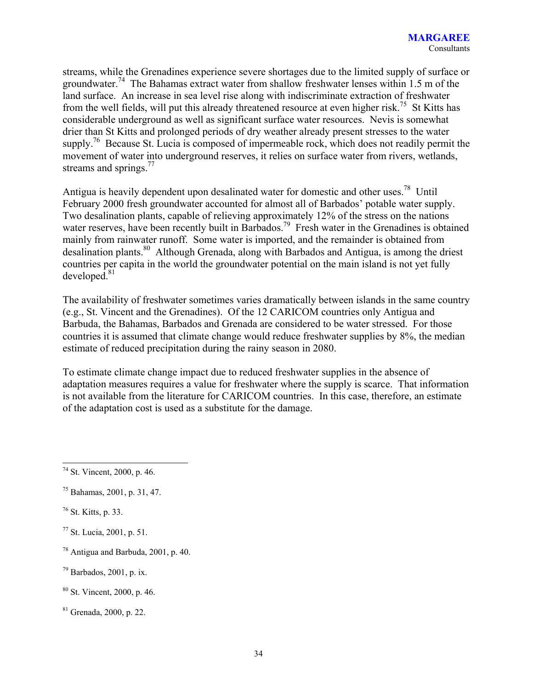streams, while the Grenadines experience severe shortages due to the limited supply of surface or groundwater.<sup>74</sup> The Bahamas extract water from shallow freshwater lenses within 1.5 m of the land surface. An increase in sea level rise along with indiscriminate extraction of freshwater from the well fields, will put this already threatened resource at even higher risk.<sup>75</sup> St Kitts has considerable underground as well as significant surface water resources. Nevis is somewhat drier than St Kitts and prolonged periods of dry weather already present stresses to the water supply.<sup>76</sup> Because St. Lucia is composed of impermeable rock, which does not readily permit the movement of water into underground reserves, it relies on surface water from rivers, wetlands, streams and springs. $^{77}$ 

Antigua is heavily dependent upon desalinated water for domestic and other uses.<sup>78</sup> Until February 2000 fresh groundwater accounted for almost all of Barbados' potable water supply. Two desalination plants, capable of relieving approximately 12% of the stress on the nations water reserves, have been recently built in Barbados.<sup>79</sup> Fresh water in the Grenadines is obtained mainly from rainwater runoff. Some water is imported, and the remainder is obtained from desalination plants.80 Although Grenada, along with Barbados and Antigua, is among the driest countries per capita in the world the groundwater potential on the main island is not yet fully  $developed.<sup>81</sup>$ 

The availability of freshwater sometimes varies dramatically between islands in the same country (e.g., St. Vincent and the Grenadines). Of the 12 CARICOM countries only Antigua and Barbuda, the Bahamas, Barbados and Grenada are considered to be water stressed. For those countries it is assumed that climate change would reduce freshwater supplies by 8%, the median estimate of reduced precipitation during the rainy season in 2080.

To estimate climate change impact due to reduced freshwater supplies in the absence of adaptation measures requires a value for freshwater where the supply is scarce. That information is not available from the literature for CARICOM countries. In this case, therefore, an estimate of the adaptation cost is used as a substitute for the damage.

77 St. Lucia, 2001, p. 51.

 $79$  Barbados, 2001, p. ix.

81 Grenada, 2000, p. 22.

 $\overline{a}$ 74 St. Vincent, 2000, p. 46.

<sup>75</sup> Bahamas, 2001, p. 31, 47.

<sup>76</sup> St. Kitts, p. 33.

 $78$  Antigua and Barbuda, 2001, p. 40.

<sup>80</sup> St. Vincent, 2000, p. 46.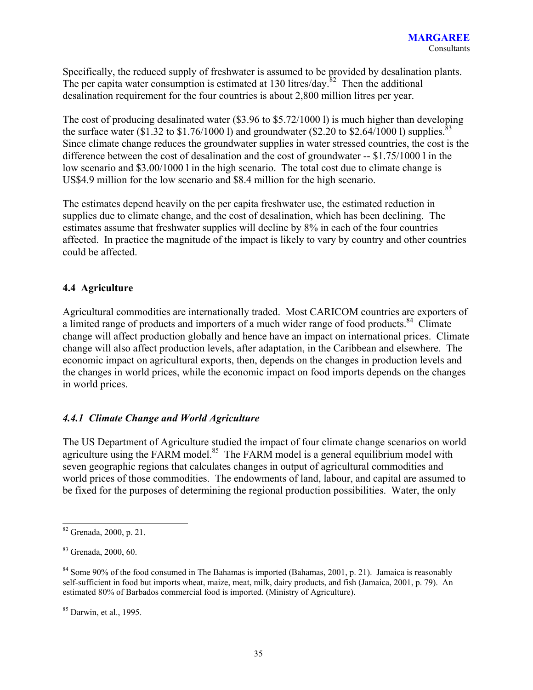Specifically, the reduced supply of freshwater is assumed to be provided by desalination plants. The per capita water consumption is estimated at 130 litres/day.<sup>82</sup> Then the additional desalination requirement for the four countries is about 2,800 million litres per year.

The cost of producing desalinated water (\$3.96 to \$5.72/1000 l) is much higher than developing the surface water (\$1.32 to \$1.76/1000 l) and groundwater (\$2.20 to \$2.64/1000 l) supplies.<sup>83</sup> Since climate change reduces the groundwater supplies in water stressed countries, the cost is the difference between the cost of desalination and the cost of groundwater -- \$1.75/1000 l in the low scenario and \$3.00/1000 l in the high scenario. The total cost due to climate change is US\$4.9 million for the low scenario and \$8.4 million for the high scenario.

The estimates depend heavily on the per capita freshwater use, the estimated reduction in supplies due to climate change, and the cost of desalination, which has been declining. The estimates assume that freshwater supplies will decline by 8% in each of the four countries affected. In practice the magnitude of the impact is likely to vary by country and other countries could be affected.

## **4.4 Agriculture**

Agricultural commodities are internationally traded. Most CARICOM countries are exporters of a limited range of products and importers of a much wider range of food products.<sup>84</sup> Climate change will affect production globally and hence have an impact on international prices. Climate change will also affect production levels, after adaptation, in the Caribbean and elsewhere. The economic impact on agricultural exports, then, depends on the changes in production levels and the changes in world prices, while the economic impact on food imports depends on the changes in world prices.

## *4.4.1 Climate Change and World Agriculture*

The US Department of Agriculture studied the impact of four climate change scenarios on world agriculture using the FARM model.<sup>85</sup> The FARM model is a general equilibrium model with seven geographic regions that calculates changes in output of agricultural commodities and world prices of those commodities. The endowments of land, labour, and capital are assumed to be fixed for the purposes of determining the regional production possibilities. Water, the only

<sup>82</sup> Grenada, 2000, p. 21.

<sup>83</sup> Grenada, 2000, 60.

<sup>&</sup>lt;sup>84</sup> Some 90% of the food consumed in The Bahamas is imported (Bahamas, 2001, p. 21). Jamaica is reasonably self-sufficient in food but imports wheat, maize, meat, milk, dairy products, and fish (Jamaica, 2001, p. 79). An estimated 80% of Barbados commercial food is imported. (Ministry of Agriculture).

<sup>85</sup> Darwin, et al., 1995.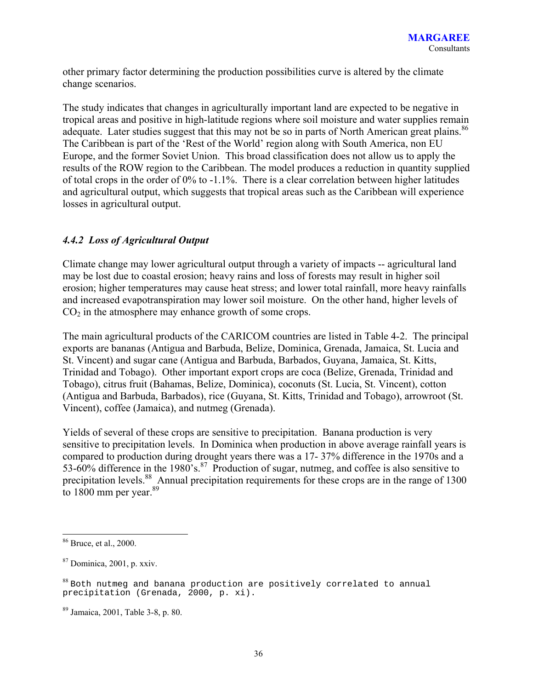other primary factor determining the production possibilities curve is altered by the climate change scenarios.

The study indicates that changes in agriculturally important land are expected to be negative in tropical areas and positive in high-latitude regions where soil moisture and water supplies remain adequate. Later studies suggest that this may not be so in parts of North American great plains.<sup>86</sup> The Caribbean is part of the 'Rest of the World' region along with South America, non EU Europe, and the former Soviet Union. This broad classification does not allow us to apply the results of the ROW region to the Caribbean. The model produces a reduction in quantity supplied of total crops in the order of 0% to -1.1%. There is a clear correlation between higher latitudes and agricultural output, which suggests that tropical areas such as the Caribbean will experience losses in agricultural output.

## *4.4.2 Loss of Agricultural Output*

Climate change may lower agricultural output through a variety of impacts -- agricultural land may be lost due to coastal erosion; heavy rains and loss of forests may result in higher soil erosion; higher temperatures may cause heat stress; and lower total rainfall, more heavy rainfalls and increased evapotranspiration may lower soil moisture. On the other hand, higher levels of  $CO<sub>2</sub>$  in the atmosphere may enhance growth of some crops.

The main agricultural products of the CARICOM countries are listed in Table 4-2. The principal exports are bananas (Antigua and Barbuda, Belize, Dominica, Grenada, Jamaica, St. Lucia and St. Vincent) and sugar cane (Antigua and Barbuda, Barbados, Guyana, Jamaica, St. Kitts, Trinidad and Tobago). Other important export crops are coca (Belize, Grenada, Trinidad and Tobago), citrus fruit (Bahamas, Belize, Dominica), coconuts (St. Lucia, St. Vincent), cotton (Antigua and Barbuda, Barbados), rice (Guyana, St. Kitts, Trinidad and Tobago), arrowroot (St. Vincent), coffee (Jamaica), and nutmeg (Grenada).

Yields of several of these crops are sensitive to precipitation. Banana production is very sensitive to precipitation levels. In Dominica when production in above average rainfall years is compared to production during drought years there was a 17- 37% difference in the 1970s and a 53-60% difference in the 1980's.<sup>87</sup> Production of sugar, nutmeg, and coffee is also sensitive to precipitation levels.<sup>88</sup> Annual precipitation requirements for these crops are in the range of 1300 to  $1800$  mm per year.  $89$ 

l

 $86$  Bruce, et al., 2000.

<sup>87</sup> Dominica, 2001, p. xxiv.

 $88$  Both nutmeg and banana production are positively correlated to annual precipitation (Grenada, 2000, p. xi).

<sup>89</sup> Jamaica, 2001, Table 3-8, p. 80.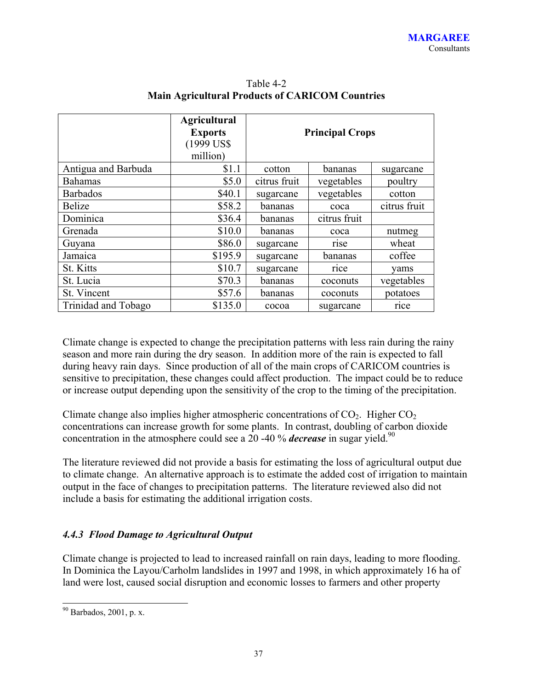|                     | <b>Agricultural</b><br><b>Exports</b><br>(1999 US\$)<br>million) | <b>Principal Crops</b>            |            |           |  |  |  |  |
|---------------------|------------------------------------------------------------------|-----------------------------------|------------|-----------|--|--|--|--|
| Antigua and Barbuda | \$1.1                                                            | cotton                            | bananas    | sugarcane |  |  |  |  |
| <b>Bahamas</b>      | \$5.0                                                            | citrus fruit                      | vegetables | poultry   |  |  |  |  |
| <b>Barbados</b>     | \$40.1                                                           | vegetables<br>cotton<br>sugarcane |            |           |  |  |  |  |
| <b>Belize</b>       | \$58.2                                                           | citrus fruit<br>bananas<br>coca   |            |           |  |  |  |  |
| Dominica            | \$36.4                                                           | citrus fruit<br>bananas           |            |           |  |  |  |  |
| Grenada             | \$10.0                                                           | bananas                           | coca       | nutmeg    |  |  |  |  |
| Guyana              | \$86.0                                                           | sugarcane                         | rise       | wheat     |  |  |  |  |
| Jamaica             | \$195.9                                                          | sugarcane                         | bananas    | coffee    |  |  |  |  |
| St. Kitts           | \$10.7                                                           | sugarcane<br>rice<br>vams         |            |           |  |  |  |  |
| St. Lucia           | \$70.3                                                           | vegetables<br>bananas<br>coconuts |            |           |  |  |  |  |
| St. Vincent         | \$57.6                                                           | potatoes<br>bananas<br>coconuts   |            |           |  |  |  |  |
| Trinidad and Tobago | \$135.0                                                          | rice<br>sugarcane<br>cocoa        |            |           |  |  |  |  |

Table 4-2 **Main Agricultural Products of CARICOM Countries**

Climate change is expected to change the precipitation patterns with less rain during the rainy season and more rain during the dry season. In addition more of the rain is expected to fall during heavy rain days. Since production of all of the main crops of CARICOM countries is sensitive to precipitation, these changes could affect production. The impact could be to reduce or increase output depending upon the sensitivity of the crop to the timing of the precipitation.

Climate change also implies higher atmospheric concentrations of  $CO<sub>2</sub>$ . Higher  $CO<sub>2</sub>$ concentrations can increase growth for some plants. In contrast, doubling of carbon dioxide concentration in the atmosphere could see a 20 -40 % *decrease* in sugar yield.<sup>90</sup>

The literature reviewed did not provide a basis for estimating the loss of agricultural output due to climate change. An alternative approach is to estimate the added cost of irrigation to maintain output in the face of changes to precipitation patterns. The literature reviewed also did not include a basis for estimating the additional irrigation costs.

## *4.4.3 Flood Damage to Agricultural Output*

Climate change is projected to lead to increased rainfall on rain days, leading to more flooding. In Dominica the Layou/Carholm landslides in 1997 and 1998, in which approximately 16 ha of land were lost, caused social disruption and economic losses to farmers and other property

 $90$  Barbados, 2001, p. x.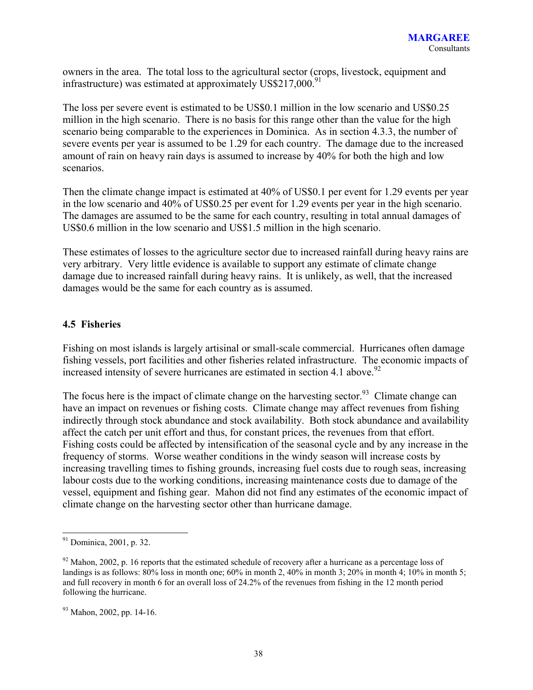owners in the area. The total loss to the agricultural sector (crops, livestock, equipment and infrastructure) was estimated at approximately  $USS217,000.<sup>91</sup>$ 

The loss per severe event is estimated to be US\$0.1 million in the low scenario and US\$0.25 million in the high scenario. There is no basis for this range other than the value for the high scenario being comparable to the experiences in Dominica. As in section 4.3.3, the number of severe events per year is assumed to be 1.29 for each country. The damage due to the increased amount of rain on heavy rain days is assumed to increase by 40% for both the high and low scenarios.

Then the climate change impact is estimated at 40% of US\$0.1 per event for 1.29 events per year in the low scenario and 40% of US\$0.25 per event for 1.29 events per year in the high scenario. The damages are assumed to be the same for each country, resulting in total annual damages of US\$0.6 million in the low scenario and US\$1.5 million in the high scenario.

These estimates of losses to the agriculture sector due to increased rainfall during heavy rains are very arbitrary. Very little evidence is available to support any estimate of climate change damage due to increased rainfall during heavy rains. It is unlikely, as well, that the increased damages would be the same for each country as is assumed.

### **4.5 Fisheries**

Fishing on most islands is largely artisinal or small-scale commercial. Hurricanes often damage fishing vessels, port facilities and other fisheries related infrastructure. The economic impacts of increased intensity of severe hurricanes are estimated in section 4.1 above.<sup>92</sup>

The focus here is the impact of climate change on the harvesting sector.<sup>93</sup> Climate change can have an impact on revenues or fishing costs. Climate change may affect revenues from fishing indirectly through stock abundance and stock availability. Both stock abundance and availability affect the catch per unit effort and thus, for constant prices, the revenues from that effort. Fishing costs could be affected by intensification of the seasonal cycle and by any increase in the frequency of storms. Worse weather conditions in the windy season will increase costs by increasing travelling times to fishing grounds, increasing fuel costs due to rough seas, increasing labour costs due to the working conditions, increasing maintenance costs due to damage of the vessel, equipment and fishing gear. Mahon did not find any estimates of the economic impact of climate change on the harvesting sector other than hurricane damage.

l

 $91$  Dominica, 2001, p. 32.

 $92$  Mahon, 2002, p. 16 reports that the estimated schedule of recovery after a hurricane as a percentage loss of landings is as follows: 80% loss in month one; 60% in month 2, 40% in month 3; 20% in month 4; 10% in month 5; and full recovery in month 6 for an overall loss of 24.2% of the revenues from fishing in the 12 month period following the hurricane.

 $93$  Mahon, 2002, pp. 14-16.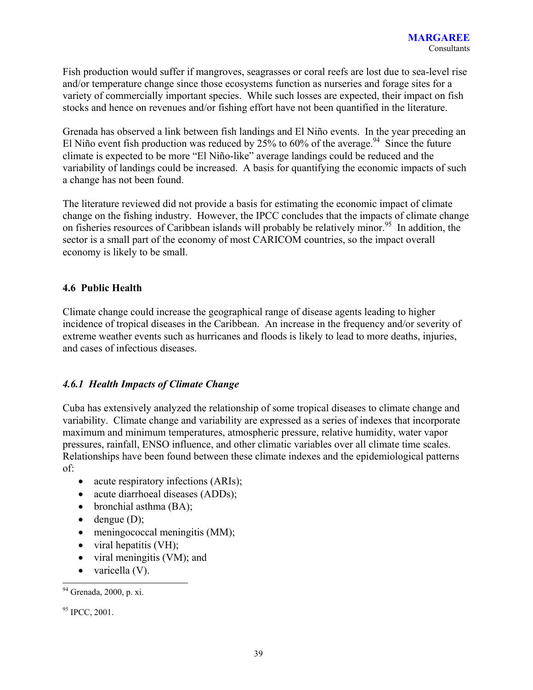Fish production would suffer if mangroves, seagrasses or coral reefs are lost due to sea-level rise and/or temperature change since those ecosystems function as nurseries and forage sites for a variety of commercially important species. While such losses are expected, their impact on fish stocks and hence on revenues and/or fishing effort have not been quantified in the literature.

Grenada has observed a link between fish landings and El Niño events. In the year preceding an El Niño event fish production was reduced by  $25\%$  to 60% of the average.<sup>94</sup> Since the future climate is expected to be more "El Niño-like" average landings could be reduced and the variability of landings could be increased. A basis for quantifying the economic impacts of such a change has not been found.

The literature reviewed did not provide a basis for estimating the economic impact of climate change on the fishing industry. However, the IPCC concludes that the impacts of climate change on fisheries resources of Caribbean islands will probably be relatively minor.<sup>95</sup> In addition, the sector is a small part of the economy of most CARICOM countries, so the impact overall economy is likely to be small.

## **4.6 Public Health**

Climate change could increase the geographical range of disease agents leading to higher incidence of tropical diseases in the Caribbean. An increase in the frequency and/or severity of extreme weather events such as hurricanes and floods is likely to lead to more deaths, injuries, and cases of infectious diseases.

## *4.6.1 Health Impacts of Climate Change*

Cuba has extensively analyzed the relationship of some tropical diseases to climate change and variability. Climate change and variability are expressed as a series of indexes that incorporate maximum and minimum temperatures, atmospheric pressure, relative humidity, water vapor pressures, rainfall, ENSO influence, and other climatic variables over all climate time scales. Relationships have been found between these climate indexes and the epidemiological patterns of:

- acute respiratory infections (ARIs);
- acute diarrhoeal diseases (ADDs);
- bronchial asthma (BA);
- $\bullet$  dengue (D);
- meningococcal meningitis (MM);
- viral hepatitis  $(VH)$ ;
- viral meningitis (VM); and
- varicella (V).

<sup>94</sup> Grenada, 2000, p. xi.

<sup>&</sup>lt;sup>95</sup> IPCC, 2001.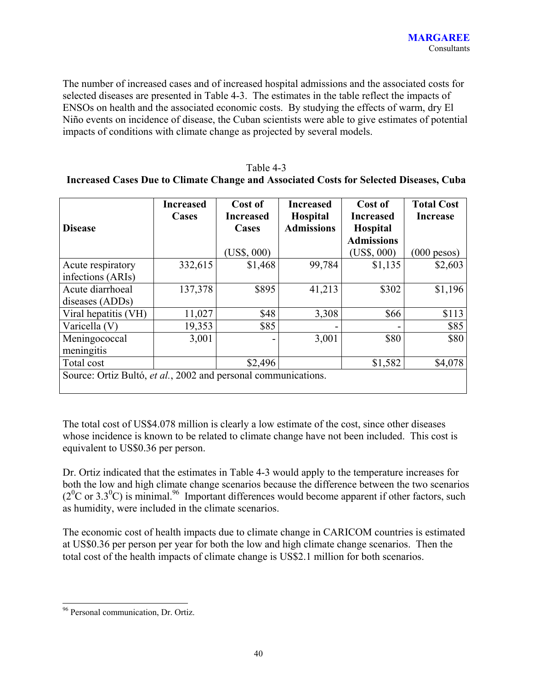The number of increased cases and of increased hospital admissions and the associated costs for selected diseases are presented in Table 4-3. The estimates in the table reflect the impacts of ENSOs on health and the associated economic costs. By studying the effects of warm, dry El Niño events on incidence of disease, the Cuban scientists were able to give estimates of potential impacts of conditions with climate change as projected by several models.

#### Table 4-3

## **Increased Cases Due to Climate Change and Associated Costs for Selected Diseases, Cuba**

| <b>Disease</b>                                                 | <b>Increased</b><br>Cases | Cost of<br><b>Increased</b><br>Cases | <b>Increased</b><br><b>Hospital</b><br><b>Admissions</b> | Cost of<br><b>Increased</b><br><b>Hospital</b><br><b>Admissions</b> | <b>Total Cost</b><br><b>Increase</b> |
|----------------------------------------------------------------|---------------------------|--------------------------------------|----------------------------------------------------------|---------------------------------------------------------------------|--------------------------------------|
|                                                                |                           | $(US\$ {5}, 000)                     |                                                          | $(US\$ , 000)                                                       | $(000$ pesos)                        |
| Acute respiratory                                              | 332,615                   | \$1,468                              | 99,784                                                   | \$1,135                                                             | \$2,603                              |
| infections (ARIs)                                              |                           |                                      |                                                          |                                                                     |                                      |
| Acute diarrhoeal                                               | 137,378                   | \$895                                | 41,213                                                   | \$302                                                               | \$1,196                              |
| diseases (ADDs)                                                |                           |                                      |                                                          |                                                                     |                                      |
| Viral hepatitis (VH)                                           | 11,027                    | \$48                                 | 3,308                                                    | \$66                                                                | \$113                                |
| Varicella (V)                                                  | 19,353                    | \$85                                 |                                                          |                                                                     | \$85                                 |
| Meningococcal<br>meningitis                                    | 3,001                     |                                      | 3,001                                                    | \$80                                                                | \$80                                 |
| Total cost                                                     |                           | \$2,496                              |                                                          | \$1,582                                                             | \$4,078                              |
| Source: Ortiz Bultó, et al., 2002 and personal communications. |                           |                                      |                                                          |                                                                     |                                      |

The total cost of US\$4.078 million is clearly a low estimate of the cost, since other diseases whose incidence is known to be related to climate change have not been included. This cost is equivalent to US\$0.36 per person.

Dr. Ortiz indicated that the estimates in Table 4-3 would apply to the temperature increases for both the low and high climate change scenarios because the difference between the two scenarios  $(2^{0}C \text{ or } 3.3^{0}C)$  is minimal.<sup>96</sup> Important differences would become apparent if other factors, such as humidity, were included in the climate scenarios.

The economic cost of health impacts due to climate change in CARICOM countries is estimated at US\$0.36 per person per year for both the low and high climate change scenarios. Then the total cost of the health impacts of climate change is US\$2.1 million for both scenarios.

<sup>&</sup>lt;sup>96</sup> Personal communication, Dr. Ortiz.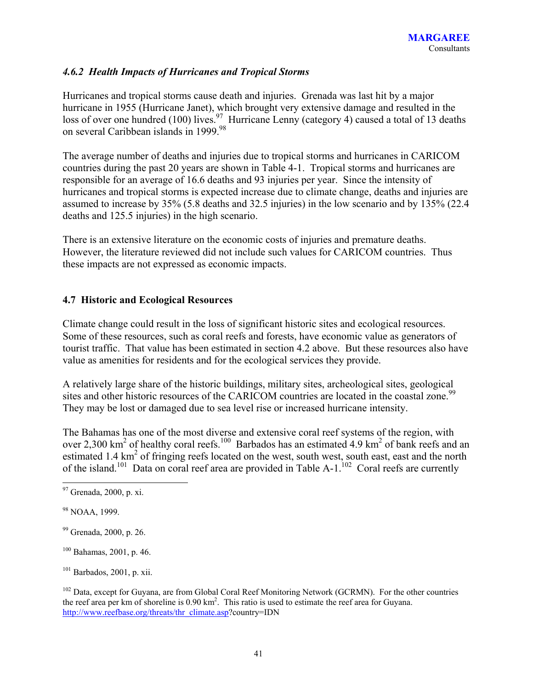## *4.6.2 Health Impacts of Hurricanes and Tropical Storms*

Hurricanes and tropical storms cause death and injuries. Grenada was last hit by a major hurricane in 1955 (Hurricane Janet), which brought very extensive damage and resulted in the loss of over one hundred (100) lives.<sup>97</sup> Hurricane Lenny (category 4) caused a total of 13 deaths on several Caribbean islands in 1999.<sup>98</sup>

The average number of deaths and injuries due to tropical storms and hurricanes in CARICOM countries during the past 20 years are shown in Table 4-1. Tropical storms and hurricanes are responsible for an average of 16.6 deaths and 93 injuries per year. Since the intensity of hurricanes and tropical storms is expected increase due to climate change, deaths and injuries are assumed to increase by 35% (5.8 deaths and 32.5 injuries) in the low scenario and by 135% (22.4 deaths and 125.5 injuries) in the high scenario.

There is an extensive literature on the economic costs of injuries and premature deaths. However, the literature reviewed did not include such values for CARICOM countries. Thus these impacts are not expressed as economic impacts.

## **4.7 Historic and Ecological Resources**

Climate change could result in the loss of significant historic sites and ecological resources. Some of these resources, such as coral reefs and forests, have economic value as generators of tourist traffic. That value has been estimated in section 4.2 above. But these resources also have value as amenities for residents and for the ecological services they provide.

A relatively large share of the historic buildings, military sites, archeological sites, geological sites and other historic resources of the CARICOM countries are located in the coastal zone.<sup>99</sup> They may be lost or damaged due to sea level rise or increased hurricane intensity.

The Bahamas has one of the most diverse and extensive coral reef systems of the region, with over 2,300 km<sup>2</sup> of healthy coral reefs.<sup>100</sup> Barbados has an estimated 4.9 km<sup>2</sup> of bank reefs and an estimated 1.4  $\text{km}^2$  of fringing reefs located on the west, south west, south east, east and the north of the island.<sup>101</sup> Data on coral reef area are provided in Table A-1.<sup>102</sup> Coral reefs are currently

<sup>97</sup> Grenada, 2000, p. xi.

<sup>&</sup>lt;sup>98</sup> NOAA, 1999.

<sup>99</sup> Grenada, 2000, p. 26.

 $100$  Bahamas, 2001, p. 46.

 $101$  Barbados, 2001, p. xii.

<sup>&</sup>lt;sup>102</sup> Data, except for Guyana, are from Global Coral Reef Monitoring Network (GCRMN). For the other countries the reef area per km of shoreline is 0.90 km<sup>2</sup>. This ratio is used to estimate the reef area for Guyana. http://www.reefbase.org/threats/thr\_climate.asp?country=IDN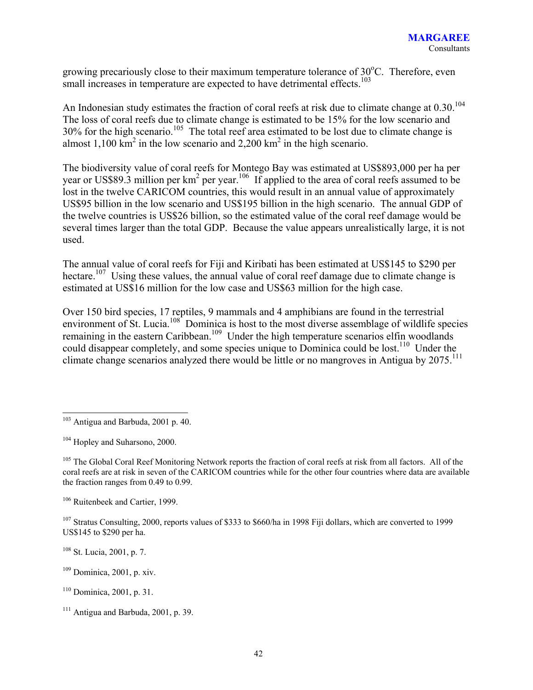growing precariously close to their maximum temperature tolerance of 30°C. Therefore, even small increases in temperature are expected to have detrimental effects.<sup>103</sup>

An Indonesian study estimates the fraction of coral reefs at risk due to climate change at  $0.30^{104}$ The loss of coral reefs due to climate change is estimated to be 15% for the low scenario and 30% for the high scenario.<sup>105</sup> The total reef area estimated to be lost due to climate change is almost 1,100  $km^2$  in the low scenario and 2,200  $km^2$  in the high scenario.

The biodiversity value of coral reefs for Montego Bay was estimated at US\$893,000 per ha per year or US\$89.3 million per  $km^2$  per year.<sup>106</sup> If applied to the area of coral reefs assumed to be lost in the twelve CARICOM countries, this would result in an annual value of approximately US\$95 billion in the low scenario and US\$195 billion in the high scenario. The annual GDP of the twelve countries is US\$26 billion, so the estimated value of the coral reef damage would be several times larger than the total GDP. Because the value appears unrealistically large, it is not used.

The annual value of coral reefs for Fiji and Kiribati has been estimated at US\$145 to \$290 per hectare.<sup>107</sup> Using these values, the annual value of coral reef damage due to climate change is estimated at US\$16 million for the low case and US\$63 million for the high case.

Over 150 bird species, 17 reptiles, 9 mammals and 4 amphibians are found in the terrestrial environment of St. Lucia.<sup>108</sup> Dominica is host to the most diverse assemblage of wildlife species remaining in the eastern Caribbean.<sup>109</sup> Under the high temperature scenarios elfin woodlands could disappear completely, and some species unique to Dominica could be lost.<sup>110</sup> Under the climate change scenarios analyzed there would be little or no mangroves in Antigua by 2075.<sup>111</sup>

106 Ruitenbeek and Cartier, 1999.

<sup>107</sup> Stratus Consulting, 2000, reports values of \$333 to \$660/ha in 1998 Fiji dollars, which are converted to 1999 US\$145 to \$290 per ha.

108 St. Lucia, 2001, p. 7.

109 Dominica, 2001, p. xiv.

 $\overline{a}$  $103$  Antigua and Barbuda, 2001 p. 40.

<sup>104</sup> Hopley and Suharsono, 2000.

<sup>&</sup>lt;sup>105</sup> The Global Coral Reef Monitoring Network reports the fraction of coral reefs at risk from all factors. All of the coral reefs are at risk in seven of the CARICOM countries while for the other four countries where data are available the fraction ranges from 0.49 to 0.99.

<sup>110</sup> Dominica, 2001, p. 31.

 $111$  Antigua and Barbuda, 2001, p. 39.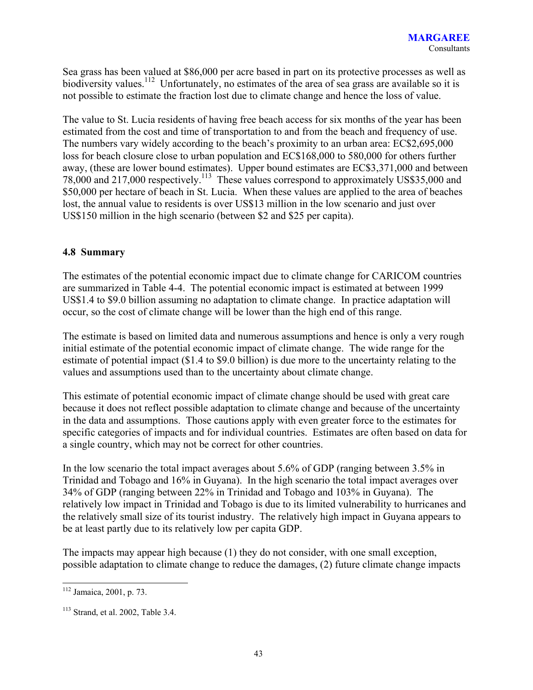Sea grass has been valued at \$86,000 per acre based in part on its protective processes as well as biodiversity values.<sup>112</sup> Unfortunately, no estimates of the area of sea grass are available so it is not possible to estimate the fraction lost due to climate change and hence the loss of value.

The value to St. Lucia residents of having free beach access for six months of the year has been estimated from the cost and time of transportation to and from the beach and frequency of use. The numbers vary widely according to the beach's proximity to an urban area: EC\$2,695,000 loss for beach closure close to urban population and EC\$168,000 to 580,000 for others further away, (these are lower bound estimates). Upper bound estimates are EC\$3,371,000 and between 78,000 and 217,000 respectively.113 These values correspond to approximately US\$35,000 and \$50,000 per hectare of beach in St. Lucia. When these values are applied to the area of beaches lost, the annual value to residents is over US\$13 million in the low scenario and just over US\$150 million in the high scenario (between \$2 and \$25 per capita).

### **4.8 Summary**

The estimates of the potential economic impact due to climate change for CARICOM countries are summarized in Table 4-4. The potential economic impact is estimated at between 1999 US\$1.4 to \$9.0 billion assuming no adaptation to climate change. In practice adaptation will occur, so the cost of climate change will be lower than the high end of this range.

The estimate is based on limited data and numerous assumptions and hence is only a very rough initial estimate of the potential economic impact of climate change. The wide range for the estimate of potential impact (\$1.4 to \$9.0 billion) is due more to the uncertainty relating to the values and assumptions used than to the uncertainty about climate change.

This estimate of potential economic impact of climate change should be used with great care because it does not reflect possible adaptation to climate change and because of the uncertainty in the data and assumptions. Those cautions apply with even greater force to the estimates for specific categories of impacts and for individual countries. Estimates are often based on data for a single country, which may not be correct for other countries.

In the low scenario the total impact averages about 5.6% of GDP (ranging between 3.5% in Trinidad and Tobago and 16% in Guyana). In the high scenario the total impact averages over 34% of GDP (ranging between 22% in Trinidad and Tobago and 103% in Guyana). The relatively low impact in Trinidad and Tobago is due to its limited vulnerability to hurricanes and the relatively small size of its tourist industry. The relatively high impact in Guyana appears to be at least partly due to its relatively low per capita GDP.

The impacts may appear high because (1) they do not consider, with one small exception, possible adaptation to climate change to reduce the damages, (2) future climate change impacts

 $\overline{a}$ 112 Jamaica, 2001, p. 73.

<sup>&</sup>lt;sup>113</sup> Strand, et al. 2002, Table 3.4.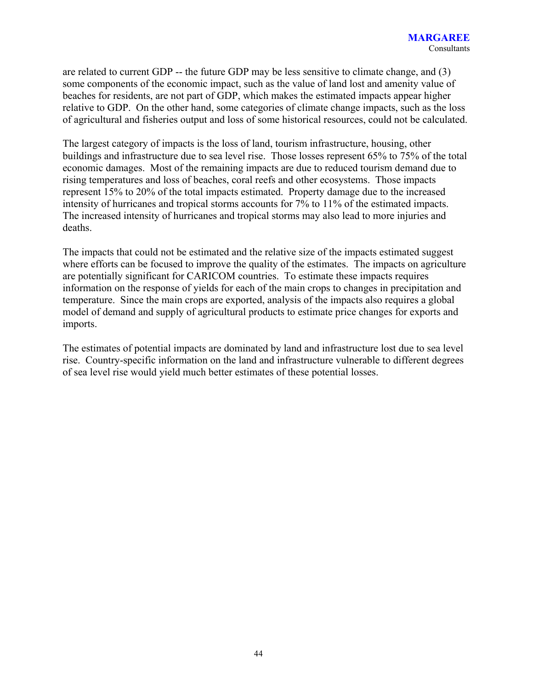are related to current GDP -- the future GDP may be less sensitive to climate change, and (3) some components of the economic impact, such as the value of land lost and amenity value of beaches for residents, are not part of GDP, which makes the estimated impacts appear higher relative to GDP. On the other hand, some categories of climate change impacts, such as the loss of agricultural and fisheries output and loss of some historical resources, could not be calculated.

The largest category of impacts is the loss of land, tourism infrastructure, housing, other buildings and infrastructure due to sea level rise. Those losses represent 65% to 75% of the total economic damages. Most of the remaining impacts are due to reduced tourism demand due to rising temperatures and loss of beaches, coral reefs and other ecosystems. Those impacts represent 15% to 20% of the total impacts estimated. Property damage due to the increased intensity of hurricanes and tropical storms accounts for 7% to 11% of the estimated impacts. The increased intensity of hurricanes and tropical storms may also lead to more injuries and deaths.

The impacts that could not be estimated and the relative size of the impacts estimated suggest where efforts can be focused to improve the quality of the estimates. The impacts on agriculture are potentially significant for CARICOM countries. To estimate these impacts requires information on the response of yields for each of the main crops to changes in precipitation and temperature. Since the main crops are exported, analysis of the impacts also requires a global model of demand and supply of agricultural products to estimate price changes for exports and imports.

The estimates of potential impacts are dominated by land and infrastructure lost due to sea level rise. Country-specific information on the land and infrastructure vulnerable to different degrees of sea level rise would yield much better estimates of these potential losses.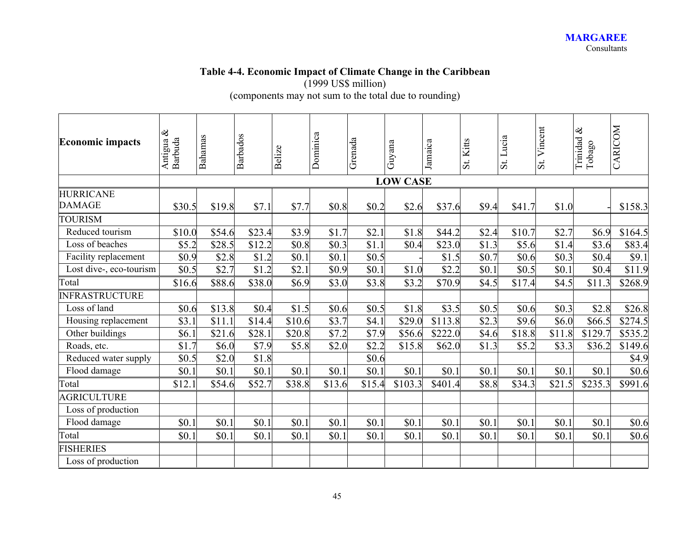#### **Table 4-4. Economic Impact of Climate Change in the Caribbean**  (1999 US\$ million)

(components may not sum to the total due to rounding)

| <b>Economic impacts</b>           | $\otimes$<br>Barbuda<br>Antigua | Bahamas | <b>Barbados</b> | Belize | Dominica | Grenada | Guyana          | Jamaica | St. Kitts | Lucia<br>$\ddot{s}$ | Vincent<br>St. | Trinidad &<br>Tobago | CARICOM |
|-----------------------------------|---------------------------------|---------|-----------------|--------|----------|---------|-----------------|---------|-----------|---------------------|----------------|----------------------|---------|
|                                   |                                 |         |                 |        |          |         | <b>LOW CASE</b> |         |           |                     |                |                      |         |
| <b>HURRICANE</b><br><b>DAMAGE</b> | \$30.5                          | \$19.8  | \$7.1           | \$7.7  | \$0.8    | \$0.2   | \$2.6           | \$37.6  | \$9.4     | \$41.7              | \$1.0          |                      | \$158.3 |
| <b>TOURISM</b>                    |                                 |         |                 |        |          |         |                 |         |           |                     |                |                      |         |
| Reduced tourism                   | \$10.0                          | \$54.6  | \$23.4          | \$3.9  | \$1.7    | \$2.1   | \$1.8           | \$44.2  | \$2.4     | \$10.7              | \$2.7          | \$6.9                | \$164.5 |
| Loss of beaches                   | \$5.2                           | \$28.5  | \$12.2          | \$0.8  | \$0.3    | \$1.1   | \$0.4           | \$23.0  | \$1.3     | \$5.6               | \$1.4          | \$3.6                | \$83.4  |
| Facility replacement              | \$0.9                           | \$2.8   | \$1.2           | \$0.1  | \$0.1    | \$0.5   |                 | \$1.5   | \$0.7     | \$0.6               | \$0.3          | \$0.4                | \$9.1   |
| Lost dive-, eco-tourism           | \$0.5                           | \$2.7   | \$1.2           | \$2.1  | \$0.9    | \$0.1   | \$1.0           | \$2.2   | \$0.1     | \$0.5               | \$0.1          | \$0.4                | \$11.9  |
| Total                             | \$16.6                          | \$88.6  | \$38.0          | \$6.9  | \$3.0    | \$3.8   | \$3.2           | \$70.9  | \$4.5     | \$17.4              | \$4.5          | \$11.3               | \$268.9 |
| <b>INFRASTRUCTURE</b>             |                                 |         |                 |        |          |         |                 |         |           |                     |                |                      |         |
| Loss of land                      | \$0.6                           | \$13.8  | \$0.4           | \$1.5  | \$0.6    | \$0.5   | \$1.8           | \$3.5   | \$0.5     | \$0.6               | \$0.3          | \$2.8                | \$26.8  |
| Housing replacement               | \$3.1                           | \$11.1  | \$14.4          | \$10.6 | \$3.7    | \$4.1   | \$29.0          | \$113.8 | \$2.3     | \$9.6               | \$6.0          | \$66.5               | \$274.5 |
| Other buildings                   | \$6.1                           | \$21.6  | \$28.1          | \$20.8 | \$7.2    | \$7.9   | \$56.6          | \$222.0 | \$4.6     | \$18.8              | \$11.8         | \$129.7              | \$535.2 |
| Roads, etc.                       | \$1.7                           | \$6.0   | \$7.9           | \$5.8  | \$2.0    | \$2.2   | \$15.8          | \$62.0  | \$1.3     | \$5.2               | \$3.3          | \$36.2               | \$149.6 |
| Reduced water supply              | \$0.5                           | \$2.0   | \$1.8           |        |          | \$0.6   |                 |         |           |                     |                |                      | \$4.9   |
| Flood damage                      | \$0.1                           | \$0.1   | \$0.1           | \$0.1  | \$0.1    | \$0.1   | \$0.1           | \$0.1   | \$0.1     | \$0.1               | \$0.1          | \$0.1                | \$0.6   |
| Total                             | \$12.1                          | \$54.6  | \$52.7          | \$38.8 | \$13.6   | \$15.4  | \$103.3         | \$401.4 | \$8.8     | \$34.3              | \$21.5         | \$235.3              | \$991.6 |
| <b>AGRICULTURE</b>                |                                 |         |                 |        |          |         |                 |         |           |                     |                |                      |         |
| Loss of production                |                                 |         |                 |        |          |         |                 |         |           |                     |                |                      |         |
| Flood damage                      | \$0.1                           | \$0.1   | \$0.1           | \$0.1  | \$0.1    | \$0.1   | \$0.1           | \$0.1   | \$0.1     | \$0.1               | \$0.1          | \$0.1                | \$0.6   |
| Total                             | \$0.1                           | \$0.1   | \$0.1           | \$0.1  | \$0.1    | \$0.1   | \$0.1           | \$0.1   | \$0.1     | \$0.1               | \$0.1          | \$0.1                | \$0.6   |
| <b>FISHERIES</b>                  |                                 |         |                 |        |          |         |                 |         |           |                     |                |                      |         |
| Loss of production                |                                 |         |                 |        |          |         |                 |         |           |                     |                |                      |         |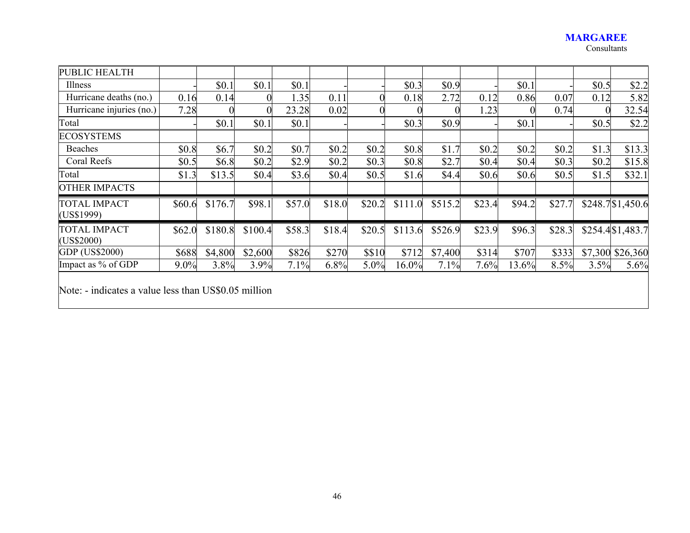#### **MARGAREE**  Consultants

| PUBLIC HEALTH                     |        |         |                |        |        |        |         |         |        |        |        |         |                   |
|-----------------------------------|--------|---------|----------------|--------|--------|--------|---------|---------|--------|--------|--------|---------|-------------------|
| Illness                           |        | \$0.1   | \$0.1          | \$0.1  |        |        | \$0.3   | \$0.9   |        | \$0.1  |        | \$0.5   | \$2.2             |
| Hurricane deaths (no.)            | 0.16   | 0.14    |                | 1.35   | 0.11   |        | 0.18    | 2.72    | 0.12   | 0.86   | 0.07   | 0.12    | 5.82              |
| Hurricane injuries (no.)          | 7.28   |         | $\overline{0}$ | 23.28  | 0.02   |        |         |         | 1.23   |        | 0.74   |         | 32.54             |
| Total                             |        | \$0.1   | \$0.1          | \$0.1  |        |        | \$0.3   | \$0.9   |        | \$0.1  |        | \$0.5   | \$2.2             |
| <b>ECOSYSTEMS</b>                 |        |         |                |        |        |        |         |         |        |        |        |         |                   |
| <b>Beaches</b>                    | \$0.8  | \$6.7   | \$0.2          | \$0.7  | \$0.2  | \$0.2  | \$0.8   | \$1.7   | \$0.2  | \$0.2  | \$0.2  | \$1.3   | \$13.3            |
| Coral Reefs                       | \$0.5  | \$6.8   | \$0.2          | \$2.9  | \$0.2  | \$0.3  | \$0.8   | \$2.7   | \$0.4  | \$0.4  | \$0.3  | \$0.2   | \$15.8            |
| Total                             | \$1.3  | \$13.5  | \$0.4          | \$3.6  | \$0.4  | \$0.5  | \$1.6   | \$4.4   | \$0.6  | \$0.6  | \$0.5  | \$1.5   | \$32.1            |
| <b>OTHER IMPACTS</b>              |        |         |                |        |        |        |         |         |        |        |        |         |                   |
| <b>TOTAL IMPACT</b><br>(US\$1999) | \$60.6 | \$176.7 | \$98.1         | \$57.0 | \$18.0 | \$20.2 | \$111.0 | \$515.2 | \$23.4 | \$94.2 | \$27.7 |         | \$248.7 \$1,450.6 |
| <b>TOTAL IMPACT</b><br>(US\$2000) | \$62.0 | \$180.8 | \$100.4        | \$58.3 | \$18.4 | \$20.5 | \$113.6 | \$526.9 | \$23.9 | \$96.3 | \$28.3 |         | \$254.4 \$1,483.7 |
| GDP (US\$2000)                    | \$688  | \$4,800 | \$2,600        | \$826  | \$270  | \$\$10 | \$712   | \$7,400 | \$314  | \$707  | \$333  | \$7,300 | \$26,360          |
| Impact as % of GDP                | 9.0%   | 3.8%    | 3.9%           | 7.1%   | 6.8%   | 5.0%   | 16.0%   | 7.1%    | 7.6%   | 13.6%  | 8.5%   | 3.5%    | 5.6%              |
|                                   |        |         |                |        |        |        |         |         |        |        |        |         |                   |

Note: - indicates a value less than US\$0.05 million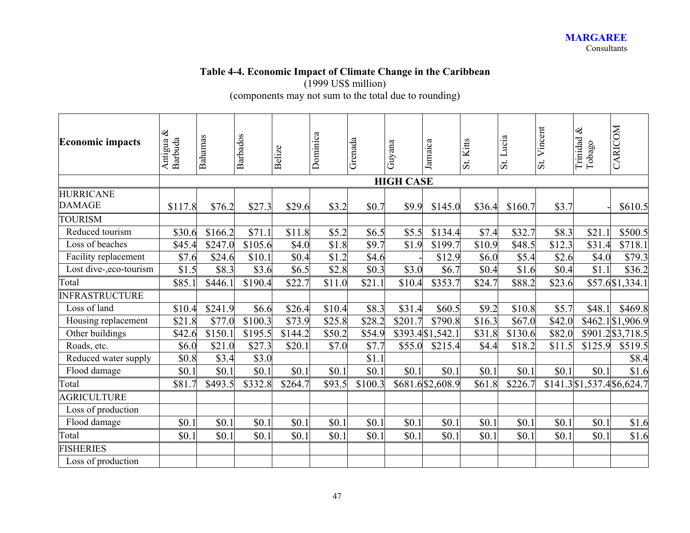# **Table 4-4. Economic Impact of Climate Change in the Caribbean**

(1999 US\$ million)

(components may not sum to the total due to rounding)

| <b>Economic impacts</b>           | $\otimes$<br>Barbuda<br>Antigua | Bahamas | <b>Barbados</b>     | Belize  | Dominica | Grenada | Guyana           | Jamaica           | St. Kitts | Lucia<br>$\overline{\mathbf{s}}$ t | Vincent<br>$\ddot{s}$ | Trinidad &<br>Tobago           | CARICOM           |
|-----------------------------------|---------------------------------|---------|---------------------|---------|----------|---------|------------------|-------------------|-----------|------------------------------------|-----------------------|--------------------------------|-------------------|
|                                   |                                 |         |                     |         |          |         | <b>HIGH CASE</b> |                   |           |                                    |                       |                                |                   |
| <b>HURRICANE</b><br><b>DAMAGE</b> | \$117.8                         | \$76.2  | \$27.3              | \$29.6  | \$3.2    | \$0.7   | \$9.9            | \$145.0           | \$36.4    | \$160.7                            | \$3.7                 |                                | \$610.5           |
| <b>TOURISM</b>                    |                                 |         |                     |         |          |         |                  |                   |           |                                    |                       |                                |                   |
| Reduced tourism                   | \$30.6                          | \$166.2 | \$71.1              | \$11.8  | \$5.2    | \$6.5   | \$5.5            | \$134.4           | \$7.4     | \$32.7                             | \$8.3                 | \$21.1                         | \$500.5           |
| Loss of beaches                   | \$45.4                          | \$247.0 | \$105.6             | \$4.0   | \$1.8    | \$9.7   | \$1.9            | \$199.7           | \$10.9    | \$48.5                             | \$12.3                | \$31.4                         | \$718.1           |
| Facility replacement              | \$7.6                           | \$24.6  | \$10.1              | \$0.4   | \$1.2    | \$4.6   |                  | \$12.9            | \$6.0     | \$5.4                              | \$2.6                 | \$4.0                          | \$79.3            |
| Lost dive-,eco-tourism            | \$1.5                           | \$8.3   | \$3.6               | \$6.5   | \$2.8    | \$0.3   | \$3.0            | \$6.7             | \$0.4     | \$1.6                              | \$0.4                 | \$1.1                          | \$36.2            |
| Total                             | \$85.1                          | \$446.1 | \$190.4             | \$22.7  | \$11.0   | \$21.1  | \$10.4           | \$353.7           | \$24.7    | \$88.2                             | \$23.6                |                                | \$57.6 \$1,334.1  |
| <b>INFRASTRUCTURE</b>             |                                 |         |                     |         |          |         |                  |                   |           |                                    |                       |                                |                   |
| Loss of land                      | \$10.4                          | \$241.9 | \$6.6               | \$26.4  | \$10.4   | \$8.3   | \$31.4           | \$60.5            | \$9.2     | \$10.8                             | \$5.7                 | \$48.1                         | \$469.8           |
| Housing replacement               | \$21.8                          | \$77.0  | $\overline{$}100.3$ | \$73.9  | \$25.8   | \$28.2  | \$201.7          | \$790.8           | \$16.3    | \$67.0                             | \$42.0                |                                | \$462.1 \$1,906.9 |
| Other buildings                   | \$42.6                          | \$150.1 | \$195.5             | \$144.2 | \$50.2   | \$54.9  |                  | \$393.4 \$1,542.1 | \$31.8    | \$130.6                            | \$82.0                |                                | \$901.2 \$3,718.5 |
| Roads, etc.                       | \$6.0                           | \$21.0  | \$27.3              | \$20.1  | \$7.0    | \$7.7   | \$55.0           | \$215.4           | \$4.4     | \$18.2                             | \$11.5                | \$125.9                        | \$519.5           |
| Reduced water supply              | \$0.8                           | \$3.4   | \$3.0               |         |          | \$1.1   |                  |                   |           |                                    |                       |                                | \$8.4             |
| Flood damage                      | \$0.1                           | \$0.1   | \$0.1               | \$0.1   | \$0.1    | \$0.1   | \$0.1            | \$0.1             | \$0.1     | \$0.1                              | \$0.1                 | \$0.1                          | \$1.6             |
| Total                             | \$81.7                          | \$493.5 | \$332.8             | \$264.7 | \$93.5   | \$100.3 |                  | \$681.6 \$2,608.9 | \$61.8    | \$226.7                            |                       | $$141.3$ $$1,537.4$ $$6,624.7$ |                   |
| <b>AGRICULTURE</b>                |                                 |         |                     |         |          |         |                  |                   |           |                                    |                       |                                |                   |
| Loss of production                |                                 |         |                     |         |          |         |                  |                   |           |                                    |                       |                                |                   |
| Flood damage                      | \$0.1                           | \$0.1   | \$0.1               | \$0.1   | \$0.1    | \$0.1   | \$0.1            | \$0.1             | \$0.1     | \$0.1                              | \$0.1                 | \$0.1                          | \$1.6             |
| Total                             | \$0.1                           | \$0.1   | \$0.1               | \$0.1   | \$0.1    | \$0.1   | \$0.1            | \$0.1             | \$0.1     | \$0.1                              | \$0.1                 | \$0.1                          | \$1.6             |
| <b>ISHERIES</b>                   |                                 |         |                     |         |          |         |                  |                   |           |                                    |                       |                                |                   |
| Loss of production                |                                 |         |                     |         |          |         |                  |                   |           |                                    |                       |                                |                   |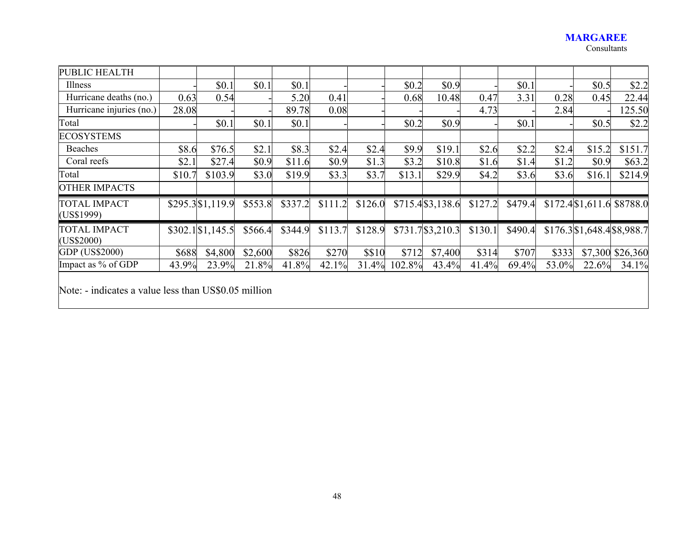#### **MARGAREE**  Consultants

| PUBLIC HEALTH                                                                    |        |                     |         |         |         |         |        |                   |         |         |       |                             |          |
|----------------------------------------------------------------------------------|--------|---------------------|---------|---------|---------|---------|--------|-------------------|---------|---------|-------|-----------------------------|----------|
| Illness                                                                          |        | \$0.1               | \$0.1   | \$0.1   |         |         | \$0.2  | \$0.9             |         | \$0.1   |       | \$0.5                       | \$2.2    |
| Hurricane deaths (no.)                                                           | 0.63   | 0.54                |         | 5.20    | 0.41    |         | 0.68   | 10.48             | 0.47    | 3.31    | 0.28  | 0.45                        | 22.44    |
| Hurricane injuries (no.)                                                         | 28.08  |                     |         | 89.78   | 0.08    |         |        |                   | 4.73    |         | 2.84  |                             | 125.50   |
| Total                                                                            |        | \$0.1               | \$0.1   | \$0.1   |         |         | \$0.2  | \$0.9             |         | \$0.1   |       | \$0.5                       | \$2.2    |
| <b>ECOSYSTEMS</b>                                                                |        |                     |         |         |         |         |        |                   |         |         |       |                             |          |
| Beaches                                                                          | \$8.6  | \$76.5              | \$2.1   | \$8.3   | \$2.4   | \$2.4   | \$9.9  | \$19.1            | \$2.6   | \$2.2   | \$2.4 | \$15.2                      | \$151.7  |
| Coral reefs                                                                      | \$2.1  | \$27.4              | \$0.9   | \$11.6  | \$0.9   | \$1.3   | \$3.2  | \$10.8            | \$1.6   | \$1.4   | \$1.2 | \$0.9                       | \$63.2   |
| Total                                                                            | \$10.7 | \$103.9             | \$3.0   | \$19.9  | \$3.3   | \$3.7   | \$13.1 | \$29.9            | \$4.2   | \$3.6   | \$3.6 | \$16.1                      | \$214.9  |
| <b>OTHER IMPACTS</b>                                                             |        |                     |         |         |         |         |        |                   |         |         |       |                             |          |
| <b>TOTAL IMPACT</b><br>(US\$1999)                                                |        | \$295.3 \$1,119.9   | \$553.8 | \$337.2 | \$111.2 | \$126.0 |        | \$715.4 \$3,138.6 | \$127.2 | \$479.4 |       | $$172.4$ \$1,611.6 \$8788.0 |          |
| TOTAL IMPACT<br>(US\$2000)                                                       |        | $$302.1$ $$1,145.5$ | \$566.4 | \$344.9 | \$113.7 | \$128.9 |        | \$731.7\\$3,210.3 | \$130.1 | \$490.4 |       | \$176.3 \$1,648.4 \$8,988.7 |          |
| GDP (US\$2000)                                                                   | \$688  | \$4,800             | \$2,600 | \$826   | \$270   | \$\$10  | \$712  | \$7,400           | \$314   | \$707   | \$333 | \$7,300                     | \$26,360 |
| Impact as % of GDP                                                               | 43.9%  | 23.9%               | 21.8%   | 41.8%   | 42.1%   | 31.4%   | 102.8% | 43.4%             | 41.4%   | 69.4%   | 53.0% | 22.6%                       | 34.1%    |
| Note: $\overline{ }$ indicates a value less than $\overline{ }$ US\$0.05 million |        |                     |         |         |         |         |        |                   |         |         |       |                             |          |

Note: - indicates a value less than US\$0.05 million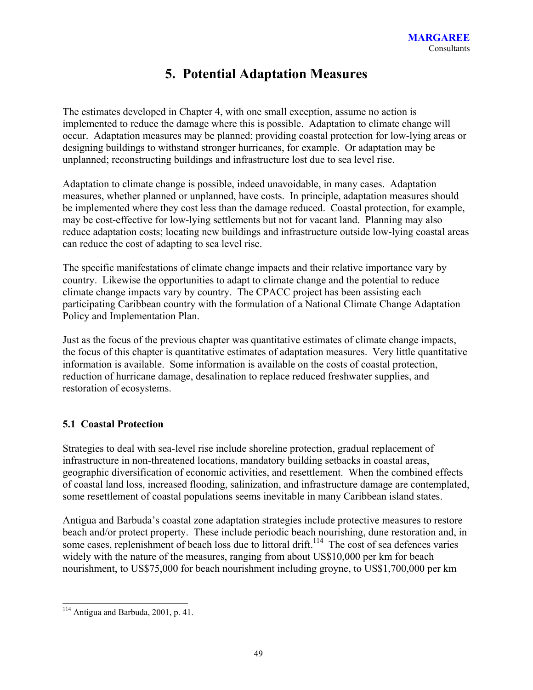## **5. Potential Adaptation Measures**

The estimates developed in Chapter 4, with one small exception, assume no action is implemented to reduce the damage where this is possible. Adaptation to climate change will occur. Adaptation measures may be planned; providing coastal protection for low-lying areas or designing buildings to withstand stronger hurricanes, for example. Or adaptation may be unplanned; reconstructing buildings and infrastructure lost due to sea level rise.

Adaptation to climate change is possible, indeed unavoidable, in many cases. Adaptation measures, whether planned or unplanned, have costs. In principle, adaptation measures should be implemented where they cost less than the damage reduced. Coastal protection, for example, may be cost-effective for low-lying settlements but not for vacant land. Planning may also reduce adaptation costs; locating new buildings and infrastructure outside low-lying coastal areas can reduce the cost of adapting to sea level rise.

The specific manifestations of climate change impacts and their relative importance vary by country. Likewise the opportunities to adapt to climate change and the potential to reduce climate change impacts vary by country. The CPACC project has been assisting each participating Caribbean country with the formulation of a National Climate Change Adaptation Policy and Implementation Plan.

Just as the focus of the previous chapter was quantitative estimates of climate change impacts, the focus of this chapter is quantitative estimates of adaptation measures. Very little quantitative information is available. Some information is available on the costs of coastal protection, reduction of hurricane damage, desalination to replace reduced freshwater supplies, and restoration of ecosystems.

## **5.1 Coastal Protection**

Strategies to deal with sea-level rise include shoreline protection, gradual replacement of infrastructure in non-threatened locations, mandatory building setbacks in coastal areas, geographic diversification of economic activities, and resettlement. When the combined effects of coastal land loss, increased flooding, salinization, and infrastructure damage are contemplated, some resettlement of coastal populations seems inevitable in many Caribbean island states.

Antigua and Barbuda's coastal zone adaptation strategies include protective measures to restore beach and/or protect property. These include periodic beach nourishing, dune restoration and, in some cases, replenishment of beach loss due to littoral drift.<sup>114</sup> The cost of sea defences varies widely with the nature of the measures, ranging from about US\$10,000 per km for beach nourishment, to US\$75,000 for beach nourishment including groyne, to US\$1,700,000 per km

<sup>&</sup>lt;sup>114</sup> Antigua and Barbuda, 2001, p. 41.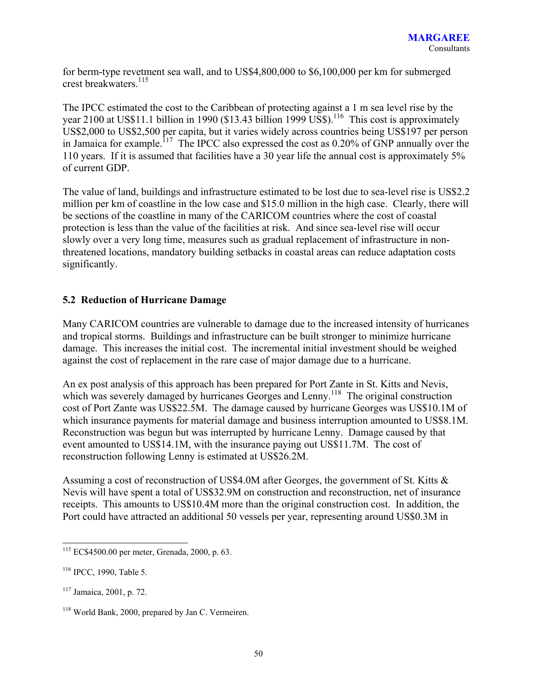for berm-type revetment sea wall, and to US\$4,800,000 to \$6,100,000 per km for submerged crest breakwaters.115

The IPCC estimated the cost to the Caribbean of protecting against a 1 m sea level rise by the year 2100 at US\$11.1 billion in 1990 (\$13.43 billion 1999 US\$).<sup>116</sup> This cost is approximately US\$2,000 to US\$2,500 per capita, but it varies widely across countries being US\$197 per person in Jamaica for example.<sup>117</sup> The IPCC also expressed the cost as 0.20% of GNP annually over the 110 years. If it is assumed that facilities have a 30 year life the annual cost is approximately 5% of current GDP.

The value of land, buildings and infrastructure estimated to be lost due to sea-level rise is US\$2.2 million per km of coastline in the low case and \$15.0 million in the high case. Clearly, there will be sections of the coastline in many of the CARICOM countries where the cost of coastal protection is less than the value of the facilities at risk. And since sea-level rise will occur slowly over a very long time, measures such as gradual replacement of infrastructure in nonthreatened locations, mandatory building setbacks in coastal areas can reduce adaptation costs significantly.

### **5.2 Reduction of Hurricane Damage**

Many CARICOM countries are vulnerable to damage due to the increased intensity of hurricanes and tropical storms. Buildings and infrastructure can be built stronger to minimize hurricane damage. This increases the initial cost. The incremental initial investment should be weighed against the cost of replacement in the rare case of major damage due to a hurricane.

An ex post analysis of this approach has been prepared for Port Zante in St. Kitts and Nevis, which was severely damaged by hurricanes Georges and Lenny.<sup>118</sup> The original construction cost of Port Zante was US\$22.5M. The damage caused by hurricane Georges was US\$10.1M of which insurance payments for material damage and business interruption amounted to US\$8.1M. Reconstruction was begun but was interrupted by hurricane Lenny. Damage caused by that event amounted to US\$14.1M, with the insurance paying out US\$11.7M. The cost of reconstruction following Lenny is estimated at US\$26.2M.

Assuming a cost of reconstruction of US\$4.0M after Georges, the government of St. Kitts & Nevis will have spent a total of US\$32.9M on construction and reconstruction, net of insurance receipts. This amounts to US\$10.4M more than the original construction cost. In addition, the Port could have attracted an additional 50 vessels per year, representing around US\$0.3M in

<sup>115</sup> EC\$4500.00 per meter, Grenada, 2000, p. 63.

<sup>116</sup> IPCC, 1990, Table 5.

<sup>117</sup> Jamaica, 2001, p. 72.

<sup>118</sup> World Bank, 2000, prepared by Jan C. Vermeiren.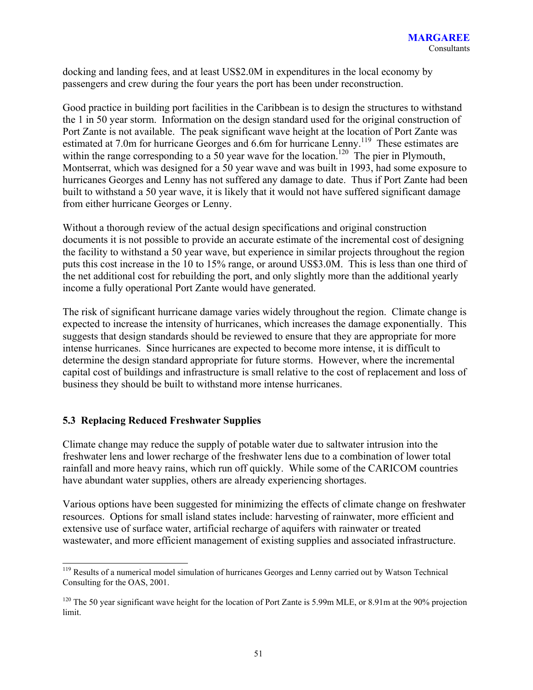docking and landing fees, and at least US\$2.0M in expenditures in the local economy by passengers and crew during the four years the port has been under reconstruction.

Good practice in building port facilities in the Caribbean is to design the structures to withstand the 1 in 50 year storm. Information on the design standard used for the original construction of Port Zante is not available. The peak significant wave height at the location of Port Zante was estimated at 7.0m for hurricane Georges and 6.6m for hurricane Lenny.<sup>119</sup> These estimates are within the range corresponding to a  $50$  year wave for the location.<sup>120</sup> The pier in Plymouth, Montserrat, which was designed for a 50 year wave and was built in 1993, had some exposure to hurricanes Georges and Lenny has not suffered any damage to date. Thus if Port Zante had been built to withstand a 50 year wave, it is likely that it would not have suffered significant damage from either hurricane Georges or Lenny.

Without a thorough review of the actual design specifications and original construction documents it is not possible to provide an accurate estimate of the incremental cost of designing the facility to withstand a 50 year wave, but experience in similar projects throughout the region puts this cost increase in the 10 to 15% range, or around US\$3.0M. This is less than one third of the net additional cost for rebuilding the port, and only slightly more than the additional yearly income a fully operational Port Zante would have generated.

The risk of significant hurricane damage varies widely throughout the region. Climate change is expected to increase the intensity of hurricanes, which increases the damage exponentially. This suggests that design standards should be reviewed to ensure that they are appropriate for more intense hurricanes. Since hurricanes are expected to become more intense, it is difficult to determine the design standard appropriate for future storms. However, where the incremental capital cost of buildings and infrastructure is small relative to the cost of replacement and loss of business they should be built to withstand more intense hurricanes.

## **5.3 Replacing Reduced Freshwater Supplies**

Climate change may reduce the supply of potable water due to saltwater intrusion into the freshwater lens and lower recharge of the freshwater lens due to a combination of lower total rainfall and more heavy rains, which run off quickly. While some of the CARICOM countries have abundant water supplies, others are already experiencing shortages.

Various options have been suggested for minimizing the effects of climate change on freshwater resources. Options for small island states include: harvesting of rainwater, more efficient and extensive use of surface water, artificial recharge of aquifers with rainwater or treated wastewater, and more efficient management of existing supplies and associated infrastructure.

l <sup>119</sup> Results of a numerical model simulation of hurricanes Georges and Lenny carried out by Watson Technical Consulting for the OAS, 2001.

<sup>&</sup>lt;sup>120</sup> The 50 year significant wave height for the location of Port Zante is 5.99m MLE, or 8.91m at the 90% projection limit.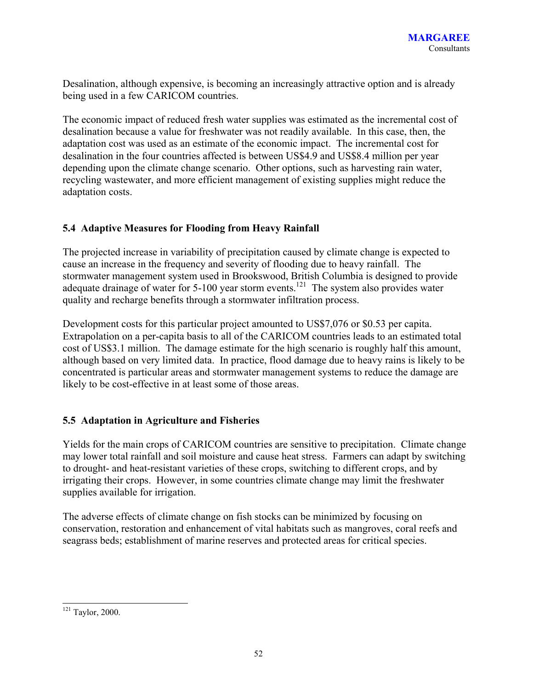Desalination, although expensive, is becoming an increasingly attractive option and is already being used in a few CARICOM countries.

The economic impact of reduced fresh water supplies was estimated as the incremental cost of desalination because a value for freshwater was not readily available. In this case, then, the adaptation cost was used as an estimate of the economic impact. The incremental cost for desalination in the four countries affected is between US\$4.9 and US\$8.4 million per year depending upon the climate change scenario. Other options, such as harvesting rain water, recycling wastewater, and more efficient management of existing supplies might reduce the adaptation costs.

## **5.4 Adaptive Measures for Flooding from Heavy Rainfall**

The projected increase in variability of precipitation caused by climate change is expected to cause an increase in the frequency and severity of flooding due to heavy rainfall. The stormwater management system used in Brookswood, British Columbia is designed to provide adequate drainage of water for 5-100 year storm events.<sup>121</sup> The system also provides water quality and recharge benefits through a stormwater infiltration process.

Development costs for this particular project amounted to US\$7,076 or \$0.53 per capita. Extrapolation on a per-capita basis to all of the CARICOM countries leads to an estimated total cost of US\$3.1 million. The damage estimate for the high scenario is roughly half this amount, although based on very limited data. In practice, flood damage due to heavy rains is likely to be concentrated is particular areas and stormwater management systems to reduce the damage are likely to be cost-effective in at least some of those areas.

## **5.5 Adaptation in Agriculture and Fisheries**

Yields for the main crops of CARICOM countries are sensitive to precipitation. Climate change may lower total rainfall and soil moisture and cause heat stress. Farmers can adapt by switching to drought- and heat-resistant varieties of these crops, switching to different crops, and by irrigating their crops. However, in some countries climate change may limit the freshwater supplies available for irrigation.

The adverse effects of climate change on fish stocks can be minimized by focusing on conservation, restoration and enhancement of vital habitats such as mangroves, coral reefs and seagrass beds; establishment of marine reserves and protected areas for critical species.

 $121$  Taylor, 2000.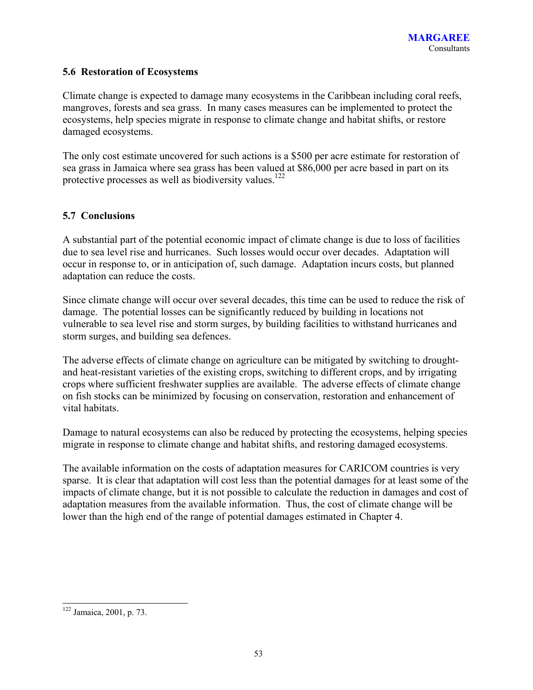### **5.6 Restoration of Ecosystems**

Climate change is expected to damage many ecosystems in the Caribbean including coral reefs, mangroves, forests and sea grass. In many cases measures can be implemented to protect the ecosystems, help species migrate in response to climate change and habitat shifts, or restore damaged ecosystems.

The only cost estimate uncovered for such actions is a \$500 per acre estimate for restoration of sea grass in Jamaica where sea grass has been valued at \$86,000 per acre based in part on its protective processes as well as biodiversity values.<sup>122</sup>

### **5.7 Conclusions**

A substantial part of the potential economic impact of climate change is due to loss of facilities due to sea level rise and hurricanes. Such losses would occur over decades. Adaptation will occur in response to, or in anticipation of, such damage. Adaptation incurs costs, but planned adaptation can reduce the costs.

Since climate change will occur over several decades, this time can be used to reduce the risk of damage. The potential losses can be significantly reduced by building in locations not vulnerable to sea level rise and storm surges, by building facilities to withstand hurricanes and storm surges, and building sea defences.

The adverse effects of climate change on agriculture can be mitigated by switching to droughtand heat-resistant varieties of the existing crops, switching to different crops, and by irrigating crops where sufficient freshwater supplies are available. The adverse effects of climate change on fish stocks can be minimized by focusing on conservation, restoration and enhancement of vital habitats.

Damage to natural ecosystems can also be reduced by protecting the ecosystems, helping species migrate in response to climate change and habitat shifts, and restoring damaged ecosystems.

The available information on the costs of adaptation measures for CARICOM countries is very sparse. It is clear that adaptation will cost less than the potential damages for at least some of the impacts of climate change, but it is not possible to calculate the reduction in damages and cost of adaptation measures from the available information. Thus, the cost of climate change will be lower than the high end of the range of potential damages estimated in Chapter 4.

<sup>&</sup>lt;sup>122</sup> Jamaica, 2001, p. 73.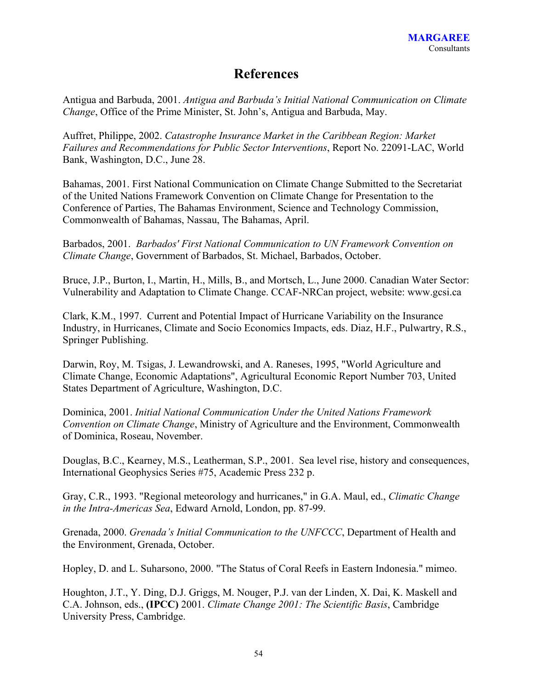## **References**

Antigua and Barbuda, 2001. *Antigua and Barbuda's Initial National Communication on Climate Change*, Office of the Prime Minister, St. John's, Antigua and Barbuda, May.

Auffret, Philippe, 2002. *Catastrophe Insurance Market in the Caribbean Region: Market Failures and Recommendations for Public Sector Interventions*, Report No. 22091-LAC, World Bank, Washington, D.C., June 28.

Bahamas, 2001. First National Communication on Climate Change Submitted to the Secretariat of the United Nations Framework Convention on Climate Change for Presentation to the Conference of Parties, The Bahamas Environment, Science and Technology Commission, Commonwealth of Bahamas, Nassau, The Bahamas, April.

Barbados, 2001. *Barbados' First National Communication to UN Framework Convention on Climate Change*, Government of Barbados, St. Michael, Barbados, October.

Bruce, J.P., Burton, I., Martin, H., Mills, B., and Mortsch, L., June 2000. Canadian Water Sector: Vulnerability and Adaptation to Climate Change. CCAF-NRCan project, website: www.gcsi.ca

Clark, K.M., 1997. Current and Potential Impact of Hurricane Variability on the Insurance Industry, in Hurricanes, Climate and Socio Economics Impacts, eds. Diaz, H.F., Pulwartry, R.S., Springer Publishing.

Darwin, Roy, M. Tsigas, J. Lewandrowski, and A. Raneses, 1995, "World Agriculture and Climate Change, Economic Adaptations", Agricultural Economic Report Number 703, United States Department of Agriculture, Washington, D.C.

Dominica, 2001. *Initial National Communication Under the United Nations Framework Convention on Climate Change*, Ministry of Agriculture and the Environment, Commonwealth of Dominica, Roseau, November.

Douglas, B.C., Kearney, M.S., Leatherman, S.P., 2001. Sea level rise, history and consequences, International Geophysics Series #75, Academic Press 232 p.

Gray, C.R., 1993. "Regional meteorology and hurricanes," in G.A. Maul, ed., *Climatic Change in the Intra-Americas Sea*, Edward Arnold, London, pp. 87-99.

Grenada, 2000. *Grenada's Initial Communication to the UNFCCC*, Department of Health and the Environment, Grenada, October.

Hopley, D. and L. Suharsono, 2000. "The Status of Coral Reefs in Eastern Indonesia." mimeo.

Houghton, J.T., Y. Ding, D.J. Griggs, M. Nouger, P.J. van der Linden, X. Dai, K. Maskell and C.A. Johnson, eds., **(IPCC)** 2001. *Climate Change 2001: The Scientific Basis*, Cambridge University Press, Cambridge.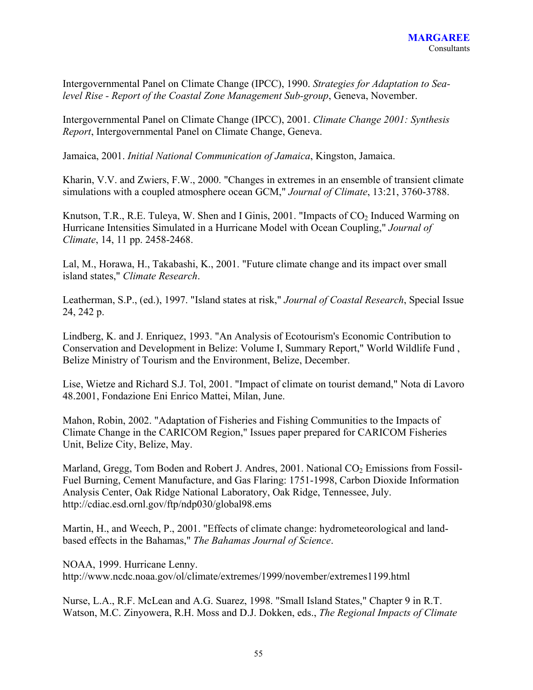Intergovernmental Panel on Climate Change (IPCC), 1990. *Strategies for Adaptation to Sealevel Rise - Report of the Coastal Zone Management Sub-group*, Geneva, November.

Intergovernmental Panel on Climate Change (IPCC), 2001. *Climate Change 2001: Synthesis Report*, Intergovernmental Panel on Climate Change, Geneva.

Jamaica, 2001. *Initial National Communication of Jamaica*, Kingston, Jamaica.

Kharin, V.V. and Zwiers, F.W., 2000. "Changes in extremes in an ensemble of transient climate simulations with a coupled atmosphere ocean GCM," *Journal of Climate*, 13:21, 3760-3788.

Knutson, T.R., R.E. Tuleya, W. Shen and I Ginis, 2001. "Impacts of  $CO<sub>2</sub>$  Induced Warming on Hurricane Intensities Simulated in a Hurricane Model with Ocean Coupling," *Journal of Climate*, 14, 11 pp. 2458-2468.

Lal, M., Horawa, H., Takabashi, K., 2001. "Future climate change and its impact over small island states," *Climate Research*.

Leatherman, S.P., (ed.), 1997. "Island states at risk," *Journal of Coastal Research*, Special Issue 24, 242 p.

Lindberg, K. and J. Enriquez, 1993. "An Analysis of Ecotourism's Economic Contribution to Conservation and Development in Belize: Volume I, Summary Report," World Wildlife Fund , Belize Ministry of Tourism and the Environment, Belize, December.

Lise, Wietze and Richard S.J. Tol, 2001. "Impact of climate on tourist demand," Nota di Lavoro 48.2001, Fondazione Eni Enrico Mattei, Milan, June.

Mahon, Robin, 2002. "Adaptation of Fisheries and Fishing Communities to the Impacts of Climate Change in the CARICOM Region," Issues paper prepared for CARICOM Fisheries Unit, Belize City, Belize, May.

Marland, Gregg, Tom Boden and Robert J. Andres, 2001. National  $CO<sub>2</sub>$  Emissions from Fossil-Fuel Burning, Cement Manufacture, and Gas Flaring: 1751-1998, Carbon Dioxide Information Analysis Center, Oak Ridge National Laboratory, Oak Ridge, Tennessee, July. http://cdiac.esd.ornl.gov/ftp/ndp030/global98.ems

Martin, H., and Weech, P., 2001. "Effects of climate change: hydrometeorological and landbased effects in the Bahamas," *The Bahamas Journal of Science*.

NOAA, 1999. Hurricane Lenny. http://www.ncdc.noaa.gov/ol/climate/extremes/1999/november/extremes1199.html

Nurse, L.A., R.F. McLean and A.G. Suarez, 1998. "Small Island States," Chapter 9 in R.T. Watson, M.C. Zinyowera, R.H. Moss and D.J. Dokken, eds., *The Regional Impacts of Climate*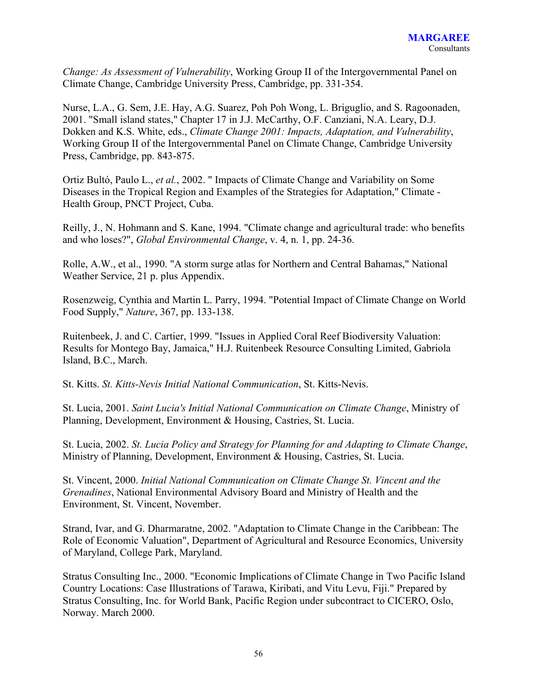*Change: As Assessment of Vulnerability*, Working Group II of the Intergovernmental Panel on Climate Change, Cambridge University Press, Cambridge, pp. 331-354.

Nurse, L.A., G. Sem, J.E. Hay, A.G. Suarez, Poh Poh Wong, L. Briguglio, and S. Ragoonaden, 2001. "Small island states," Chapter 17 in J.J. McCarthy, O.F. Canziani, N.A. Leary, D.J. Dokken and K.S. White, eds., *Climate Change 2001: Impacts, Adaptation, and Vulnerability*, Working Group II of the Intergovernmental Panel on Climate Change, Cambridge University Press, Cambridge, pp. 843-875.

Ortiz Bultó, Paulo L., *et al.*, 2002. " Impacts of Climate Change and Variability on Some Diseases in the Tropical Region and Examples of the Strategies for Adaptation," Climate - Health Group, PNCT Project, Cuba.

Reilly, J., N. Hohmann and S. Kane, 1994. "Climate change and agricultural trade: who benefits and who loses?", *Global Environmental Change*, v. 4, n. 1, pp. 24-36.

Rolle, A.W., et al., 1990. "A storm surge atlas for Northern and Central Bahamas," National Weather Service, 21 p. plus Appendix.

Rosenzweig, Cynthia and Martin L. Parry, 1994. "Potential Impact of Climate Change on World Food Supply," *Nature*, 367, pp. 133-138.

Ruitenbeek, J. and C. Cartier, 1999. "Issues in Applied Coral Reef Biodiversity Valuation: Results for Montego Bay, Jamaica," H.J. Ruitenbeek Resource Consulting Limited, Gabriola Island, B.C., March.

St. Kitts. *St. Kitts-Nevis Initial National Communication*, St. Kitts-Nevis.

St. Lucia, 2001. *Saint Lucia's Initial National Communication on Climate Change*, Ministry of Planning, Development, Environment & Housing, Castries, St. Lucia.

St. Lucia, 2002. *St. Lucia Policy and Strategy for Planning for and Adapting to Climate Change*, Ministry of Planning, Development, Environment & Housing, Castries, St. Lucia.

St. Vincent, 2000. *Initial National Communication on Climate Change St. Vincent and the Grenadines*, National Environmental Advisory Board and Ministry of Health and the Environment, St. Vincent, November.

Strand, Ivar, and G. Dharmaratne, 2002. "Adaptation to Climate Change in the Caribbean: The Role of Economic Valuation", Department of Agricultural and Resource Economics, University of Maryland, College Park, Maryland.

Stratus Consulting Inc., 2000. "Economic Implications of Climate Change in Two Pacific Island Country Locations: Case Illustrations of Tarawa, Kiribati, and Vitu Levu, Fiji." Prepared by Stratus Consulting, Inc. for World Bank, Pacific Region under subcontract to CICERO, Oslo, Norway. March 2000.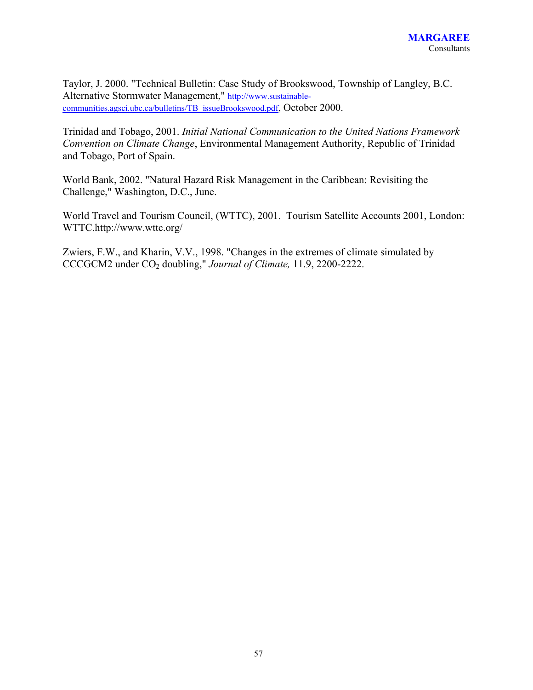Taylor, J. 2000. "Technical Bulletin: Case Study of Brookswood, Township of Langley, B.C. Alternative Stormwater Management," http://www.sustainablecommunities.agsci.ubc.ca/bulletins/TB\_issueBrookswood.pdf, October 2000.

Trinidad and Tobago, 2001. *Initial National Communication to the United Nations Framework Convention on Climate Change*, Environmental Management Authority, Republic of Trinidad and Tobago, Port of Spain.

World Bank, 2002. "Natural Hazard Risk Management in the Caribbean: Revisiting the Challenge," Washington, D.C., June.

World Travel and Tourism Council, (WTTC), 2001. Tourism Satellite Accounts 2001, London: WTTC.http://www.wttc.org/

Zwiers, F.W., and Kharin, V.V., 1998. "Changes in the extremes of climate simulated by CCCGCM2 under CO2 doubling," *Journal of Climate,* 11.9, 2200-2222.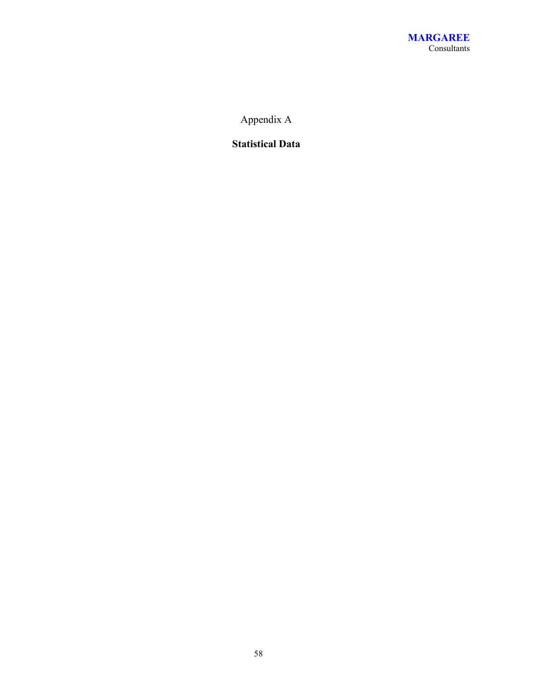Appendix A

**Statistical Data**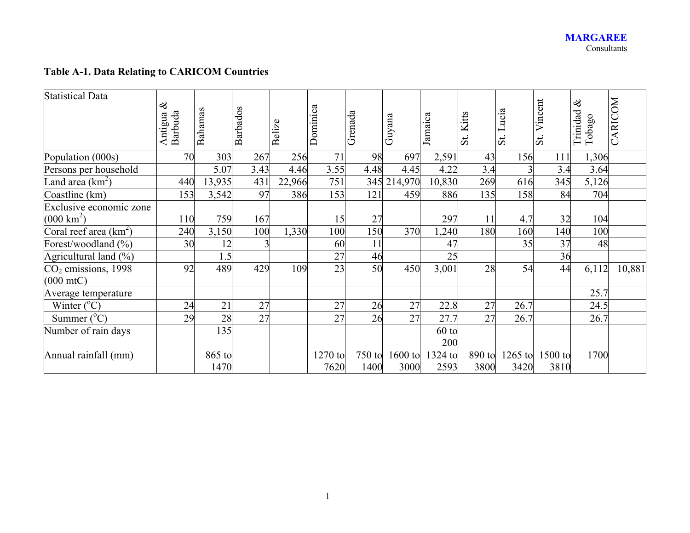## **Table A-1. Data Relating to CARICOM Countries**

| <b>Statistical Data</b>  | $\infty$<br>Barbuda<br>Antigua | Bahamas        | <b>Barbados</b> | Belize | Dominica        | Grenada        | Guyana          | Jamaica         | Kitts<br>$\ddot{s}$ | Lucia<br>$\ddot{s}$ | Vincent<br>$\ddot{\mathrm{s}}$ | $\infty$<br>Trinidad<br>Tobago | CARICOM |
|--------------------------|--------------------------------|----------------|-----------------|--------|-----------------|----------------|-----------------|-----------------|---------------------|---------------------|--------------------------------|--------------------------------|---------|
| Population (000s)        | 70                             | 303            | 267             | 256    | 71              | 98             | 697             | 2,591           | 43                  | 156                 | 111                            | 1,306                          |         |
| Persons per household    |                                | 5.07           | 3.43            | 4.46   | 3.55            | 4.48           | 4.45            | 4.22            | 3.4                 |                     | 3.4                            | 3.64                           |         |
| Land area $(km^2)$       | 440                            | 13,935         | 431             | 22,966 | 751             | 345            | 214,970         | 10,830          | 269                 | 616                 | 345                            | 5,126                          |         |
| Coastline (km)           | 153                            | 3,542          | 97              | 386    | 153             | 121            | 459             | 886             | 135                 | 158                 | 84                             | 704                            |         |
| Exclusive economic zone  |                                |                |                 |        |                 |                |                 |                 |                     |                     |                                |                                |         |
| $(000 \text{ km}^2)$     | 110                            | 759            | 167             |        | 15              | 27             |                 | 297             | 11                  | 4.7                 | 32                             | 104                            |         |
| Coral reef area $(km^2)$ | 240                            | 3,150          | 100             | 1,330  | 100             | 150            | 370             | ,240            | 180                 | 160                 | 140                            | 100                            |         |
| Forest/woodland (%)      | 30                             | 12             |                 |        | 60              | 11             |                 | 47              |                     | 35                  | 37                             | 48                             |         |
| Agricultural land (%)    |                                | 1.5            |                 |        | 27              | 46             |                 | 25              |                     |                     | 36                             |                                |         |
| $CO2$ emissions, 1998    | 92                             | 489            | 429             | 109    | 23              | 50             | 450             | 3,001           | 28                  | 54                  | 44                             | 6,112                          | 10,881  |
| $(000 \text{ mtC})$      |                                |                |                 |        |                 |                |                 |                 |                     |                     |                                |                                |         |
| Average temperature      |                                |                |                 |        |                 |                |                 |                 |                     |                     |                                | 25.7                           |         |
| Winter $(^{\circ}C)$     | 24                             | 21             | 27              |        | 27              | 26             | 27              | 22.8            | 27                  | 26.7                |                                | 24.5                           |         |
| Summer $(^{\circ}C)$     | 29                             | 28             | 27              |        | 27              | 26             | 27              | 27.7            | 27                  | 26.7                |                                | 26.7                           |         |
| Number of rain days      |                                | 135            |                 |        |                 |                |                 | $60$ to<br>200  |                     |                     |                                |                                |         |
| Annual rainfall (mm)     |                                | 865 to<br>1470 |                 |        | 1270 to<br>7620 | 750 to<br>1400 | 1600 to<br>3000 | 1324 to<br>2593 | 890 to<br>3800      | $1265$ to<br>3420   | 1500 to<br>3810                | 1700                           |         |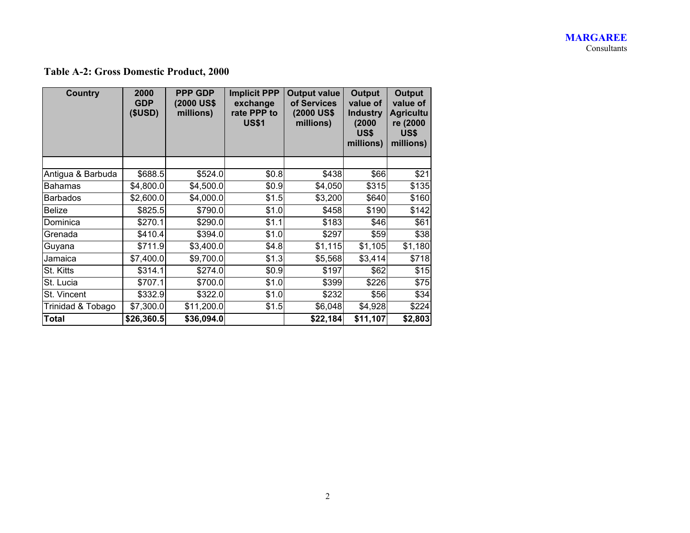#### **MARGAREE**  Consultants

## **Table A-2: Gross Domestic Product, 2000**

| <b>Country</b>    | 2000<br><b>GDP</b><br>(SUSD) | <b>PPP GDP</b><br>(2000 US\$<br>millions) | <b>Implicit PPP</b><br>exchange<br>rate PPP to<br><b>US\$1</b> | <b>Output value</b><br>of Services<br>(2000 US\$<br>millions) | <b>Output</b><br>value of<br><b>Industry</b><br>(2000)<br>US\$<br>millions) | <b>Output</b><br>value of<br><b>Agricultu</b><br>re (2000<br>US\$<br>millions) |
|-------------------|------------------------------|-------------------------------------------|----------------------------------------------------------------|---------------------------------------------------------------|-----------------------------------------------------------------------------|--------------------------------------------------------------------------------|
|                   |                              |                                           |                                                                |                                                               |                                                                             |                                                                                |
| Antigua & Barbuda | \$688.5                      | \$524.0                                   | \$0.8                                                          | \$438                                                         | \$66                                                                        | \$21                                                                           |
| <b>Bahamas</b>    | \$4,800.0                    | \$4,500.0                                 | \$0.9                                                          | \$4,050                                                       | \$315                                                                       | \$135                                                                          |
| <b>Barbados</b>   | \$2,600.0                    | \$4,000.0                                 | \$1.5                                                          | \$3,200                                                       | \$640                                                                       | \$160                                                                          |
| <b>Belize</b>     | \$825.5                      | \$790.0                                   | \$1.0                                                          | \$458                                                         | \$190                                                                       | \$142                                                                          |
| Dominica          | \$270.1                      | \$290.0                                   | \$1.1                                                          | \$183                                                         | \$46                                                                        | \$61                                                                           |
| Grenada           | \$410.4                      | \$394.0                                   | \$1.0                                                          | \$297                                                         | \$59                                                                        | \$38]                                                                          |
| Guyana            | \$711.9                      | \$3,400.0                                 | \$4.8                                                          | \$1,115                                                       | \$1,105                                                                     | \$1,180                                                                        |
| Jamaica           | \$7,400.0                    | \$9,700.0                                 | \$1.3                                                          | \$5,568                                                       | \$3,414                                                                     | \$718                                                                          |
| St. Kitts         | \$314.1                      | \$274.0                                   | \$0.9                                                          | \$197                                                         | \$62                                                                        | \$15                                                                           |
| St. Lucia         | \$707.1                      | \$700.0                                   | \$1.0                                                          | \$399                                                         | \$226                                                                       | \$75                                                                           |
| St. Vincent       | \$332.9                      | \$322.0                                   | \$1.0                                                          | \$232                                                         | \$56                                                                        | \$34                                                                           |
| Trinidad & Tobago | \$7,300.0                    | \$11,200.0                                | \$1.5                                                          | \$6,048                                                       | \$4,928                                                                     | \$224                                                                          |
| <b>Total</b>      | \$26,360.5                   | \$36,094.0                                |                                                                | \$22,184                                                      | \$11,107                                                                    | \$2,803                                                                        |